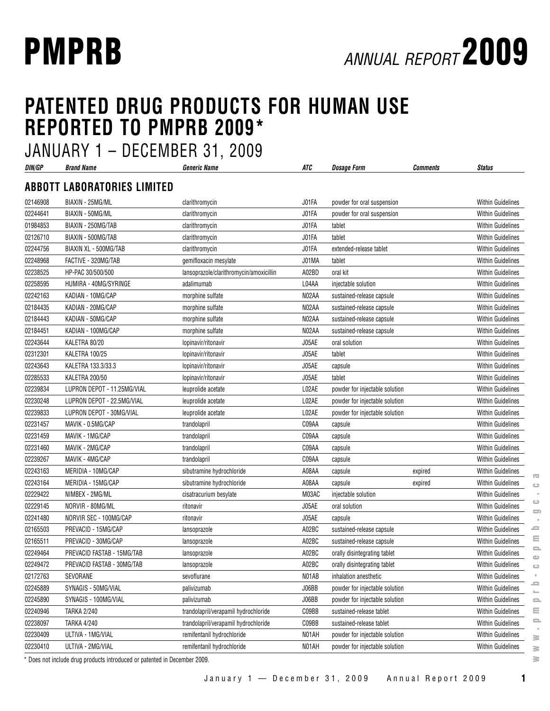# **PATENTED DRUG PRODUCTS FOR HUMAN USE REPORTED TO PMPRB 2009\***

JANUARY 1 – DECEMBER 31, 2009

| DIN/GP   | <b>Brand Name</b>                  | DLVLIVIDLII VI, LVVV<br><b>Generic Name</b> | ATC   | <b>Dosage Form</b>             | <b>Comments</b> | <b>Status</b>            |
|----------|------------------------------------|---------------------------------------------|-------|--------------------------------|-----------------|--------------------------|
|          | <b>ABBOTT LABORATORIES LIMITED</b> |                                             |       |                                |                 |                          |
| 02146908 | BIAXIN - 25MG/ML                   | clarithromycin                              | J01FA | powder for oral suspension     |                 | <b>Within Guidelines</b> |
| 02244641 | BIAXIN - 50MG/ML                   | clarithromycin                              | J01FA | powder for oral suspension     |                 | <b>Within Guidelines</b> |
| 01984853 | BIAXIN - 250MG/TAB                 | clarithromycin                              | J01FA | tablet                         |                 | Within Guidelines        |
| 02126710 | BIAXIN - 500MG/TAB                 | clarithromycin                              | J01FA | tablet                         |                 | <b>Within Guidelines</b> |
| 02244756 | BIAXIN XL - 500MG/TAB              | clarithromycin                              | J01FA | extended-release tablet        |                 | <b>Within Guidelines</b> |
| 02248968 | FACTIVE - 320MG/TAB                | gemifloxacin mesylate                       | J01MA | tablet                         |                 | <b>Within Guidelines</b> |
| 02238525 | HP-PAC 30/500/500                  | lansoprazole/clarithromycin/amoxicillin     | A02BD | oral kit                       |                 | <b>Within Guidelines</b> |
| 02258595 | HUMIRA - 40MG/SYRINGE              | adalimumab                                  | L04AA | injectable solution            |                 | <b>Within Guidelines</b> |
| 02242163 | KADIAN - 10MG/CAP                  | morphine sulfate                            | N02AA | sustained-release capsule      |                 | <b>Within Guidelines</b> |
| 02184435 | KADIAN - 20MG/CAP                  | morphine sulfate                            | N02AA | sustained-release capsule      |                 | <b>Within Guidelines</b> |
| 02184443 | KADIAN - 50MG/CAP                  | morphine sulfate                            | N02AA | sustained-release capsule      |                 | <b>Within Guidelines</b> |
| 02184451 | KADIAN - 100MG/CAP                 | morphine sulfate                            | N02AA | sustained-release capsule      |                 | <b>Within Guidelines</b> |
| 02243644 | KALETRA 80/20                      | lopinavir/ritonavir                         | J05AE | oral solution                  |                 | <b>Within Guidelines</b> |
| 02312301 | KALETRA 100/25                     | lopinavir/ritonavir                         | J05AE | tablet                         |                 | <b>Within Guidelines</b> |
| 02243643 | KALETRA 133.3/33.3                 | lopinavir/ritonavir                         | J05AE | capsule                        |                 | <b>Within Guidelines</b> |
| 02285533 | KALETRA 200/50                     | lopinavir/ritonavir                         | J05AE | tablet                         |                 | <b>Within Guidelines</b> |
| 02239834 | LUPRON DEPOT - 11.25MG/VIAL        | leuprolide acetate                          | L02AE | powder for injectable solution |                 | <b>Within Guidelines</b> |
| 02230248 | LUPRON DEPOT - 22.5MG/VIAL         | leuprolide acetate                          | L02AE | powder for injectable solution |                 | <b>Within Guidelines</b> |
| 02239833 | LUPRON DEPOT - 30MG/VIAL           | leuprolide acetate                          | L02AE | powder for injectable solution |                 | <b>Within Guidelines</b> |
| 02231457 | MAVIK - 0.5MG/CAP                  | trandolapril                                | C09AA | capsule                        |                 | <b>Within Guidelines</b> |
| 02231459 | MAVIK - 1MG/CAP                    | trandolapril                                | C09AA | capsule                        |                 | <b>Within Guidelines</b> |
| 02231460 | MAVIK - 2MG/CAP                    | trandolapril                                | C09AA | capsule                        |                 | Within Guidelines        |
| 02239267 | MAVIK - 4MG/CAP                    | trandolapril                                | C09AA | capsule                        |                 | <b>Within Guidelines</b> |
| 02243163 | MERIDIA - 10MG/CAP                 | sibutramine hydrochloride                   | A08AA | capsule                        | expired         | <b>Within Guidelines</b> |
| 02243164 | MERIDIA - 15MG/CAP                 | sibutramine hydrochloride                   | A08AA | capsule                        | expired         | <b>Within Guidelines</b> |
| 02229422 | NIMBEX - 2MG/ML                    | cisatracurium besylate                      | M03AC | injectable solution            |                 | Within Guidelines        |
| 02229145 | NORVIR - 80MG/ML                   | ritonavir                                   | J05AE | oral solution                  |                 | <b>Within Guidelines</b> |
| 02241480 | NORVIR SEC - 100MG/CAP             | ritonavir                                   | J05AE | capsule                        |                 | Within Guidelines        |
| 02165503 | PREVACID - 15MG/CAP                | lansoprazole                                | A02BC | sustained-release capsule      |                 | <b>Within Guidelines</b> |
| 02165511 | PREVACID - 30MG/CAP                | lansoprazole                                | A02BC | sustained-release capsule      |                 | <b>Within Guidelines</b> |
| 02249464 | PREVACID FASTAB - 15MG/TAB         | lansoprazole                                | A02BC | orally disintegrating tablet   |                 | <b>Within Guidelines</b> |
| 02249472 | PREVACID FASTAB - 30MG/TAB         | lansoprazole                                | A02BC | orally disintegrating tablet   |                 | <b>Within Guidelines</b> |
| 02172763 | SEVORANE                           | sevoflurane                                 | NO1AB | inhalation anesthetic          |                 | Within Guidelines        |
| 02245889 | SYNAGIS - 50MG/VIAL                | palivizumab                                 | J06BB | powder for injectable solution |                 | Within Guidelines        |
| 02245890 | SYNAGIS - 100MG/VIAL               | palivizumab                                 | J06BB | powder for injectable solution |                 | Within Guidelines        |
| 02240946 | <b>TARKA 2/240</b>                 | trandolapril/verapamil hydrochloride        | C09BB | sustained-release tablet       |                 | <b>Within Guidelines</b> |
| 02238097 | <b>TARKA 4/240</b>                 | trandolapril/verapamil hydrochloride        | C09BB | sustained-release tablet       |                 | <b>Within Guidelines</b> |
| 02230409 | ULTIVA - 1MG/VIAL                  | remifentanil hydrochloride                  | N01AH | powder for injectable solution |                 | <b>Within Guidelines</b> |
| 02230410 | ULTIVA - 2MG/VIAL                  | remifentanil hydrochloride                  | N01AH | powder for injectable solution |                 | <b>Within Guidelines</b> |

\* Does not include drug products introduced or patented in December 2009.

**www.pmprb-cepmb.gc.ca**

 $\overline{\infty}$  $\circlearrowright$  $\alpha$  $\hskip1.6cm\hskip1.6cm\hskip1.6cm\hskip1.6cm\hskip1.6cm\hskip1.6cm\hskip1.6cm\hskip1.6cm\hskip1.6cm\hskip1.6cm\hskip1.6cm\hskip1.6cm\hskip1.6cm$  $\qquad \qquad \Longrightarrow$  $\equiv$  $\equiv$  $\equiv$  $\bullet$  $\hskip1.6cm\hskip1.6cm\hskip1.6cm\hskip1.6cm\hskip1.6cm\hskip1.6cm\hskip1.6cm\hskip1.6cm\hskip1.6cm\hskip1.6cm\hskip1.6cm\hskip1.6cm\hskip1.6cm$  $\mathbb{R}^2$  $\equiv$  $\mathbb{Z}^2$  $\equiv$  $\equiv$  $\equiv$ ο.  $\geq$  $\geq$  $\geq$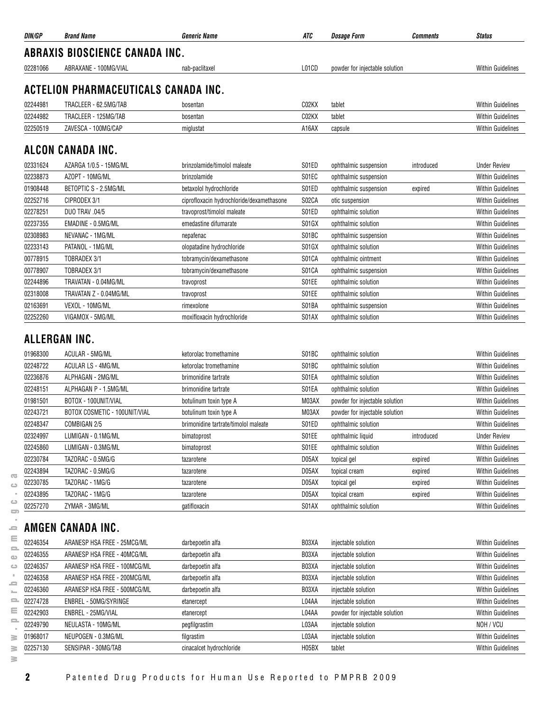| DIN/GP        | <b>Brand Name</b>                           | <b>Generic Name</b>                       | ATC   | <b>Dosage Form</b>             | <b>Comments</b> | <b>Status</b>                                        |
|---------------|---------------------------------------------|-------------------------------------------|-------|--------------------------------|-----------------|------------------------------------------------------|
|               | <b>ABRAXIS BIOSCIENCE CANADA INC.</b>       |                                           |       |                                |                 |                                                      |
| 02281066      | ABRAXANE - 100MG/VIAL                       | nab-paclitaxel                            | L01CD | powder for injectable solution |                 | <b>Within Guidelines</b>                             |
|               | <b>ACTELION PHARMACEUTICALS CANADA INC.</b> |                                           |       |                                |                 |                                                      |
|               |                                             |                                           |       |                                |                 |                                                      |
| 02244981      | TRACLEER - 62.5MG/TAB                       | bosentan                                  | C02KX | tablet                         |                 | <b>Within Guidelines</b><br><b>Within Guidelines</b> |
| 02244982      | TRACLEER - 125MG/TAB                        | bosentan                                  | C02KX | tablet                         |                 |                                                      |
| 02250519      | ZAVESCA - 100MG/CAP                         | miglustat                                 | A16AX | capsule                        |                 | <b>Within Guidelines</b>                             |
|               | ALCON CANADA INC.                           |                                           |       |                                |                 |                                                      |
| 02331624      | AZARGA 1/0.5 - 15MG/ML                      | brinzolamide/timolol maleate              | S01ED | ophthalmic suspension          | introduced      | <b>Under Review</b>                                  |
| 02238873      | AZOPT - 10MG/ML                             | brinzolamide                              | S01EC | ophthalmic suspension          |                 | <b>Within Guidelines</b>                             |
| 01908448      | BETOPTIC S - 2.5MG/ML                       | betaxolol hydrochloride                   | S01ED | ophthalmic suspension          | expired         | <b>Within Guidelines</b>                             |
| 02252716      | CIPRODEX 3/1                                | ciprofloxacin hydrochloride/dexamethasone | S02CA | otic suspension                |                 | <b>Within Guidelines</b>                             |
| 02278251      | <b>DUO TRAV .04/5</b>                       | travoprost/timolol maleate                | S01ED | ophthalmic solution            |                 | <b>Within Guidelines</b>                             |
| 02237355      | EMADINE - 0.5MG/ML                          | emedastine difumarate                     | S01GX | ophthalmic solution            |                 | <b>Within Guidelines</b>                             |
| 02308983      | NEVANAC - 1MG/ML                            | nepafenac                                 | S01BC | ophthalmic suspension          |                 | <b>Within Guidelines</b>                             |
| 02233143      | PATANOL - 1MG/ML                            | olopatadine hydrochloride                 | S01GX | ophthalmic solution            |                 | <b>Within Guidelines</b>                             |
| 00778915      | TOBRADEX 3/1                                | tobramycin/dexamethasone                  | S01CA | ophthalmic ointment            |                 | <b>Within Guidelines</b>                             |
| 00778907      | TOBRADEX 3/1                                | tobramycin/dexamethasone                  | S01CA | ophthalmic suspension          |                 | <b>Within Guidelines</b>                             |
| 02244896      | TRAVATAN - 0.04MG/ML                        | travoprost                                | S01EE | ophthalmic solution            |                 | <b>Within Guidelines</b>                             |
| 02318008      | TRAVATAN Z - 0.04MG/ML                      | travoprost                                | S01EE | ophthalmic solution            |                 | <b>Within Guidelines</b>                             |
| 02163691      | VEXOL - 10MG/ML                             | rimexolone                                | S01BA | ophthalmic suspension          |                 | <b>Within Guidelines</b>                             |
| 02252260      | VIGAMOX - 5MG/ML                            | moxifloxacin hydrochloride                | S01AX | ophthalmic solution            |                 | <b>Within Guidelines</b>                             |
| ALLERGAN INC. |                                             |                                           |       |                                |                 |                                                      |
| 01968300      | ACULAR - 5MG/ML                             | ketorolac tromethamine                    | S01BC | ophthalmic solution            |                 | <b>Within Guidelines</b>                             |
| 02248722      | <b>ACULAR LS - 4MG/ML</b>                   | ketorolac tromethamine                    | S01BC | ophthalmic solution            |                 | <b>Within Guidelines</b>                             |
| 02236876      | ALPHAGAN - 2MG/ML                           | brimonidine tartrate                      | S01EA | ophthalmic solution            |                 | <b>Within Guidelines</b>                             |
| 02248151      | ALPHAGAN P - 1.5MG/ML                       | brimonidine tartrate                      | S01EA | ophthalmic solution            |                 | <b>Within Guidelines</b>                             |
| 01981501      | BOTOX - 100UNIT/VIAL                        | botulinum toxin type A                    | M03AX | powder for injectable solution |                 | <b>Within Guidelines</b>                             |
| 02243721      | BOTOX COSMETIC - 100UNIT/VIAL               | botulinum toxin type A                    | M03AX | powder for injectable solution |                 | <b>Within Guidelines</b>                             |
| 02248347      | COMBIGAN 2/5                                | brimonidine tartrate/timolol maleate      | S01ED | ophthalmic solution            |                 | <b>Within Guidelines</b>                             |
| 02324997      | LUMIGAN - 0.1MG/ML                          | bimatoprost                               | S01EE | ophthalmic liquid              | introduced      | <b>Under Review</b>                                  |
| 02245860      | LUMIGAN - 0.3MG/ML                          | bimatoprost                               | S01EE | ophthalmic solution            |                 | <b>Within Guidelines</b>                             |
| 02230784      | TAZORAC - 0.5MG/G                           | tazarotene                                | D05AX | topical gel                    | expired         | <b>Within Guidelines</b>                             |
| 02243894      | TAZORAC - 0.5MG/G                           | tazarotene                                | D05AX | topical cream                  | expired         | <b>Within Guidelines</b>                             |
| 02230785      | TAZORAC - 1MG/G                             | tazarotene                                | D05AX | topical gel                    | expired         | Within Guidelines                                    |
| 02243895      | TAZORAC - 1MG/G                             | tazarotene                                | D05AX | topical cream                  | expired         | <b>Within Guidelines</b>                             |
| 02257270      | ZYMAR - 3MG/ML                              | gatifloxacin                              | S01AX | ophthalmic solution            |                 | <b>Within Guidelines</b>                             |
|               | AMGEN CANADA INC.                           |                                           |       |                                |                 |                                                      |
| 02246354      | ARANESP HSA FREE - 25MCG/ML                 | darbepoetin alfa                          | B03XA | injectable solution            |                 | <b>Within Guidelines</b>                             |
| 02246355      | ARANESP HSA FREE - 40MCG/ML                 | darbepoetin alfa                          | B03XA | injectable solution            |                 | <b>Within Guidelines</b>                             |
| 02246357      | ARANESP HSA FREE - 100MCG/ML                | darbepoetin alfa                          | B03XA | injectable solution            |                 | <b>Within Guidelines</b>                             |
| 02246358      | ARANESP HSA FREE - 200MCG/ML                | darbepoetin alfa                          | B03XA | injectable solution            |                 | <b>Within Guidelines</b>                             |
| 02246360      | ARANESP HSA FREE - 500MCG/ML                | darbepoetin alfa                          | B03XA | injectable solution            |                 | <b>Within Guidelines</b>                             |
| 02274728      | ENBREL - 50MG/SYRINGE                       | etanercept                                | L04AA | injectable solution            |                 | <b>Within Guidelines</b>                             |
| 02242903      | ENBREL - 25MG/VIAL                          | etanercept                                | L04AA | powder for injectable solution |                 | <b>Within Guidelines</b>                             |
| 02249790      | NEULASTA - 10MG/ML                          | pegfilgrastim                             | L03AA | injectable solution            |                 | NOH / VCU                                            |
| 01968017      | NEUPOGEN - 0.3MG/ML                         | filgrastim                                | L03AA | injectable solution            |                 | Within Guidelines                                    |
| 02257130      | SENSIPAR - 30MG/TAB                         | cinacalcet hydrochloride                  | H05BX | tablet                         |                 | <b>Within Guidelines</b>                             |
|               |                                             |                                           |       |                                |                 |                                                      |

 $\overline{\infty}$ 

**2** Patented Drug Products for Human Use Reported to PMPRB 2009

 $\geq$  $\geq$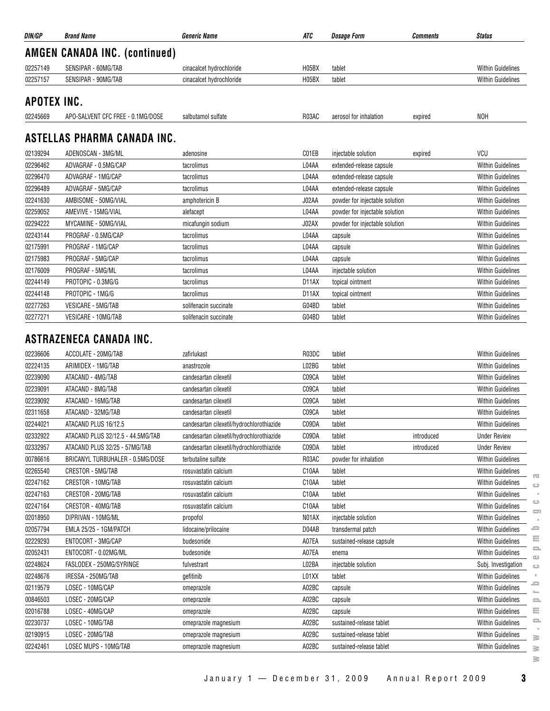| DIN/GP      | <b>Brand Name</b>                              | <b>Generic Name</b>                       | ATC                | <b>Dosage Form</b>             | <b>Comments</b> | <b>Status</b>                                  |
|-------------|------------------------------------------------|-------------------------------------------|--------------------|--------------------------------|-----------------|------------------------------------------------|
|             | <b>AMGEN CANADA INC. (continued)</b>           |                                           |                    |                                |                 |                                                |
| 02257149    | SENSIPAR - 60MG/TAB                            | cinacalcet hydrochloride                  | H05BX              | tablet                         |                 | <b>Within Guidelines</b>                       |
| 02257157    | SENSIPAR - 90MG/TAB                            | cinacalcet hydrochloride                  | H05BX              | tablet                         |                 | <b>Within Guidelines</b>                       |
| APOTEX INC. |                                                |                                           |                    |                                |                 |                                                |
| 02245669    | APO-SALVENT CFC FREE - 0.1MG/DOSE              | salbutamol sulfate                        | R03AC              | aerosol for inhalation         | expired         | <b>NOH</b>                                     |
|             |                                                |                                           |                    |                                |                 |                                                |
|             | ASTELLAS PHARMA CANADA INC.                    |                                           |                    |                                |                 |                                                |
| 02139294    | ADENOSCAN - 3MG/ML                             | adenosine                                 | C01EB              | injectable solution            | expired         | <b>VCU</b>                                     |
| 02296462    | ADVAGRAF - 0.5MG/CAP                           | tacrolimus                                | L04AA              | extended-release capsule       |                 | Within Guidelines                              |
| 02296470    | ADVAGRAF - 1MG/CAP                             | tacrolimus                                | L04AA              | extended-release capsule       |                 | <b>Within Guidelines</b>                       |
| 02296489    | ADVAGRAF - 5MG/CAP                             | tacrolimus                                | L04AA              | extended-release capsule       |                 | <b>Within Guidelines</b>                       |
| 02241630    | AMBISOME - 50MG/VIAL                           | amphotericin B                            | J02AA              | powder for injectable solution |                 | Within Guidelines                              |
| 02259052    | AMEVIVE - 15MG/VIAL                            | alefacept                                 | L04AA              | powder for injectable solution |                 | <b>Within Guidelines</b>                       |
| 02294222    | MYCAMINE - 50MG/VIAL                           | micafungin sodium                         | J02AX              | powder for injectable solution |                 | <b>Within Guidelines</b>                       |
| 02243144    | PROGRAF - 0.5MG/CAP                            | tacrolimus                                | L04AA              | capsule                        |                 | <b>Within Guidelines</b>                       |
| 02175991    | PROGRAF - 1MG/CAP                              | tacrolimus                                | L04AA              | capsule                        |                 | Within Guidelines                              |
| 02175983    | PROGRAF - 5MG/CAP                              | tacrolimus                                | L04AA              | capsule                        |                 | <b>Within Guidelines</b>                       |
| 02176009    | PROGRAF - 5MG/ML                               | tacrolimus                                | L04AA              | injectable solution            |                 | Within Guidelines                              |
| 02244149    | PROTOPIC - 0.3MG/G                             | tacrolimus                                | D11AX              | topical ointment               |                 | <b>Within Guidelines</b>                       |
| 02244148    | PROTOPIC - 1MG/G                               | tacrolimus                                | D <sub>1</sub> 1AX | topical ointment               |                 | <b>Within Guidelines</b>                       |
| 02277263    | VESICARE - 5MG/TAB                             | solifenacin succinate                     | G04BD              | tablet                         |                 | Within Guidelines                              |
| 02277271    | VESICARE - 10MG/TAB                            | solifenacin succinate                     | G04BD              | tablet                         |                 | Within Guidelines                              |
| 02236606    | ASTRAZENECA CANADA INC.<br>ACCOLATE - 20MG/TAB | zafirlukast                               | R03DC              | tablet                         |                 | Within Guidelines                              |
| 02224135    | ARIMIDEX - 1MG/TAB                             | anastrozole                               | L02BG              | tablet                         |                 | <b>Within Guidelines</b>                       |
| 02239090    | ATACAND - 4MG/TAB                              | candesartan cilexetil                     | C09CA              | tablet                         |                 | <b>Within Guidelines</b>                       |
| 02239091    | ATACAND - 8MG/TAB                              | candesartan cilexetil                     | C09CA              | tablet                         |                 | <b>Within Guidelines</b>                       |
| 02239092    | ATACAND - 16MG/TAB                             | candesartan cilexetil                     | C09CA              | tablet                         |                 | <b>Within Guidelines</b>                       |
| 02311658    | ATACAND - 32MG/TAB                             | candesartan cilexetil                     | C09CA              | tablet                         |                 | <b>Within Guidelines</b>                       |
| 02244021    | ATACAND PLUS 16/12.5                           | candesartan cilexetil/hydrochlorothiazide | C09DA              | tablet                         |                 | <b>Within Guidelines</b>                       |
| 02332922    | ATACAND PLUS 32/12.5 - 44.5MG/TAB              | candesartan cilexetil/hydrochlorothiazide | C09DA              | tablet                         | introduced      | <b>Under Review</b>                            |
| 02332957    | ATACAND PLUS 32/25 - 57MG/TAB                  | candesartan cilexetil/hydrochlorothiazide | C09DA              | tablet                         | introduced      | <b>Under Review</b>                            |
| 00786616    | BRICANYL TURBUHALER - 0.5MG/DOSE               | terbutaline sulfate                       | R03AC              | powder for inhalation          |                 | Within Guidelines                              |
| 02265540    | CRESTOR - 5MG/TAB                              | rosuvastatin calcium                      | C10AA              | tablet                         |                 | Within Guidelines                              |
| 02247162    | CRESTOR - 10MG/TAB                             | rosuvastatin calcium                      | C10AA              | tablet                         |                 | Œ<br><b>Within Guidelines</b><br>$\circ$       |
| 02247163    | CRESTOR - 20MG/TAB                             | rosuvastatin calcium                      | C10AA              | tablet                         |                 | <b>Within Guidelines</b>                       |
| 02247164    | CRESTOR - 40MG/TAB                             | rosuvastatin calcium                      | C10AA              | tablet                         |                 | Within Guidelines                              |
| 02018950    | DIPRIVAN - 10MG/ML                             | propofol                                  | N01AX              | injectable solution            |                 | O)<br>Within Guidelines                        |
| 02057794    | EMLA 25/25 - 1GM/PATCH                         | lidocaine/prilocaine                      | D04AB              | transdermal patch              |                 | ᆖ<br>Within Guidelines                         |
| 02229293    | ENTOCORT - 3MG/CAP                             | budesonide                                | A07EA              | sustained-release capsule      |                 | Within Guidelines                              |
| 02052431    | ENTOCORT - 0.02MG/ML                           | budesonide                                | A07EA              | enema                          |                 | 으<br><b>Within Guidelines</b>                  |
| 02248624    | FASLODEX - 250MG/SYRINGE                       | fulvestrant                               | L02BA              | injectable solution            |                 | $\bigcirc$<br>Subj. Investigation<br>$\bigcup$ |
| 02248676    | IRESSA - 250MG/TAB                             | gefitinib                                 | L01XX              | tablet                         |                 | <b>Within Guidelines</b>                       |
| 02119579    | LOSEC - 10MG/CAP                               | omeprazole                                | A02BC              | capsule                        |                 | ᆖ<br>Within Guidelines                         |
| 00846503    | LOSEC - 20MG/CAP                               | omeprazole                                | A02BC              | capsule                        |                 | Within Guidelines<br>$\equiv$                  |
| 02016788    | LOSEC - 40MG/CAP                               | omeprazole                                | A02BC              | capsule                        |                 | ≘<br><b>Within Guidelines</b>                  |
| 02230737    | LOSEC - 10MG/TAB                               | omeprazole magnesium                      | A02BC              | sustained-release tablet       |                 | <b>Within Guidelines</b>                       |
| 02190915    | LOSEC - 20MG/TAB                               | omeprazole magnesium                      | A02BC              | sustained-release tablet       |                 | <b>Within Guidelines</b><br>≧                  |
| 02242461    | LOSEC MUPS - 10MG/TAB                          | omeprazole magnesium                      | A02BC              | sustained-release tablet       |                 | Within Guidelines<br>$\geq$                    |
|             |                                                |                                           |                    |                                |                 | $\geq$                                         |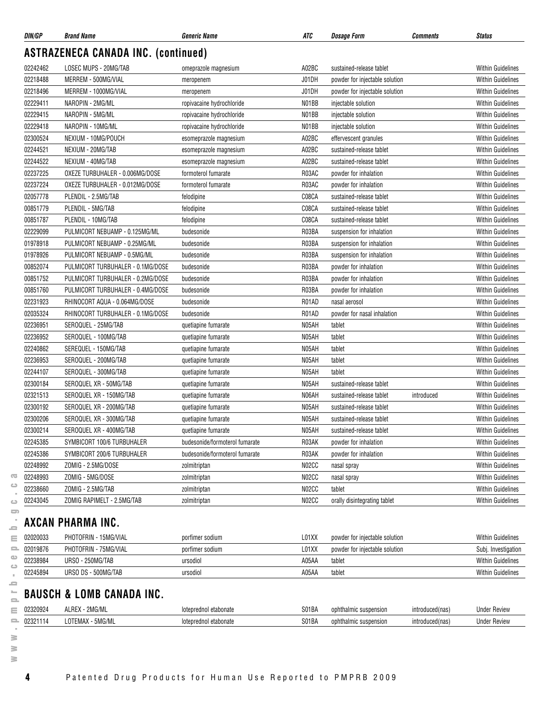| DIN/GP   | <b>Brand Name</b>                          | <b>Generic Name</b>            | ATC   | <b>Dosage Form</b>             | Comments   | <b>Status</b>            |
|----------|--------------------------------------------|--------------------------------|-------|--------------------------------|------------|--------------------------|
|          | <b>ASTRAZENECA CANADA INC. (continued)</b> |                                |       |                                |            |                          |
| 02242462 | LOSEC MUPS - 20MG/TAB                      | omeprazole magnesium           | A02BC | sustained-release tablet       |            | <b>Within Guidelines</b> |
| 02218488 | MERREM - 500MG/VIAL                        | meropenem                      | J01DH | powder for injectable solution |            | <b>Within Guidelines</b> |
| 02218496 | MERREM - 1000MG/VIAL                       | meropenem                      | J01DH | powder for injectable solution |            | <b>Within Guidelines</b> |
| 02229411 | NAROPIN - 2MG/ML                           | ropivacaine hydrochloride      | N01BB | injectable solution            |            | <b>Within Guidelines</b> |
| 02229415 | NAROPIN - 5MG/ML                           | ropivacaine hydrochloride      | N01BB | injectable solution            |            | <b>Within Guidelines</b> |
| 02229418 | NAROPIN - 10MG/ML                          | ropivacaine hydrochloride      | N01BB | injectable solution            |            | <b>Within Guidelines</b> |
| 02300524 | NEXIUM - 10MG/POUCH                        | esomeprazole magnesium         | A02BC | effervescent granules          |            | <b>Within Guidelines</b> |
| 02244521 | NEXIUM - 20MG/TAB                          | esomeprazole magnesium         | A02BC | sustained-release tablet       |            | <b>Within Guidelines</b> |
| 02244522 | NEXIUM - 40MG/TAB                          | esomeprazole magnesium         | A02BC | sustained-release tablet       |            | <b>Within Guidelines</b> |
| 02237225 | OXEZE TURBUHALER - 0.006MG/DOSE            | formoterol fumarate            | R03AC | powder for inhalation          |            | <b>Within Guidelines</b> |
| 02237224 | OXEZE TURBUHALER - 0.012MG/DOSE            | formoterol fumarate            | R03AC | powder for inhalation          |            | <b>Within Guidelines</b> |
| 02057778 | PLENDIL - 2.5MG/TAB                        | felodipine                     | C08CA | sustained-release tablet       |            | <b>Within Guidelines</b> |
| 00851779 | PLENDIL - 5MG/TAB                          | felodipine                     | C08CA | sustained-release tablet       |            | <b>Within Guidelines</b> |
| 00851787 | PLENDIL - 10MG/TAB                         | felodipine                     | C08CA | sustained-release tablet       |            | <b>Within Guidelines</b> |
| 02229099 | PULMICORT NEBUAMP - 0.125MG/ML             | budesonide                     | R03BA | suspension for inhalation      |            | <b>Within Guidelines</b> |
| 01978918 | PULMICORT NEBUAMP - 0.25MG/ML              | budesonide                     | R03BA | suspension for inhalation      |            | <b>Within Guidelines</b> |
| 01978926 | PULMICORT NEBUAMP - 0.5MG/ML               | budesonide                     | R03BA | suspension for inhalation      |            | <b>Within Guidelines</b> |
| 00852074 | PULMICORT TURBUHALER - 0.1MG/DOSE          | budesonide                     | R03BA | powder for inhalation          |            | <b>Within Guidelines</b> |
| 00851752 | PULMICORT TURBUHALER - 0.2MG/DOSE          | budesonide                     | R03BA | powder for inhalation          |            | <b>Within Guidelines</b> |
| 00851760 | PULMICORT TURBUHALER - 0.4MG/DOSE          | budesonide                     | R03BA | powder for inhalation          |            | <b>Within Guidelines</b> |
| 02231923 | RHINOCORT AQUA - 0.064MG/DOSE              | budesonide                     | R01AD | nasal aerosol                  |            | <b>Within Guidelines</b> |
| 02035324 | RHINOCORT TURBUHALER - 0.1MG/DOSE          | budesonide                     | R01AD | powder for nasal inhalation    |            | <b>Within Guidelines</b> |
| 02236951 | SEROQUEL - 25MG/TAB                        | quetiapine fumarate            | N05AH | tablet                         |            | <b>Within Guidelines</b> |
| 02236952 | SEROQUEL - 100MG/TAB                       | quetiapine fumarate            | N05AH | tablet                         |            | <b>Within Guidelines</b> |
| 02240862 | SEREQUEL - 150MG/TAB                       | quetiapine fumarate            | N05AH | tablet                         |            | <b>Within Guidelines</b> |
| 02236953 | SEROQUEL - 200MG/TAB                       | quetiapine fumarate            | N05AH | tablet                         |            | <b>Within Guidelines</b> |
| 02244107 | SEROQUEL - 300MG/TAB                       | quetiapine fumarate            | N05AH | tablet                         |            | <b>Within Guidelines</b> |
| 02300184 | SEROQUEL XR - 50MG/TAB                     | quetiapine fumarate            | N05AH | sustained-release tablet       |            | <b>Within Guidelines</b> |
| 02321513 | SEROQUEL XR - 150MG/TAB                    | quetiapine fumarate            | N06AH | sustained-release tablet       | introduced | <b>Within Guidelines</b> |
| 02300192 | SEROQUEL XR - 200MG/TAB                    | quetiapine fumarate            | N05AH | sustained-release tablet       |            | <b>Within Guidelines</b> |
| 02300206 | SEROQUEL XR - 300MG/TAB                    | quetiapine fumarate            | N05AH | sustained-release tablet       |            | <b>Within Guidelines</b> |
| 02300214 | SEROQUEL XR - 400MG/TAB                    | quetiapine fumarate            | N05AH | sustained-release tablet       |            | <b>Within Guidelines</b> |
| 02245385 | SYMBICORT 100/6 TURBUHALER                 | budesonide/formoterol fumarate | R03AK | powder for inhalation          |            | <b>Within Guidelines</b> |
| 02245386 | SYMBICORT 200/6 TURBUHALER                 | budesonide/formoterol fumarate | R03AK | powder for inhalation          |            | <b>Within Guidelines</b> |
| 02248992 | ZOMIG - 2.5MG/DOSE                         | zolmitriptan                   | N02CC | nasal spray                    |            | <b>Within Guidelines</b> |
| 02248993 | ZOMIG - 5MG/DOSE                           | zolmitriptan                   | N02CC | nasal spray                    |            | <b>Within Guidelines</b> |
| 02238660 | ZOMIG - 2.5MG/TAB                          | zolmitriptan                   | N02CC | tablet                         |            | <b>Within Guidelines</b> |
| 02243045 | ZOMIG RAPIMELT - 2.5MG/TAB                 | zolmitriptan                   | N02CC | orally disintegrating tablet   |            | <b>Within Guidelines</b> |
|          | <b>AXCAN PHARMA INC.</b>                   |                                |       |                                |            |                          |
| 02020033 | PHOTOFRIN - 15MG/VIAL                      | porfimer sodium                | L01XX | powder for injectable solution |            | <b>Within Guidelines</b> |
| 02019876 | PHOTOFRIN - 75MG/VIAL                      | porfimer sodium                | L01XX | powder for injectable solution |            | Subj. Investigation      |
| 02238984 | URSO - 250MG/TAB                           | ursodiol                       | A05AA | tablet                         |            | <b>Within Guidelines</b> |
| 02245894 | URSO DS - 500MG/TAB                        | ursodiol                       | A05AA | tablet                         |            | Within Guidelines        |

## **BAUSCH & LOMB CANADA INC.**

| 02320924 | <b>0886</b><br>יחת<br>AL<br>n.      | .oter | 301BA | ารเดท<br>ophth<br>ılmı<br>susur        | introduced(nas)         | 1.2.1.2.1 |
|----------|-------------------------------------|-------|-------|----------------------------------------|-------------------------|-----------|
| 023211   | <b>JIVIL</b> UNC<br>∵EIVIA∧<br>_U ' | nter  | 301BA | ophth<br>ารเดท<br>ılmı<br><b>SUSDE</b> | ntrodi<br>,,,,,,,,,,,,, | uviu      |

 $\geq$  $\geq$ 

 $\overline{\text{C}}$  $\hfill\square$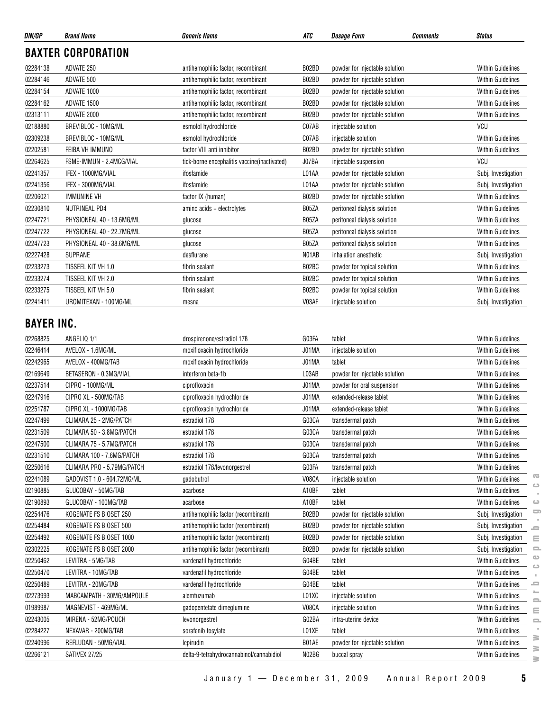| DIN/GP            | <b>Brand Name</b>          | <b>Generic Name</b>                           | ATC   | <b>Dosage Form</b>             | <b>Comments</b> | <b>Status</b>                         |
|-------------------|----------------------------|-----------------------------------------------|-------|--------------------------------|-----------------|---------------------------------------|
|                   | <b>BAXTER CORPORATION</b>  |                                               |       |                                |                 |                                       |
| 02284138          | ADVATE 250                 | antihemophilic factor, recombinant            | B02BD | powder for injectable solution |                 | <b>Within Guidelines</b>              |
| 02284146          | ADVATE 500                 | antihemophilic factor, recombinant            | B02BD | powder for injectable solution |                 | Within Guidelines                     |
| 02284154          | ADVATE 1000                | antihemophilic factor, recombinant            | B02BD | powder for injectable solution |                 | <b>Within Guidelines</b>              |
| 02284162          | ADVATE 1500                | antihemophilic factor, recombinant            | B02BD | powder for injectable solution |                 | <b>Within Guidelines</b>              |
| 02313111          | ADVATE 2000                | antihemophilic factor, recombinant            | B02BD | powder for injectable solution |                 | <b>Within Guidelines</b>              |
| 02188880          | BREVIBLOC - 10MG/ML        | esmolol hydrochloride                         | C07AB | injectable solution            |                 | <b>VCU</b>                            |
| 02309238          | BREVIBLOC - 10MG/ML        | esmolol hydrochloride                         | C07AB | injectable solution            |                 | <b>Within Guidelines</b>              |
| 02202581          | FEIBA VH IMMUNO            | factor VIII anti inhibitor                    | B02BD | powder for injectable solution |                 | Within Guidelines                     |
| 02264625          | FSME-IMMUN - 2.4MCG/VIAL   | tick-borne encephalitis vaccine (inactivated) | J07BA | injectable suspension          |                 | VCU                                   |
| 02241357          | IFEX - 1000MG/VIAL         | ifosfamide                                    | L01AA | powder for injectable solution |                 | Subj. Investigation                   |
| 02241356          | IFEX - 3000MG/VIAL         | ifosfamide                                    | L01AA | powder for injectable solution |                 | Subj. Investigation                   |
| 02206021          | <b>IMMUNINE VH</b>         | factor IX (human)                             | B02BD | powder for injectable solution |                 | <b>Within Guidelines</b>              |
| 02230810          | NUTRINEAL PD4              | amino acids + electrolytes                    | B05ZA | peritoneal dialysis solution   |                 | Within Guidelines                     |
| 02247721          | PHYSIONEAL 40 - 13.6MG/ML  | glucose                                       | B05ZA | peritoneal dialysis solution   |                 | Within Guidelines                     |
| 02247722          | PHYSIONEAL 40 - 22.7MG/ML  | glucose                                       | B05ZA | peritoneal dialysis solution   |                 | <b>Within Guidelines</b>              |
| 02247723          | PHYSIONEAL 40 - 38.6MG/ML  | glucose                                       | B05ZA | peritoneal dialysis solution   |                 | <b>Within Guidelines</b>              |
| 02227428          | SUPRANE                    | desflurane                                    | N01AB | inhalation anesthetic          |                 | Subj. Investigation                   |
| 02233273          | TISSEEL KIT VH 1.0         | fibrin sealant                                | B02BC | powder for topical solution    |                 | Within Guidelines                     |
| 02233274          | TISSEEL KIT VH 2.0         | fibrin sealant                                | B02BC | powder for topical solution    |                 | Within Guidelines                     |
| 02233275          | TISSEEL KIT VH 5.0         | fibrin sealant                                | B02BC | powder for topical solution    |                 | Within Guidelines                     |
| 02241411          | UROMITEXAN - 100MG/ML      | mesna                                         | V03AF | injectable solution            |                 | Subj. Investigation                   |
| <b>BAYER INC.</b> |                            |                                               |       |                                |                 |                                       |
| 02268825          | ANGELIQ 1/1                | drospirenone/estradiol 17B                    | G03FA | tablet                         |                 | <b>Within Guidelines</b>              |
| 02246414          | AVELOX - 1.6MG/ML          | moxifloxacin hydrochloride                    | J01MA | injectable solution            |                 | <b>Within Guidelines</b>              |
| 02242965          | AVELOX - 400MG/TAB         | moxifloxacin hydrochloride                    | J01MA | tablet                         |                 | <b>Within Guidelines</b>              |
| 02169649          | BETASERON - 0.3MG/VIAL     | interferon beta-1b                            | L03AB | powder for injectable solution |                 | <b>Within Guidelines</b>              |
| 02237514          | CIPRO - 100MG/ML           | ciprofloxacin                                 | J01MA | powder for oral suspension     |                 | Within Guidelines                     |
| 02247916          | CIPRO XL - 500MG/TAB       | ciprofloxacin hydrochloride                   | J01MA | extended-release tablet        |                 | <b>Within Guidelines</b>              |
| 02251787          | CIPRO XL - 1000MG/TAB      | ciprofloxacin hydrochloride                   | J01MA | extended-release tablet        |                 | Within Guidelines                     |
| 02247499          | CLIMARA 25 - 2MG/PATCH     | estradiol 17 <sub>B</sub>                     | G03CA | transdermal patch              |                 | <b>Within Guidelines</b>              |
| 02231509          | CLIMARA 50 - 3.8MG/PATCH   | estradiol 17 <sub>B</sub>                     | G03CA | transdermal patch              |                 | <b>Within Guidelines</b>              |
| 02247500          | CLIMARA 75 - 5.7MG/PATCH   | estradiol 17 <sub>B</sub>                     | G03CA | transdermal patch              |                 | <b>Within Guidelines</b>              |
| 02231510          | CLIMARA 100 - 7.6MG/PATCH  | estradiol 17 <sub>B</sub>                     | G03CA | transdermal patch              |                 | Within Guidelines                     |
| 02250616          | CLIMARA PRO - 5.79MG/PATCH | estradiol 17B/levonorgestrel                  | G03FA | transdermal patch              |                 | <b>Within Guidelines</b>              |
| 02241089          | GADOVIST 1.0 - 604.72MG/ML | gadobutrol                                    | V08CA | injectable solution            |                 | œ<br>Within Guidelines<br>ت           |
| 02190885          | GLUCOBAY - 50MG/TAB        | acarbose                                      | A10BF | tablet                         |                 | Within Guidelines                     |
| 02190893          | GLUCOBAY - 100MG/TAB       | acarbose                                      | A10BF | tablet                         |                 | <b>Within Guidelines</b><br>$\circ$   |
| 02254476          | KOGENATE FS BIOSET 250     | antihemophilic factor (recombinant)           | B02BD | powder for injectable solution |                 | 5<br>Subj. Investigation              |
| 02254484          | KOGENATE FS BIOSET 500     | antihemophilic factor (recombinant)           | B02BD | powder for injectable solution |                 | Subj. Investigation<br>ᆖ              |
| 02254492          | KOGENATE FS BIOSET 1000    | antihemophilic factor (recombinant)           | B02BD | powder for injectable solution |                 | Subj. Investigation<br>$\equiv$       |
| 02302225          | KOGENATE FS BIOSET 2000    | antihemophilic factor (recombinant)           | B02BD | powder for injectable solution |                 | Subj. Investigation<br>$\equiv$       |
| 02250462          | LEVITRA - 5MG/TAB          | vardenafil hydrochloride                      | G04BE | tablet                         |                 | $\bullet$<br>Within Guidelines        |
| 02250470          | LEVITRA - 10MG/TAB         | vardenafil hydrochloride                      | G04BE | tablet                         |                 | ت<br><b>Within Guidelines</b>         |
| 02250489          | LEVITRA - 20MG/TAB         | vardenafil hydrochloride                      | G04BE | tablet                         |                 | <b>Within Guidelines</b><br>ᆖ         |
| 02273993          | MABCAMPATH - 30MG/AMPOULE  | alemtuzumab                                   | L01XC | injectable solution            |                 | Within Guidelines<br>2                |
| 01989987          | MAGNEVIST - 469MG/ML       | gadopentetate dimeglumine                     | V08CA | injectable solution            |                 | <b>Within Guidelines</b><br>$\equiv$  |
| 02243005          | MIRENA - 52MG/POUCH        | levonorgestrel                                | G02BA | intra-uterine device           |                 | Within Guidelines<br>$\equiv$         |
| 02284227          | NEXAVAR - 200MG/TAB        | sorafenib tosylate                            | L01XE | tablet                         |                 | Within Guidelines                     |
| 02240996          | REFLUDAN - 50MG/VIAL       | lepirudin                                     | B01AE | powder for injectable solution |                 | ≧<br><b>Within Guidelines</b>         |
| 02266121          | SATIVEX 27/25              | delta-9-tetrahydrocannabinol/cannabidiol      | N02BG | buccal spray                   |                 | $\geq$<br>Within Guidelines<br>$\geq$ |
|                   |                            |                                               |       |                                |                 |                                       |

 $\sim$  $\qquad \qquad \Box$  $\qquad \qquad \qquad \qquad \qquad$ 

January 1 — December 31, 2009 Annual Report 2009 **5**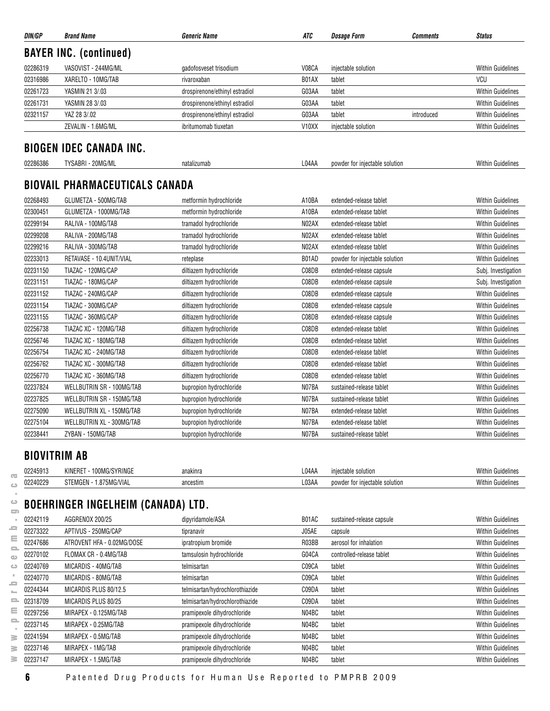| DIN/GP               | <b>Brand Name</b>                                   | <b>Generic Name</b>                                        | ATC                | <b>Dosage Form</b><br><b>Comments</b>               | <b>Status</b>                                        |
|----------------------|-----------------------------------------------------|------------------------------------------------------------|--------------------|-----------------------------------------------------|------------------------------------------------------|
|                      | <b>BAYER INC. (continued)</b>                       |                                                            |                    |                                                     |                                                      |
| 02286319             | VASOVIST - 244MG/ML                                 | gadofosveset trisodium                                     | V08CA              | injectable solution                                 | <b>Within Guidelines</b>                             |
| 02316986             | XARELTO - 10MG/TAB                                  | rivaroxaban                                                | B01AX              | tablet                                              | VCU                                                  |
| 02261723             | YASMIN 21 3/.03                                     | drospirenone/ethinyl estradiol                             | G03AA              | tablet                                              | <b>Within Guidelines</b>                             |
| 02261731             | YASMIN 28 3/.03                                     | drospirenone/ethinyl estradiol                             | G03AA              | tablet                                              | <b>Within Guidelines</b>                             |
| 02321157             | YAZ 28 3/.02                                        | drospirenone/ethinyl estradiol                             | G03AA              | tablet<br>introduced                                | <b>Within Guidelines</b>                             |
|                      | ZEVALIN - 1.6MG/ML                                  | ibritumomab tiuxetan                                       | V <sub>10</sub> XX | injectable solution                                 | <b>Within Guidelines</b>                             |
|                      |                                                     |                                                            |                    |                                                     |                                                      |
|                      | <b>BIOGEN IDEC CANADA INC.</b>                      |                                                            |                    |                                                     |                                                      |
| 02286386             | TYSABRI - 20MG/ML                                   | natalizumab                                                | L04AA              | powder for injectable solution                      | <b>Within Guidelines</b>                             |
|                      |                                                     |                                                            |                    |                                                     |                                                      |
|                      | <b>BIOVAIL PHARMACEUTICALS CANADA</b>               |                                                            |                    |                                                     |                                                      |
| 02268493             | GLUMETZA - 500MG/TAB                                | metformin hydrochloride                                    | A10BA              | extended-release tablet                             | <b>Within Guidelines</b>                             |
| 02300451             | GLUMETZA - 1000MG/TAB                               | metformin hydrochloride                                    | A10BA              | extended-release tablet                             | <b>Within Guidelines</b>                             |
| 02299194             | RALIVA - 100MG/TAB                                  | tramadol hydrochloride                                     | N02AX              | extended-release tablet                             | <b>Within Guidelines</b>                             |
| 02299208             | RALIVA - 200MG/TAB                                  | tramadol hydrochloride                                     | N02AX              | extended-release tablet                             | <b>Within Guidelines</b>                             |
| 02299216             | RALIVA - 300MG/TAB                                  | tramadol hydrochloride                                     | N02AX              | extended-release tablet                             | <b>Within Guidelines</b>                             |
| 02233013             | RETAVASE - 10.4UNIT/VIAL                            | reteplase                                                  | B01AD              | powder for injectable solution                      | <b>Within Guidelines</b>                             |
| 02231150             | TIAZAC - 120MG/CAP                                  | diltiazem hydrochloride                                    | C08DB              | extended-release capsule                            | Subj. Investigation                                  |
| 02231151             | TIAZAC - 180MG/CAP                                  | diltiazem hydrochloride                                    | C08DB              | extended-release capsule                            | Subj. Investigation                                  |
| 02231152             | TIAZAC - 240MG/CAP                                  | diltiazem hydrochloride                                    | C08DB              | extended-release capsule                            | Within Guidelines                                    |
| 02231154             | TIAZAC - 300MG/CAP                                  | diltiazem hydrochloride                                    | C08DB              | extended-release capsule                            | <b>Within Guidelines</b>                             |
| 02231155             | TIAZAC - 360MG/CAP                                  | diltiazem hydrochloride                                    | C08DB              | extended-release capsule                            | <b>Within Guidelines</b>                             |
| 02256738             | TIAZAC XC - 120MG/TAB                               | diltiazem hydrochloride                                    | C08DB              | extended-release tablet                             | <b>Within Guidelines</b>                             |
| 02256746             | TIAZAC XC - 180MG/TAB                               | diltiazem hydrochloride                                    | C08DB              | extended-release tablet                             | <b>Within Guidelines</b>                             |
| 02256754             | TIAZAC XC - 240MG/TAB                               | diltiazem hydrochloride                                    | C08DB              | extended-release tablet                             | <b>Within Guidelines</b>                             |
| 02256762             | TIAZAC XC - 300MG/TAB                               | diltiazem hydrochloride                                    | C08DB              | extended-release tablet                             | <b>Within Guidelines</b>                             |
| 02256770             | TIAZAC XC - 360MG/TAB                               | diltiazem hydrochloride                                    | C08DB              | extended-release tablet                             | <b>Within Guidelines</b>                             |
| 02237824             | WELLBUTRIN SR - 100MG/TAB                           | bupropion hydrochloride                                    | N07BA              | sustained-release tablet                            | <b>Within Guidelines</b>                             |
| 02237825             | WELLBUTRIN SR - 150MG/TAB                           | bupropion hydrochloride                                    | N07BA              | sustained-release tablet                            | <b>Within Guidelines</b>                             |
| 02275090             | WELLBUTRIN XL - 150MG/TAB                           | bupropion hydrochloride                                    | N07BA              | extended-release tablet                             | <b>Within Guidelines</b>                             |
| 02275104             | WELLBUTRIN XL - 300MG/TAB                           | bupropion hydrochloride                                    | N07BA              | extended-release tablet                             | <b>Within Guidelines</b>                             |
| 02238441             | ZYBAN - 150MG/TAB                                   | bupropion hydrochloride                                    | N07BA              | sustained-release tablet                            | <b>Within Guidelines</b>                             |
|                      |                                                     |                                                            |                    |                                                     |                                                      |
| <b>BIOVITRIM AB</b>  |                                                     |                                                            |                    |                                                     |                                                      |
| 02245913             | KINERET - 100MG/SYRINGE                             | anakinra                                                   | L04AA              | injectable solution                                 | <b>Within Guidelines</b>                             |
| 02240229             | STEMGEN - 1.875MG/VIAL                              | ancestim                                                   | L03AA              | powder for injectable solution                      | <b>Within Guidelines</b>                             |
|                      | <b>BOEHRINGER INGELHEIM (CANADA) LTD.</b>           |                                                            |                    |                                                     |                                                      |
| 02242119             | AGGRENOX 200/25                                     | dipyridamole/ASA                                           | B01AC              | sustained-release capsule                           | <b>Within Guidelines</b>                             |
| 02273322             | APTIVUS - 250MG/CAP                                 |                                                            | J05AE              |                                                     | <b>Within Guidelines</b>                             |
|                      |                                                     | tipranavir                                                 |                    | capsule                                             | <b>Within Guidelines</b>                             |
| 02247686<br>02270102 | ATROVENT HFA - 0.02MG/DOSE<br>FLOMAX CR - 0.4MG/TAB | ipratropium bromide<br>tamsulosin hydrochloride            | R03BB<br>G04CA     | aerosol for inhalation<br>controlled-release tablet | <b>Within Guidelines</b>                             |
|                      |                                                     |                                                            |                    |                                                     |                                                      |
| 02240769             | MICARDIS - 40MG/TAB                                 | telmisartan                                                | C09CA              | tablet                                              | <b>Within Guidelines</b>                             |
| 02240770             | MICARDIS - 80MG/TAB                                 | telmisartan                                                | C09CA              | tablet                                              | <b>Within Guidelines</b>                             |
| 02244344             | MICARDIS PLUS 80/12.5                               | telmisartan/hydrochlorothiazide                            | C09DA              | tablet                                              | <b>Within Guidelines</b>                             |
| 02318709             | MICARDIS PLUS 80/25                                 | telmisartan/hydrochlorothiazide                            | C09DA<br>N04BC     | tablet                                              | <b>Within Guidelines</b><br><b>Within Guidelines</b> |
| 02297256             | MIRAPEX - 0.125MG/TAB                               | pramipexole dihydrochloride                                |                    | tablet                                              |                                                      |
| 02237145<br>02241594 | MIRAPEX - 0.25MG/TAB<br>MIRAPEX - 0.5MG/TAB         | pramipexole dihydrochloride<br>pramipexole dihydrochloride | N04BC<br>N04BC     | tablet<br>tablet                                    | <b>Within Guidelines</b><br><b>Within Guidelines</b> |
| 02237146             | MIRAPEX - 1MG/TAB                                   | pramipexole dihydrochloride                                | N04BC              | tablet                                              | <b>Within Guidelines</b>                             |
|                      |                                                     |                                                            |                    |                                                     |                                                      |

**6** Patented Drug Products for Human Use Reported to PMPRB 2009

 $\geq$  02237147 MIRAPEX - 1.5MG/TAB pramipexole dihydrochloride N04BC tablet N04BC tablet Within Guidelines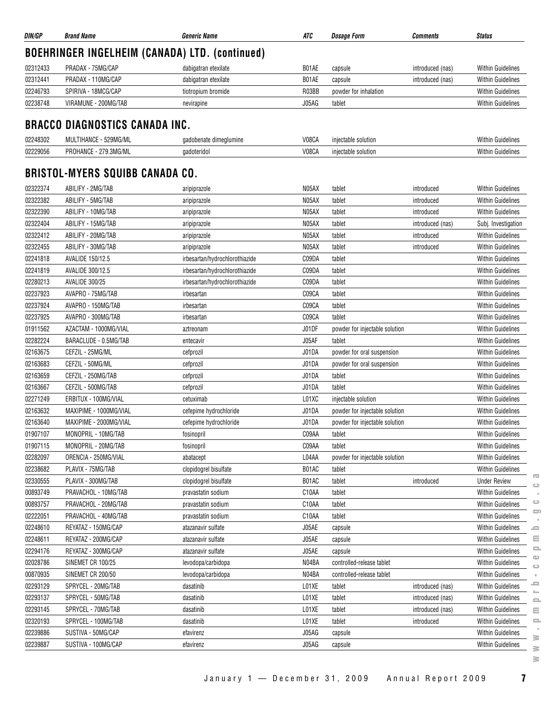| DIN/GP   | <b>Brand Name</b>                              | <b>Generic Name</b>            | ATC   | <i><b>Dosage Form</b></i>      | <b>Comments</b>  | <b>Status</b>            |
|----------|------------------------------------------------|--------------------------------|-------|--------------------------------|------------------|--------------------------|
|          | BOEHRINGER INGELHEIM (CANADA) LTD. (continued) |                                |       |                                |                  |                          |
| 02312433 | PRADAX - 75MG/CAP                              | dabigatran etexilate           | B01AE | capsule                        | introduced (nas) | <b>Within Guidelines</b> |
| 02312441 | PRADAX - 110MG/CAP                             | dabigatran etexilate           | B01AE | capsule                        | introduced (nas) | <b>Within Guidelines</b> |
| 02246793 | SPIRIVA - 18MCG/CAP                            | tiotropium bromide             | R03BB | powder for inhalation          |                  | <b>Within Guidelines</b> |
| 02238748 | VIRAMUNE - 200MG/TAB                           | nevirapine                     | J05AG | tablet                         |                  | <b>Within Guidelines</b> |
|          | <b>BRACCO DIAGNOSTICS CANADA INC.</b>          |                                |       |                                |                  |                          |
| 02248302 | MULTIHANCE - 529MG/ML                          | gadobenate dimeglumine         | V08CA | injectable solution            |                  | <b>Within Guidelines</b> |
| 02229056 | PROHANCE - 279.3MG/ML                          | gadoteridol                    | V08CA | injectable solution            |                  | <b>Within Guidelines</b> |
|          | <b>BRISTOL-MYERS SQUIBB CANADA CO.</b>         |                                |       |                                |                  |                          |
| 02322374 | ABILIFY - 2MG/TAB                              | aripiprazole                   | N05AX | tablet                         | introduced       | <b>Within Guidelines</b> |
| 02322382 | ABILIFY - 5MG/TAB                              | aripiprazole                   | N05AX | tablet                         | introduced       | <b>Within Guidelines</b> |
| 02322390 | ABILIFY - 10MG/TAB                             | aripiprazole                   | N05AX | tablet                         | introduced       | <b>Within Guidelines</b> |
| 02322404 | ABILIFY - 15MG/TAB                             | aripiprazole                   | N05AX | tablet                         | introduced (nas) | Subj. Investigation      |
| 02322412 | ABILIFY - 20MG/TAB                             | aripiprazole                   | N05AX | tablet                         | introduced       | <b>Within Guidelines</b> |
| 02322455 | ABILIFY - 30MG/TAB                             | aripiprazole                   | N05AX | tablet                         | introduced       | <b>Within Guidelines</b> |
| 02241818 | AVALIDE 150/12.5                               | irbesartan/hydrochlorothiazide | C09DA | tablet                         |                  | <b>Within Guidelines</b> |
| 02241819 | AVALIDE 300/12.5                               | irbesartan/hydrochlorothiazide | C09DA | tablet                         |                  | <b>Within Guidelines</b> |
| 02280213 | <b>AVALIDE 300/25</b>                          | irbesartan/hydrochlorothiazide | C09DA | tablet                         |                  | <b>Within Guidelines</b> |
| 02237923 | AVAPRO - 75MG/TAB                              | irbesartan                     | C09CA | tablet                         |                  | <b>Within Guidelines</b> |
| 02237924 | AVAPRO - 150MG/TAB                             | irbesartan                     | C09CA | tablet                         |                  | <b>Within Guidelines</b> |
| 02237925 | AVAPRO - 300MG/TAB                             | irbesartan                     | C09CA | tablet                         |                  | <b>Within Guidelines</b> |
| 01911562 | AZACTAM - 1000MG/VIAL                          | aztreonam                      | J01DF | powder for injectable solution |                  | <b>Within Guidelines</b> |
| 02282224 | BARACLUDE - 0.5MG/TAB                          | entecavir                      | J05AF | tablet                         |                  | <b>Within Guidelines</b> |
| 02163675 | CEFZIL - 25MG/ML                               | cefprozil                      | J01DA | powder for oral suspension     |                  | <b>Within Guidelines</b> |
| 02163683 | CEFZIL - 50MG/ML                               | cefprozil                      | J01DA | powder for oral suspension     |                  | <b>Within Guidelines</b> |
| 02163659 | CEFZIL - 250MG/TAB                             | cefprozil                      | J01DA | tablet                         |                  | <b>Within Guidelines</b> |
| 02163667 | CEFZIL - 500MG/TAB                             | cefprozil                      | J01DA | tablet                         |                  | <b>Within Guidelines</b> |
| 02271249 | ERBITUX - 100MG/VIAL                           | cetuximab                      | L01XC | injectable solution            |                  | <b>Within Guidelines</b> |
| 02163632 | MAXIPIME - 1000MG/VIAL                         | cefepime hydrochloride         | J01DA | powder for injectable solution |                  | <b>Within Guidelines</b> |
| 02163640 | MAXIPIME - 2000MG/VIAL                         | cefepime hydrochloride         | J01DA | powder for injectable solution |                  | <b>Within Guidelines</b> |
| 01907107 | MONOPRIL - 10MG/TAB                            | fosinopril                     | C09AA | tablet                         |                  | <b>Within Guidelines</b> |
| 01907115 | MONOPRIL - 20MG/TAB                            | fosinopril                     | C09AA | tablet                         |                  | <b>Within Guidelines</b> |
| 02282097 | ORENCIA - 250MG/VIAL                           | abatacept                      | L04AA | powder for injectable solution |                  | <b>Within Guidelines</b> |
| 02238682 | PLAVIX - 75MG/TAB                              | clopidogrel bisulfate          | B01AC | tablet                         |                  | <b>Within Guidelines</b> |
| 02330555 | PLAVIX - 300MG/TAB                             | clopidogrel bisulfate          | B01AC | tablet                         | introduced       | <b>Under Review</b>      |
| 00893749 | PRAVACHOL - 10MG/TAB                           | pravastatin sodium             | C10AA | tablet                         |                  | <b>Within Guidelines</b> |
| 00893757 | PRAVACHOL - 20MG/TAB                           | pravastatin sodium             | C10AA | tablet                         |                  | <b>Within Guidelines</b> |
| 02222051 | PRAVACHOL - 40MG/TAB                           | pravastatin sodium             | C10AA | tablet                         |                  | <b>Within Guidelines</b> |
| 02248610 | REYATAZ - 150MG/CAP                            | atazanavir sulfate             | J05AE | capsule                        |                  | <b>Within Guidelines</b> |
| 02248611 | REYATAZ - 200MG/CAP                            | atazanavir sulfate             | J05AE | capsule                        |                  | <b>Within Guidelines</b> |
| 02294176 | REYATAZ - 300MG/CAP                            | atazanavir sulfate             | J05AE | capsule                        |                  | <b>Within Guidelines</b> |
| 02028786 | SINEMET CR 100/25                              | levodopa/carbidopa             | N04BA | controlled-release tablet      |                  | <b>Within Guidelines</b> |
| 00870935 | SINEMET CR 200/50                              | levodopa/carbidopa             | N04BA | controlled-release tablet      |                  | <b>Within Guidelines</b> |
| 02293129 | SPRYCEL - 20MG/TAB                             | dasatinib                      | L01XE | tablet                         | introduced (nas) | Within Guidelines        |
| 02293137 | SPRYCEL - 50MG/TAB                             | dasatinib                      | L01XE | tablet                         | introduced (nas) | <b>Within Guidelines</b> |
| 02293145 | SPRYCEL - 70MG/TAB                             | dasatinib                      | L01XE | tablet                         | introduced (nas) | <b>Within Guidelines</b> |
| 02320193 | SPRYCEL - 100MG/TAB                            | dasatinib                      | L01XE | tablet                         | introduced       | <b>Within Guidelines</b> |
| 02239886 | SUSTIVA - 50MG/CAP                             | efavirenz                      | J05AG | capsule                        |                  | <b>Within Guidelines</b> |
| 02239887 | SUSTIVA - 100MG/CAP                            | efavirenz                      | J05AG | capsule                        |                  | Within Guidelines        |

**www.pmprb-cepmb.gc.ca** $\equiv$  $\equiv$  $\equiv$  $\sim$  $\geq$  $\geq$  $\geq$ 

 $\overline{\infty}$  $\mathord{\hookrightarrow}$  $\sim$  $\mathrel{\ensuremath{\mathop{\rule{0pt}{0.5ex}\nolimits\stackrel{\longleftarrow}{\hspace{0.15ex}}}}}$  $\qquad \qquad \qquad \qquad \qquad$  $\bar{z}$  $\equiv$  $\equiv$  $\equiv$  $\hfill\square$  $\hfill\square$  $\mathbb{R}^2$  $\equiv$  $\sim$ 

January 1 — December 31, 2009 Annual Report 2009 **7**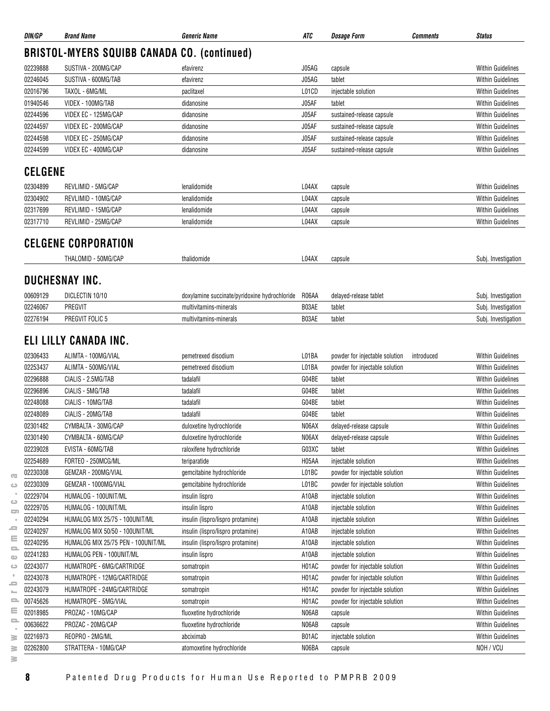| <b>BRISTOL-MYERS SQUIBB CANADA CO. (continued)</b><br>02239888<br>SUSTIVA - 200MG/CAP<br>J05AG<br>efavirenz<br>capsule<br>02246045<br>J05AG<br>SUSTIVA - 600MG/TAB<br>efavirenz<br>tablet<br>02016796<br>TAXOL - 6MG/ML<br>L01CD<br>injectable solution<br>paclitaxel<br>01940546<br>VIDEX - 100MG/TAB<br>J05AF<br>tablet<br>didanosine<br>J05AF<br>02244596<br>VIDEX EC - 125MG/CAP<br>didanosine<br>sustained-release capsule<br>02244597<br>VIDEX EC - 200MG/CAP<br>J05AF<br>sustained-release capsule<br>didanosine<br>J05AF<br>02244598<br>VIDEX EC - 250MG/CAP<br>sustained-release capsule<br>didanosine<br>J05AF<br>02244599<br>VIDEX EC - 400MG/CAP<br>didanosine<br>sustained-release capsule<br><b>CELGENE</b><br>02304899<br>REVLIMID - 5MG/CAP<br>lenalidomide<br>L04AX<br><b>Within Guidelines</b><br>capsule<br>02304902<br>REVLIMID - 10MG/CAP<br>L04AX<br><b>Within Guidelines</b><br>lenalidomide<br>capsule<br>02317699<br>REVLIMID - 15MG/CAP<br>L04AX<br>lenalidomide<br>capsule<br><b>Within Guidelines</b><br>02317710<br>REVLIMID - 25MG/CAP<br>lenalidomide<br>L04AX<br><b>Within Guidelines</b><br>capsule<br>CELGENE CORPORATION<br>L04AX<br>THALOMID - 50MG/CAP<br>thalidomide<br>capsule<br><b>DUCHESNAY INC.</b><br>00609129<br>DICLECTIN 10/10<br>doxylamine succinate/pyridoxine hydrochloride<br>R06AA<br>delayed-release tablet<br>02246067<br>PREGVIT<br>B03AE<br>multivitamins-minerals<br>tablet<br>B03AE<br>02276194<br>PREGVIT FOLIC 5<br>tablet<br>multivitamins-minerals<br>ELI LILLY CANADA INC.<br>02306433<br>L01BA<br>ALIMTA - 100MG/VIAL<br>pemetrexed disodium<br>powder for injectable solution<br>introduced<br>02253437<br>ALIMTA - 500MG/VIAL<br>L01BA<br>pemetrexed disodium<br>powder for injectable solution<br>02296888<br>CIALIS - 2.5MG/TAB<br>G04BE<br>tadalafil<br>tablet<br>02296896<br>CIALIS - 5MG/TAB<br>G04BE<br>tadalafil<br>tablet<br>02248088<br>CIALIS - 10MG/TAB<br>tadalafil<br>G04BE<br><b>Within Guidelines</b><br>tablet<br>G04BE<br>02248089<br>CIALIS - 20MG/TAB<br>tadalafil<br>tablet<br>02301482<br>CYMBALTA - 30MG/CAP<br>duloxetine hydrochloride<br>N06AX<br>delayed-release capsule<br><b>Within Guidelines</b><br>02301490<br>CYMBALTA - 60MG/CAP<br>N06AX<br>duloxetine hydrochloride<br>delayed-release capsule<br>02239028<br>EVISTA - 60MG/TAB<br>raloxifene hydrochloride<br>G03XC<br>tablet<br><b>Within Guidelines</b><br>02254689<br>FORTEO - 250MCG/ML<br>H05AA<br>teriparatide<br>injectable solution<br><b>Within Guidelines</b><br>02230308<br>GEMZAR - 200MG/VIAL<br>L01BC<br><b>Within Guidelines</b><br>gemcitabine hydrochloride<br>powder for injectable solution<br>02230309<br>GEMZAR - 1000MG/VIAL<br>gemcitabine hydrochloride<br>L01BC<br>powder for injectable solution<br><b>Within Guidelines</b><br>02229704<br>A10AB<br>HUMALOG - 100UNIT/ML<br><b>Within Guidelines</b><br>insulin lispro<br>injectable solution<br>A10AB<br>02229705<br>HUMALOG - 100UNIT/ML<br>insulin lispro<br>injectable solution<br><b>Within Guidelines</b><br>$\Box$<br>02240294<br>HUMALOG MIX 25/75 - 100UNIT/ML<br>insulin (lispro/lispro protamine)<br>A10AB<br><b>Within Guidelines</b><br>injectable solution<br>02240297<br>A10AB<br>HUMALOG MIX 50/50 - 100UNIT/ML<br>insulin (lispro/lispro protamine)<br>injectable solution<br><b>Within Guidelines</b><br>02240295<br>HUMALOG MIX 25/75 PEN - 100UNIT/ML<br>A10AB<br><b>Within Guidelines</b><br>insulin (lispro/lispro protamine)<br>injectable solution<br>으<br>02241283<br>HUMALOG PEN - 100UNIT/ML<br>A10AB<br><b>Within Guidelines</b><br>insulin lispro<br>injectable solution<br>H01AC<br>02243077<br>HUMATROPE - 6MG/CARTRIDGE<br><b>Within Guidelines</b><br>powder for injectable solution<br>somatropin<br>02243078<br>HUMATROPE - 12MG/CARTRIDGE<br>H01AC<br><b>Within Guidelines</b><br>powder for injectable solution<br>somatropin<br>H01AC<br>02243079<br>HUMATROPE - 24MG/CARTRIDGE<br>powder for injectable solution<br><b>Within Guidelines</b><br>somatropin<br>00745626<br>H01AC<br>HUMATROPE - 5MG/VIAL<br><b>Within Guidelines</b><br>으<br>somatropin<br>powder for injectable solution<br>02018985<br>PROZAC - 10MG/CAP<br>N06AB<br>fluoxetine hydrochloride<br>capsule<br>≏<br>00636622<br>PROZAC - 20MG/CAP<br>fluoxetine hydrochloride<br>N06AB<br>capsule<br>REOPRO - 2MG/ML<br>B01AC<br>02216973<br>injectable solution<br>abciximab<br>≧ | DIN/GP   | <b>Brand Name</b>    | <b>Generic Name</b>       | ATC   | <b>Dosage Form</b><br><b>Comments</b> | <b>Status</b>            |
|---------------------------------------------------------------------------------------------------------------------------------------------------------------------------------------------------------------------------------------------------------------------------------------------------------------------------------------------------------------------------------------------------------------------------------------------------------------------------------------------------------------------------------------------------------------------------------------------------------------------------------------------------------------------------------------------------------------------------------------------------------------------------------------------------------------------------------------------------------------------------------------------------------------------------------------------------------------------------------------------------------------------------------------------------------------------------------------------------------------------------------------------------------------------------------------------------------------------------------------------------------------------------------------------------------------------------------------------------------------------------------------------------------------------------------------------------------------------------------------------------------------------------------------------------------------------------------------------------------------------------------------------------------------------------------------------------------------------------------------------------------------------------------------------------------------------------------------------------------------------------------------------------------------------------------------------------------------------------------------------------------------------------------------------------------------------------------------------------------------------------------------------------------------------------------------------------------------------------------------------------------------------------------------------------------------------------------------------------------------------------------------------------------------------------------------------------------------------------------------------------------------------------------------------------------------------------------------------------------------------------------------------------------------------------------------------------------------------------------------------------------------------------------------------------------------------------------------------------------------------------------------------------------------------------------------------------------------------------------------------------------------------------------------------------------------------------------------------------------------------------------------------------------------------------------------------------------------------------------------------------------------------------------------------------------------------------------------------------------------------------------------------------------------------------------------------------------------------------------------------------------------------------------------------------------------------------------------------------------------------------------------------------------------------------------------------------------------------------------------------------------------------------------------------------------------------------------------------------------------------------------------------------------------------------------------------------------------------------------------------------------------------------------------------------------------------------------------------------------------------------------------------------------------------------------------------------------------------------------------------------------------------------------------------------------------------------------------------------------------------------------------------------------------------------|----------|----------------------|---------------------------|-------|---------------------------------------|--------------------------|
|                                                                                                                                                                                                                                                                                                                                                                                                                                                                                                                                                                                                                                                                                                                                                                                                                                                                                                                                                                                                                                                                                                                                                                                                                                                                                                                                                                                                                                                                                                                                                                                                                                                                                                                                                                                                                                                                                                                                                                                                                                                                                                                                                                                                                                                                                                                                                                                                                                                                                                                                                                                                                                                                                                                                                                                                                                                                                                                                                                                                                                                                                                                                                                                                                                                                                                                                                                                                                                                                                                                                                                                                                                                                                                                                                                                                                                                                                                                                                                                                                                                                                                                                                                                                                                                                                                                                                                                                                           |          |                      |                           |       |                                       |                          |
|                                                                                                                                                                                                                                                                                                                                                                                                                                                                                                                                                                                                                                                                                                                                                                                                                                                                                                                                                                                                                                                                                                                                                                                                                                                                                                                                                                                                                                                                                                                                                                                                                                                                                                                                                                                                                                                                                                                                                                                                                                                                                                                                                                                                                                                                                                                                                                                                                                                                                                                                                                                                                                                                                                                                                                                                                                                                                                                                                                                                                                                                                                                                                                                                                                                                                                                                                                                                                                                                                                                                                                                                                                                                                                                                                                                                                                                                                                                                                                                                                                                                                                                                                                                                                                                                                                                                                                                                                           |          |                      |                           |       |                                       | <b>Within Guidelines</b> |
|                                                                                                                                                                                                                                                                                                                                                                                                                                                                                                                                                                                                                                                                                                                                                                                                                                                                                                                                                                                                                                                                                                                                                                                                                                                                                                                                                                                                                                                                                                                                                                                                                                                                                                                                                                                                                                                                                                                                                                                                                                                                                                                                                                                                                                                                                                                                                                                                                                                                                                                                                                                                                                                                                                                                                                                                                                                                                                                                                                                                                                                                                                                                                                                                                                                                                                                                                                                                                                                                                                                                                                                                                                                                                                                                                                                                                                                                                                                                                                                                                                                                                                                                                                                                                                                                                                                                                                                                                           |          |                      |                           |       |                                       | <b>Within Guidelines</b> |
|                                                                                                                                                                                                                                                                                                                                                                                                                                                                                                                                                                                                                                                                                                                                                                                                                                                                                                                                                                                                                                                                                                                                                                                                                                                                                                                                                                                                                                                                                                                                                                                                                                                                                                                                                                                                                                                                                                                                                                                                                                                                                                                                                                                                                                                                                                                                                                                                                                                                                                                                                                                                                                                                                                                                                                                                                                                                                                                                                                                                                                                                                                                                                                                                                                                                                                                                                                                                                                                                                                                                                                                                                                                                                                                                                                                                                                                                                                                                                                                                                                                                                                                                                                                                                                                                                                                                                                                                                           |          |                      |                           |       |                                       | <b>Within Guidelines</b> |
|                                                                                                                                                                                                                                                                                                                                                                                                                                                                                                                                                                                                                                                                                                                                                                                                                                                                                                                                                                                                                                                                                                                                                                                                                                                                                                                                                                                                                                                                                                                                                                                                                                                                                                                                                                                                                                                                                                                                                                                                                                                                                                                                                                                                                                                                                                                                                                                                                                                                                                                                                                                                                                                                                                                                                                                                                                                                                                                                                                                                                                                                                                                                                                                                                                                                                                                                                                                                                                                                                                                                                                                                                                                                                                                                                                                                                                                                                                                                                                                                                                                                                                                                                                                                                                                                                                                                                                                                                           |          |                      |                           |       |                                       | <b>Within Guidelines</b> |
|                                                                                                                                                                                                                                                                                                                                                                                                                                                                                                                                                                                                                                                                                                                                                                                                                                                                                                                                                                                                                                                                                                                                                                                                                                                                                                                                                                                                                                                                                                                                                                                                                                                                                                                                                                                                                                                                                                                                                                                                                                                                                                                                                                                                                                                                                                                                                                                                                                                                                                                                                                                                                                                                                                                                                                                                                                                                                                                                                                                                                                                                                                                                                                                                                                                                                                                                                                                                                                                                                                                                                                                                                                                                                                                                                                                                                                                                                                                                                                                                                                                                                                                                                                                                                                                                                                                                                                                                                           |          |                      |                           |       |                                       | <b>Within Guidelines</b> |
|                                                                                                                                                                                                                                                                                                                                                                                                                                                                                                                                                                                                                                                                                                                                                                                                                                                                                                                                                                                                                                                                                                                                                                                                                                                                                                                                                                                                                                                                                                                                                                                                                                                                                                                                                                                                                                                                                                                                                                                                                                                                                                                                                                                                                                                                                                                                                                                                                                                                                                                                                                                                                                                                                                                                                                                                                                                                                                                                                                                                                                                                                                                                                                                                                                                                                                                                                                                                                                                                                                                                                                                                                                                                                                                                                                                                                                                                                                                                                                                                                                                                                                                                                                                                                                                                                                                                                                                                                           |          |                      |                           |       |                                       | <b>Within Guidelines</b> |
|                                                                                                                                                                                                                                                                                                                                                                                                                                                                                                                                                                                                                                                                                                                                                                                                                                                                                                                                                                                                                                                                                                                                                                                                                                                                                                                                                                                                                                                                                                                                                                                                                                                                                                                                                                                                                                                                                                                                                                                                                                                                                                                                                                                                                                                                                                                                                                                                                                                                                                                                                                                                                                                                                                                                                                                                                                                                                                                                                                                                                                                                                                                                                                                                                                                                                                                                                                                                                                                                                                                                                                                                                                                                                                                                                                                                                                                                                                                                                                                                                                                                                                                                                                                                                                                                                                                                                                                                                           |          |                      |                           |       |                                       | <b>Within Guidelines</b> |
|                                                                                                                                                                                                                                                                                                                                                                                                                                                                                                                                                                                                                                                                                                                                                                                                                                                                                                                                                                                                                                                                                                                                                                                                                                                                                                                                                                                                                                                                                                                                                                                                                                                                                                                                                                                                                                                                                                                                                                                                                                                                                                                                                                                                                                                                                                                                                                                                                                                                                                                                                                                                                                                                                                                                                                                                                                                                                                                                                                                                                                                                                                                                                                                                                                                                                                                                                                                                                                                                                                                                                                                                                                                                                                                                                                                                                                                                                                                                                                                                                                                                                                                                                                                                                                                                                                                                                                                                                           |          |                      |                           |       |                                       | <b>Within Guidelines</b> |
|                                                                                                                                                                                                                                                                                                                                                                                                                                                                                                                                                                                                                                                                                                                                                                                                                                                                                                                                                                                                                                                                                                                                                                                                                                                                                                                                                                                                                                                                                                                                                                                                                                                                                                                                                                                                                                                                                                                                                                                                                                                                                                                                                                                                                                                                                                                                                                                                                                                                                                                                                                                                                                                                                                                                                                                                                                                                                                                                                                                                                                                                                                                                                                                                                                                                                                                                                                                                                                                                                                                                                                                                                                                                                                                                                                                                                                                                                                                                                                                                                                                                                                                                                                                                                                                                                                                                                                                                                           |          |                      |                           |       |                                       |                          |
|                                                                                                                                                                                                                                                                                                                                                                                                                                                                                                                                                                                                                                                                                                                                                                                                                                                                                                                                                                                                                                                                                                                                                                                                                                                                                                                                                                                                                                                                                                                                                                                                                                                                                                                                                                                                                                                                                                                                                                                                                                                                                                                                                                                                                                                                                                                                                                                                                                                                                                                                                                                                                                                                                                                                                                                                                                                                                                                                                                                                                                                                                                                                                                                                                                                                                                                                                                                                                                                                                                                                                                                                                                                                                                                                                                                                                                                                                                                                                                                                                                                                                                                                                                                                                                                                                                                                                                                                                           |          |                      |                           |       |                                       |                          |
|                                                                                                                                                                                                                                                                                                                                                                                                                                                                                                                                                                                                                                                                                                                                                                                                                                                                                                                                                                                                                                                                                                                                                                                                                                                                                                                                                                                                                                                                                                                                                                                                                                                                                                                                                                                                                                                                                                                                                                                                                                                                                                                                                                                                                                                                                                                                                                                                                                                                                                                                                                                                                                                                                                                                                                                                                                                                                                                                                                                                                                                                                                                                                                                                                                                                                                                                                                                                                                                                                                                                                                                                                                                                                                                                                                                                                                                                                                                                                                                                                                                                                                                                                                                                                                                                                                                                                                                                                           |          |                      |                           |       |                                       |                          |
|                                                                                                                                                                                                                                                                                                                                                                                                                                                                                                                                                                                                                                                                                                                                                                                                                                                                                                                                                                                                                                                                                                                                                                                                                                                                                                                                                                                                                                                                                                                                                                                                                                                                                                                                                                                                                                                                                                                                                                                                                                                                                                                                                                                                                                                                                                                                                                                                                                                                                                                                                                                                                                                                                                                                                                                                                                                                                                                                                                                                                                                                                                                                                                                                                                                                                                                                                                                                                                                                                                                                                                                                                                                                                                                                                                                                                                                                                                                                                                                                                                                                                                                                                                                                                                                                                                                                                                                                                           |          |                      |                           |       |                                       |                          |
|                                                                                                                                                                                                                                                                                                                                                                                                                                                                                                                                                                                                                                                                                                                                                                                                                                                                                                                                                                                                                                                                                                                                                                                                                                                                                                                                                                                                                                                                                                                                                                                                                                                                                                                                                                                                                                                                                                                                                                                                                                                                                                                                                                                                                                                                                                                                                                                                                                                                                                                                                                                                                                                                                                                                                                                                                                                                                                                                                                                                                                                                                                                                                                                                                                                                                                                                                                                                                                                                                                                                                                                                                                                                                                                                                                                                                                                                                                                                                                                                                                                                                                                                                                                                                                                                                                                                                                                                                           |          |                      |                           |       |                                       |                          |
|                                                                                                                                                                                                                                                                                                                                                                                                                                                                                                                                                                                                                                                                                                                                                                                                                                                                                                                                                                                                                                                                                                                                                                                                                                                                                                                                                                                                                                                                                                                                                                                                                                                                                                                                                                                                                                                                                                                                                                                                                                                                                                                                                                                                                                                                                                                                                                                                                                                                                                                                                                                                                                                                                                                                                                                                                                                                                                                                                                                                                                                                                                                                                                                                                                                                                                                                                                                                                                                                                                                                                                                                                                                                                                                                                                                                                                                                                                                                                                                                                                                                                                                                                                                                                                                                                                                                                                                                                           |          |                      |                           |       |                                       |                          |
|                                                                                                                                                                                                                                                                                                                                                                                                                                                                                                                                                                                                                                                                                                                                                                                                                                                                                                                                                                                                                                                                                                                                                                                                                                                                                                                                                                                                                                                                                                                                                                                                                                                                                                                                                                                                                                                                                                                                                                                                                                                                                                                                                                                                                                                                                                                                                                                                                                                                                                                                                                                                                                                                                                                                                                                                                                                                                                                                                                                                                                                                                                                                                                                                                                                                                                                                                                                                                                                                                                                                                                                                                                                                                                                                                                                                                                                                                                                                                                                                                                                                                                                                                                                                                                                                                                                                                                                                                           |          |                      |                           |       |                                       |                          |
|                                                                                                                                                                                                                                                                                                                                                                                                                                                                                                                                                                                                                                                                                                                                                                                                                                                                                                                                                                                                                                                                                                                                                                                                                                                                                                                                                                                                                                                                                                                                                                                                                                                                                                                                                                                                                                                                                                                                                                                                                                                                                                                                                                                                                                                                                                                                                                                                                                                                                                                                                                                                                                                                                                                                                                                                                                                                                                                                                                                                                                                                                                                                                                                                                                                                                                                                                                                                                                                                                                                                                                                                                                                                                                                                                                                                                                                                                                                                                                                                                                                                                                                                                                                                                                                                                                                                                                                                                           |          |                      |                           |       |                                       | Subj. Investigation      |
|                                                                                                                                                                                                                                                                                                                                                                                                                                                                                                                                                                                                                                                                                                                                                                                                                                                                                                                                                                                                                                                                                                                                                                                                                                                                                                                                                                                                                                                                                                                                                                                                                                                                                                                                                                                                                                                                                                                                                                                                                                                                                                                                                                                                                                                                                                                                                                                                                                                                                                                                                                                                                                                                                                                                                                                                                                                                                                                                                                                                                                                                                                                                                                                                                                                                                                                                                                                                                                                                                                                                                                                                                                                                                                                                                                                                                                                                                                                                                                                                                                                                                                                                                                                                                                                                                                                                                                                                                           |          |                      |                           |       |                                       |                          |
|                                                                                                                                                                                                                                                                                                                                                                                                                                                                                                                                                                                                                                                                                                                                                                                                                                                                                                                                                                                                                                                                                                                                                                                                                                                                                                                                                                                                                                                                                                                                                                                                                                                                                                                                                                                                                                                                                                                                                                                                                                                                                                                                                                                                                                                                                                                                                                                                                                                                                                                                                                                                                                                                                                                                                                                                                                                                                                                                                                                                                                                                                                                                                                                                                                                                                                                                                                                                                                                                                                                                                                                                                                                                                                                                                                                                                                                                                                                                                                                                                                                                                                                                                                                                                                                                                                                                                                                                                           |          |                      |                           |       |                                       | Subj. Investigation      |
|                                                                                                                                                                                                                                                                                                                                                                                                                                                                                                                                                                                                                                                                                                                                                                                                                                                                                                                                                                                                                                                                                                                                                                                                                                                                                                                                                                                                                                                                                                                                                                                                                                                                                                                                                                                                                                                                                                                                                                                                                                                                                                                                                                                                                                                                                                                                                                                                                                                                                                                                                                                                                                                                                                                                                                                                                                                                                                                                                                                                                                                                                                                                                                                                                                                                                                                                                                                                                                                                                                                                                                                                                                                                                                                                                                                                                                                                                                                                                                                                                                                                                                                                                                                                                                                                                                                                                                                                                           |          |                      |                           |       |                                       | Subj. Investigation      |
|                                                                                                                                                                                                                                                                                                                                                                                                                                                                                                                                                                                                                                                                                                                                                                                                                                                                                                                                                                                                                                                                                                                                                                                                                                                                                                                                                                                                                                                                                                                                                                                                                                                                                                                                                                                                                                                                                                                                                                                                                                                                                                                                                                                                                                                                                                                                                                                                                                                                                                                                                                                                                                                                                                                                                                                                                                                                                                                                                                                                                                                                                                                                                                                                                                                                                                                                                                                                                                                                                                                                                                                                                                                                                                                                                                                                                                                                                                                                                                                                                                                                                                                                                                                                                                                                                                                                                                                                                           |          |                      |                           |       |                                       | Subj. Investigation      |
|                                                                                                                                                                                                                                                                                                                                                                                                                                                                                                                                                                                                                                                                                                                                                                                                                                                                                                                                                                                                                                                                                                                                                                                                                                                                                                                                                                                                                                                                                                                                                                                                                                                                                                                                                                                                                                                                                                                                                                                                                                                                                                                                                                                                                                                                                                                                                                                                                                                                                                                                                                                                                                                                                                                                                                                                                                                                                                                                                                                                                                                                                                                                                                                                                                                                                                                                                                                                                                                                                                                                                                                                                                                                                                                                                                                                                                                                                                                                                                                                                                                                                                                                                                                                                                                                                                                                                                                                                           |          |                      |                           |       |                                       | <b>Within Guidelines</b> |
|                                                                                                                                                                                                                                                                                                                                                                                                                                                                                                                                                                                                                                                                                                                                                                                                                                                                                                                                                                                                                                                                                                                                                                                                                                                                                                                                                                                                                                                                                                                                                                                                                                                                                                                                                                                                                                                                                                                                                                                                                                                                                                                                                                                                                                                                                                                                                                                                                                                                                                                                                                                                                                                                                                                                                                                                                                                                                                                                                                                                                                                                                                                                                                                                                                                                                                                                                                                                                                                                                                                                                                                                                                                                                                                                                                                                                                                                                                                                                                                                                                                                                                                                                                                                                                                                                                                                                                                                                           |          |                      |                           |       |                                       | <b>Within Guidelines</b> |
|                                                                                                                                                                                                                                                                                                                                                                                                                                                                                                                                                                                                                                                                                                                                                                                                                                                                                                                                                                                                                                                                                                                                                                                                                                                                                                                                                                                                                                                                                                                                                                                                                                                                                                                                                                                                                                                                                                                                                                                                                                                                                                                                                                                                                                                                                                                                                                                                                                                                                                                                                                                                                                                                                                                                                                                                                                                                                                                                                                                                                                                                                                                                                                                                                                                                                                                                                                                                                                                                                                                                                                                                                                                                                                                                                                                                                                                                                                                                                                                                                                                                                                                                                                                                                                                                                                                                                                                                                           |          |                      |                           |       |                                       | <b>Within Guidelines</b> |
|                                                                                                                                                                                                                                                                                                                                                                                                                                                                                                                                                                                                                                                                                                                                                                                                                                                                                                                                                                                                                                                                                                                                                                                                                                                                                                                                                                                                                                                                                                                                                                                                                                                                                                                                                                                                                                                                                                                                                                                                                                                                                                                                                                                                                                                                                                                                                                                                                                                                                                                                                                                                                                                                                                                                                                                                                                                                                                                                                                                                                                                                                                                                                                                                                                                                                                                                                                                                                                                                                                                                                                                                                                                                                                                                                                                                                                                                                                                                                                                                                                                                                                                                                                                                                                                                                                                                                                                                                           |          |                      |                           |       |                                       | <b>Within Guidelines</b> |
|                                                                                                                                                                                                                                                                                                                                                                                                                                                                                                                                                                                                                                                                                                                                                                                                                                                                                                                                                                                                                                                                                                                                                                                                                                                                                                                                                                                                                                                                                                                                                                                                                                                                                                                                                                                                                                                                                                                                                                                                                                                                                                                                                                                                                                                                                                                                                                                                                                                                                                                                                                                                                                                                                                                                                                                                                                                                                                                                                                                                                                                                                                                                                                                                                                                                                                                                                                                                                                                                                                                                                                                                                                                                                                                                                                                                                                                                                                                                                                                                                                                                                                                                                                                                                                                                                                                                                                                                                           |          |                      |                           |       |                                       |                          |
|                                                                                                                                                                                                                                                                                                                                                                                                                                                                                                                                                                                                                                                                                                                                                                                                                                                                                                                                                                                                                                                                                                                                                                                                                                                                                                                                                                                                                                                                                                                                                                                                                                                                                                                                                                                                                                                                                                                                                                                                                                                                                                                                                                                                                                                                                                                                                                                                                                                                                                                                                                                                                                                                                                                                                                                                                                                                                                                                                                                                                                                                                                                                                                                                                                                                                                                                                                                                                                                                                                                                                                                                                                                                                                                                                                                                                                                                                                                                                                                                                                                                                                                                                                                                                                                                                                                                                                                                                           |          |                      |                           |       |                                       | <b>Within Guidelines</b> |
|                                                                                                                                                                                                                                                                                                                                                                                                                                                                                                                                                                                                                                                                                                                                                                                                                                                                                                                                                                                                                                                                                                                                                                                                                                                                                                                                                                                                                                                                                                                                                                                                                                                                                                                                                                                                                                                                                                                                                                                                                                                                                                                                                                                                                                                                                                                                                                                                                                                                                                                                                                                                                                                                                                                                                                                                                                                                                                                                                                                                                                                                                                                                                                                                                                                                                                                                                                                                                                                                                                                                                                                                                                                                                                                                                                                                                                                                                                                                                                                                                                                                                                                                                                                                                                                                                                                                                                                                                           |          |                      |                           |       |                                       |                          |
|                                                                                                                                                                                                                                                                                                                                                                                                                                                                                                                                                                                                                                                                                                                                                                                                                                                                                                                                                                                                                                                                                                                                                                                                                                                                                                                                                                                                                                                                                                                                                                                                                                                                                                                                                                                                                                                                                                                                                                                                                                                                                                                                                                                                                                                                                                                                                                                                                                                                                                                                                                                                                                                                                                                                                                                                                                                                                                                                                                                                                                                                                                                                                                                                                                                                                                                                                                                                                                                                                                                                                                                                                                                                                                                                                                                                                                                                                                                                                                                                                                                                                                                                                                                                                                                                                                                                                                                                                           |          |                      |                           |       |                                       | <b>Within Guidelines</b> |
|                                                                                                                                                                                                                                                                                                                                                                                                                                                                                                                                                                                                                                                                                                                                                                                                                                                                                                                                                                                                                                                                                                                                                                                                                                                                                                                                                                                                                                                                                                                                                                                                                                                                                                                                                                                                                                                                                                                                                                                                                                                                                                                                                                                                                                                                                                                                                                                                                                                                                                                                                                                                                                                                                                                                                                                                                                                                                                                                                                                                                                                                                                                                                                                                                                                                                                                                                                                                                                                                                                                                                                                                                                                                                                                                                                                                                                                                                                                                                                                                                                                                                                                                                                                                                                                                                                                                                                                                                           |          |                      |                           |       |                                       |                          |
|                                                                                                                                                                                                                                                                                                                                                                                                                                                                                                                                                                                                                                                                                                                                                                                                                                                                                                                                                                                                                                                                                                                                                                                                                                                                                                                                                                                                                                                                                                                                                                                                                                                                                                                                                                                                                                                                                                                                                                                                                                                                                                                                                                                                                                                                                                                                                                                                                                                                                                                                                                                                                                                                                                                                                                                                                                                                                                                                                                                                                                                                                                                                                                                                                                                                                                                                                                                                                                                                                                                                                                                                                                                                                                                                                                                                                                                                                                                                                                                                                                                                                                                                                                                                                                                                                                                                                                                                                           |          |                      |                           |       |                                       |                          |
|                                                                                                                                                                                                                                                                                                                                                                                                                                                                                                                                                                                                                                                                                                                                                                                                                                                                                                                                                                                                                                                                                                                                                                                                                                                                                                                                                                                                                                                                                                                                                                                                                                                                                                                                                                                                                                                                                                                                                                                                                                                                                                                                                                                                                                                                                                                                                                                                                                                                                                                                                                                                                                                                                                                                                                                                                                                                                                                                                                                                                                                                                                                                                                                                                                                                                                                                                                                                                                                                                                                                                                                                                                                                                                                                                                                                                                                                                                                                                                                                                                                                                                                                                                                                                                                                                                                                                                                                                           |          |                      |                           |       |                                       |                          |
|                                                                                                                                                                                                                                                                                                                                                                                                                                                                                                                                                                                                                                                                                                                                                                                                                                                                                                                                                                                                                                                                                                                                                                                                                                                                                                                                                                                                                                                                                                                                                                                                                                                                                                                                                                                                                                                                                                                                                                                                                                                                                                                                                                                                                                                                                                                                                                                                                                                                                                                                                                                                                                                                                                                                                                                                                                                                                                                                                                                                                                                                                                                                                                                                                                                                                                                                                                                                                                                                                                                                                                                                                                                                                                                                                                                                                                                                                                                                                                                                                                                                                                                                                                                                                                                                                                                                                                                                                           |          |                      |                           |       |                                       |                          |
|                                                                                                                                                                                                                                                                                                                                                                                                                                                                                                                                                                                                                                                                                                                                                                                                                                                                                                                                                                                                                                                                                                                                                                                                                                                                                                                                                                                                                                                                                                                                                                                                                                                                                                                                                                                                                                                                                                                                                                                                                                                                                                                                                                                                                                                                                                                                                                                                                                                                                                                                                                                                                                                                                                                                                                                                                                                                                                                                                                                                                                                                                                                                                                                                                                                                                                                                                                                                                                                                                                                                                                                                                                                                                                                                                                                                                                                                                                                                                                                                                                                                                                                                                                                                                                                                                                                                                                                                                           |          |                      |                           |       |                                       |                          |
|                                                                                                                                                                                                                                                                                                                                                                                                                                                                                                                                                                                                                                                                                                                                                                                                                                                                                                                                                                                                                                                                                                                                                                                                                                                                                                                                                                                                                                                                                                                                                                                                                                                                                                                                                                                                                                                                                                                                                                                                                                                                                                                                                                                                                                                                                                                                                                                                                                                                                                                                                                                                                                                                                                                                                                                                                                                                                                                                                                                                                                                                                                                                                                                                                                                                                                                                                                                                                                                                                                                                                                                                                                                                                                                                                                                                                                                                                                                                                                                                                                                                                                                                                                                                                                                                                                                                                                                                                           |          |                      |                           |       |                                       |                          |
|                                                                                                                                                                                                                                                                                                                                                                                                                                                                                                                                                                                                                                                                                                                                                                                                                                                                                                                                                                                                                                                                                                                                                                                                                                                                                                                                                                                                                                                                                                                                                                                                                                                                                                                                                                                                                                                                                                                                                                                                                                                                                                                                                                                                                                                                                                                                                                                                                                                                                                                                                                                                                                                                                                                                                                                                                                                                                                                                                                                                                                                                                                                                                                                                                                                                                                                                                                                                                                                                                                                                                                                                                                                                                                                                                                                                                                                                                                                                                                                                                                                                                                                                                                                                                                                                                                                                                                                                                           |          |                      |                           |       |                                       |                          |
|                                                                                                                                                                                                                                                                                                                                                                                                                                                                                                                                                                                                                                                                                                                                                                                                                                                                                                                                                                                                                                                                                                                                                                                                                                                                                                                                                                                                                                                                                                                                                                                                                                                                                                                                                                                                                                                                                                                                                                                                                                                                                                                                                                                                                                                                                                                                                                                                                                                                                                                                                                                                                                                                                                                                                                                                                                                                                                                                                                                                                                                                                                                                                                                                                                                                                                                                                                                                                                                                                                                                                                                                                                                                                                                                                                                                                                                                                                                                                                                                                                                                                                                                                                                                                                                                                                                                                                                                                           |          |                      |                           |       |                                       |                          |
|                                                                                                                                                                                                                                                                                                                                                                                                                                                                                                                                                                                                                                                                                                                                                                                                                                                                                                                                                                                                                                                                                                                                                                                                                                                                                                                                                                                                                                                                                                                                                                                                                                                                                                                                                                                                                                                                                                                                                                                                                                                                                                                                                                                                                                                                                                                                                                                                                                                                                                                                                                                                                                                                                                                                                                                                                                                                                                                                                                                                                                                                                                                                                                                                                                                                                                                                                                                                                                                                                                                                                                                                                                                                                                                                                                                                                                                                                                                                                                                                                                                                                                                                                                                                                                                                                                                                                                                                                           |          |                      |                           |       |                                       |                          |
|                                                                                                                                                                                                                                                                                                                                                                                                                                                                                                                                                                                                                                                                                                                                                                                                                                                                                                                                                                                                                                                                                                                                                                                                                                                                                                                                                                                                                                                                                                                                                                                                                                                                                                                                                                                                                                                                                                                                                                                                                                                                                                                                                                                                                                                                                                                                                                                                                                                                                                                                                                                                                                                                                                                                                                                                                                                                                                                                                                                                                                                                                                                                                                                                                                                                                                                                                                                                                                                                                                                                                                                                                                                                                                                                                                                                                                                                                                                                                                                                                                                                                                                                                                                                                                                                                                                                                                                                                           |          |                      |                           |       |                                       |                          |
|                                                                                                                                                                                                                                                                                                                                                                                                                                                                                                                                                                                                                                                                                                                                                                                                                                                                                                                                                                                                                                                                                                                                                                                                                                                                                                                                                                                                                                                                                                                                                                                                                                                                                                                                                                                                                                                                                                                                                                                                                                                                                                                                                                                                                                                                                                                                                                                                                                                                                                                                                                                                                                                                                                                                                                                                                                                                                                                                                                                                                                                                                                                                                                                                                                                                                                                                                                                                                                                                                                                                                                                                                                                                                                                                                                                                                                                                                                                                                                                                                                                                                                                                                                                                                                                                                                                                                                                                                           |          |                      |                           |       |                                       |                          |
|                                                                                                                                                                                                                                                                                                                                                                                                                                                                                                                                                                                                                                                                                                                                                                                                                                                                                                                                                                                                                                                                                                                                                                                                                                                                                                                                                                                                                                                                                                                                                                                                                                                                                                                                                                                                                                                                                                                                                                                                                                                                                                                                                                                                                                                                                                                                                                                                                                                                                                                                                                                                                                                                                                                                                                                                                                                                                                                                                                                                                                                                                                                                                                                                                                                                                                                                                                                                                                                                                                                                                                                                                                                                                                                                                                                                                                                                                                                                                                                                                                                                                                                                                                                                                                                                                                                                                                                                                           |          |                      |                           |       |                                       |                          |
|                                                                                                                                                                                                                                                                                                                                                                                                                                                                                                                                                                                                                                                                                                                                                                                                                                                                                                                                                                                                                                                                                                                                                                                                                                                                                                                                                                                                                                                                                                                                                                                                                                                                                                                                                                                                                                                                                                                                                                                                                                                                                                                                                                                                                                                                                                                                                                                                                                                                                                                                                                                                                                                                                                                                                                                                                                                                                                                                                                                                                                                                                                                                                                                                                                                                                                                                                                                                                                                                                                                                                                                                                                                                                                                                                                                                                                                                                                                                                                                                                                                                                                                                                                                                                                                                                                                                                                                                                           |          |                      |                           |       |                                       |                          |
|                                                                                                                                                                                                                                                                                                                                                                                                                                                                                                                                                                                                                                                                                                                                                                                                                                                                                                                                                                                                                                                                                                                                                                                                                                                                                                                                                                                                                                                                                                                                                                                                                                                                                                                                                                                                                                                                                                                                                                                                                                                                                                                                                                                                                                                                                                                                                                                                                                                                                                                                                                                                                                                                                                                                                                                                                                                                                                                                                                                                                                                                                                                                                                                                                                                                                                                                                                                                                                                                                                                                                                                                                                                                                                                                                                                                                                                                                                                                                                                                                                                                                                                                                                                                                                                                                                                                                                                                                           |          |                      |                           |       |                                       | <b>Within Guidelines</b> |
|                                                                                                                                                                                                                                                                                                                                                                                                                                                                                                                                                                                                                                                                                                                                                                                                                                                                                                                                                                                                                                                                                                                                                                                                                                                                                                                                                                                                                                                                                                                                                                                                                                                                                                                                                                                                                                                                                                                                                                                                                                                                                                                                                                                                                                                                                                                                                                                                                                                                                                                                                                                                                                                                                                                                                                                                                                                                                                                                                                                                                                                                                                                                                                                                                                                                                                                                                                                                                                                                                                                                                                                                                                                                                                                                                                                                                                                                                                                                                                                                                                                                                                                                                                                                                                                                                                                                                                                                                           |          |                      |                           |       |                                       | <b>Within Guidelines</b> |
|                                                                                                                                                                                                                                                                                                                                                                                                                                                                                                                                                                                                                                                                                                                                                                                                                                                                                                                                                                                                                                                                                                                                                                                                                                                                                                                                                                                                                                                                                                                                                                                                                                                                                                                                                                                                                                                                                                                                                                                                                                                                                                                                                                                                                                                                                                                                                                                                                                                                                                                                                                                                                                                                                                                                                                                                                                                                                                                                                                                                                                                                                                                                                                                                                                                                                                                                                                                                                                                                                                                                                                                                                                                                                                                                                                                                                                                                                                                                                                                                                                                                                                                                                                                                                                                                                                                                                                                                                           |          |                      |                           |       |                                       | <b>Within Guidelines</b> |
|                                                                                                                                                                                                                                                                                                                                                                                                                                                                                                                                                                                                                                                                                                                                                                                                                                                                                                                                                                                                                                                                                                                                                                                                                                                                                                                                                                                                                                                                                                                                                                                                                                                                                                                                                                                                                                                                                                                                                                                                                                                                                                                                                                                                                                                                                                                                                                                                                                                                                                                                                                                                                                                                                                                                                                                                                                                                                                                                                                                                                                                                                                                                                                                                                                                                                                                                                                                                                                                                                                                                                                                                                                                                                                                                                                                                                                                                                                                                                                                                                                                                                                                                                                                                                                                                                                                                                                                                                           | 02262800 | STRATTERA - 10MG/CAP | atomoxetine hydrochloride | N06BA | capsule                               | NOH / VCU                |

**www.pmprb-cepmb.gc.ca** $\geq$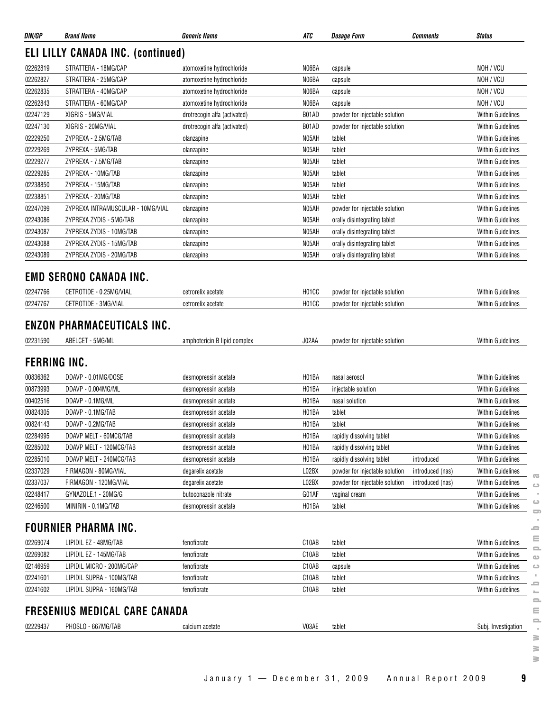| DIN/GP   | <b>Brand Name</b>                                          | <b>Generic Name</b>          | ATC                | <i><b>Dosage Form</b></i>      | Comments         | <b>Status</b>            |
|----------|------------------------------------------------------------|------------------------------|--------------------|--------------------------------|------------------|--------------------------|
|          | <b>ELI LILLY CANADA INC. (continued)</b>                   |                              |                    |                                |                  |                          |
| 02262819 | STRATTERA - 18MG/CAP                                       | atomoxetine hydrochloride    | N06BA              | capsule                        |                  | NOH / VCU                |
| 02262827 | STRATTERA - 25MG/CAP                                       | atomoxetine hydrochloride    | N06BA              | capsule                        |                  | NOH / VCU                |
| 02262835 | STRATTERA - 40MG/CAP                                       | atomoxetine hydrochloride    | N06BA              | capsule                        |                  | NOH / VCU                |
| 02262843 | STRATTERA - 60MG/CAP                                       | atomoxetine hydrochloride    | N06BA              | capsule                        |                  | NOH / VCU                |
| 02247129 | XIGRIS - 5MG/VIAL                                          | drotrecogin alfa (activated) | B01AD              | powder for injectable solution |                  | <b>Within Guidelines</b> |
| 02247130 | XIGRIS - 20MG/VIAL                                         | drotrecogin alfa (activated) | B01AD              | powder for injectable solution |                  | <b>Within Guidelines</b> |
| 02229250 | ZYPREXA - 2.5MG/TAB                                        | olanzapine                   | N05AH              | tablet                         |                  | <b>Within Guidelines</b> |
| 02229269 | ZYPREXA - 5MG/TAB                                          | olanzapine                   | N05AH              | tablet                         |                  | Within Guidelines        |
| 02229277 | ZYPREXA - 7.5MG/TAB                                        | olanzapine                   | N05AH              | tablet                         |                  | <b>Within Guidelines</b> |
| 02229285 | ZYPREXA - 10MG/TAB                                         | olanzapine                   | N05AH              | tablet                         |                  | <b>Within Guidelines</b> |
| 02238850 | ZYPREXA - 15MG/TAB                                         | olanzapine                   | N05AH              | tablet                         |                  | <b>Within Guidelines</b> |
| 02238851 | ZYPREXA - 20MG/TAB                                         | olanzapine                   | N05AH              | tablet                         |                  | <b>Within Guidelines</b> |
| 02247099 | ZYPREXA INTRAMUSCULAR - 10MG/VIAL                          | olanzapine                   | N05AH              | powder for injectable solution |                  | <b>Within Guidelines</b> |
| 02243086 | ZYPREXA ZYDIS - 5MG/TAB                                    | olanzapine                   | N05AH              | orally disintegrating tablet   |                  | <b>Within Guidelines</b> |
| 02243087 | ZYPREXA ZYDIS - 10MG/TAB                                   | olanzapine                   | N05AH              | orally disintegrating tablet   |                  | <b>Within Guidelines</b> |
| 02243088 | ZYPREXA ZYDIS - 15MG/TAB                                   | olanzapine                   | N05AH              | orally disintegrating tablet   |                  | <b>Within Guidelines</b> |
| 02243089 | ZYPREXA ZYDIS - 20MG/TAB                                   | olanzapine                   | N05AH              | orally disintegrating tablet   |                  | <b>Within Guidelines</b> |
|          | <b>EMD SERONO CANADA INC.</b>                              |                              |                    |                                |                  |                          |
| 02247766 | CETROTIDE - 0.25MG/VIAL                                    | cetrorelix acetate           | H01CC              | powder for injectable solution |                  | <b>Within Guidelines</b> |
| 02247767 | CETROTIDE - 3MG/VIAL                                       | cetrorelix acetate           | H01CC              | powder for injectable solution |                  | <b>Within Guidelines</b> |
| 02231590 | ABELCET - 5MG/ML<br><b>FERRING INC.</b>                    | amphotericin B lipid complex | J02AA              | powder for injectable solution |                  | Within Guidelines        |
| 00836362 | DDAVP - 0.01MG/DOSE                                        | desmopressin acetate         | H01BA              | nasal aerosol                  |                  | <b>Within Guidelines</b> |
| 00873993 | DDAVP - 0.004MG/ML                                         | desmopressin acetate         | H01BA              | injectable solution            |                  | <b>Within Guidelines</b> |
| 00402516 | DDAVP - 0.1MG/ML                                           | desmopressin acetate         | H01BA              | nasal solution                 |                  | <b>Within Guidelines</b> |
| 00824305 | DDAVP - 0.1MG/TAB                                          | desmopressin acetate         | H01BA              | tablet                         |                  | <b>Within Guidelines</b> |
| 00824143 | DDAVP - 0.2MG/TAB                                          | desmopressin acetate         | H01BA              | tablet                         |                  | <b>Within Guidelines</b> |
| 02284995 | DDAVP MELT - 60MCG/TAB                                     | desmopressin acetate         | H01BA              | rapidly dissolving tablet      |                  | <b>Within Guidelines</b> |
| 02285002 | DDAVP MELT - 120MCG/TAB                                    | desmopressin acetate         | H01BA              | rapidly dissolving tablet      |                  | Within Guidelines        |
| 02285010 | DDAVP MELT - 240MCG/TAB                                    | desmopressin acetate         | H01BA              | rapidly dissolving tablet      | introduced       | Within Guidelines        |
| 02337029 | FIRMAGON - 80MG/VIAL                                       | degarelix acetate            | L02BX              | powder for injectable solution | introduced (nas) | <b>Within Guidelines</b> |
| 02337037 | FIRMAGON - 120MG/VIAL                                      | degarelix acetate            | L02BX              | powder for injectable solution | introduced (nas) | <b>Within Guidelines</b> |
| 02248417 | GYNAZOLE.1 - 20MG/G                                        | butoconazole nitrate         | G01AF              | vaginal cream                  |                  | <b>Within Guidelines</b> |
| 02246500 | MINIRIN - 0.1MG/TAB                                        | desmopressin acetate         | H01BA              | tablet                         |                  | Within Guidelines        |
|          | <b>FOURNIER PHARMA INC.</b>                                |                              |                    |                                |                  |                          |
| 02269074 | LIPIDIL EZ - 48MG/TAB                                      | fenofibrate                  | C10AB              | tablet                         |                  | <b>Within Guidelines</b> |
| 02269082 | LIPIDIL EZ - 145MG/TAB                                     | fenofibrate                  | C <sub>10</sub> AB | tablet                         |                  | <b>Within Guidelines</b> |
| 02146959 | LIPIDIL MICRO - 200MG/CAP                                  | fenofibrate                  | C10AB              | capsule                        |                  | Within Guidelines        |
| 02241601 | LIPIDIL SUPRA - 100MG/TAB                                  | fenofibrate                  | C10AB              | tablet                         |                  | Within Guidelines        |
| 02241602 | LIPIDIL SUPRA - 160MG/TAB                                  | fenofibrate                  | C10AB              | tablet                         |                  | <b>Within Guidelines</b> |
|          |                                                            |                              |                    |                                |                  |                          |
|          |                                                            |                              |                    |                                |                  |                          |
| 02229437 | <b>FRESENIUS MEDICAL CARE CANADA</b><br>PHOSLO - 667MG/TAB | calcium acetate              | V03AE              | tablet                         |                  | Subj. Investigation      |

 $\sim$  $\qquad \qquad \Box$  $\qquad \qquad \qquad \qquad \qquad$ 

January 1 — December 31, 2009 Annual Report 2009 **9**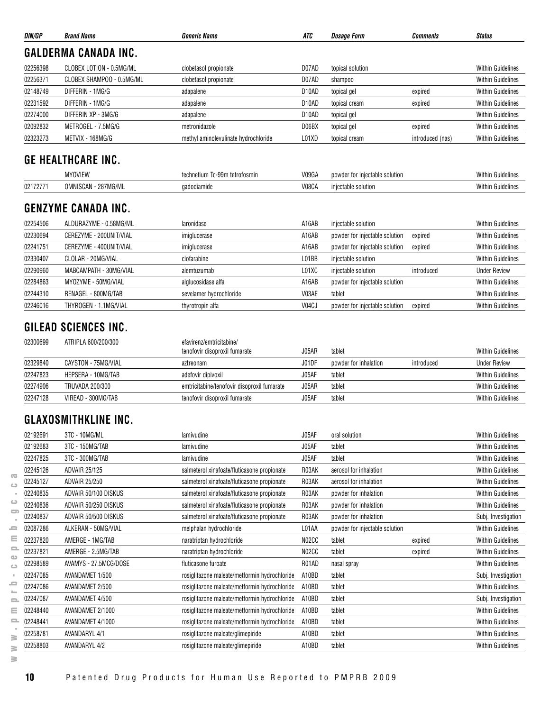| DIN/GP   | <b>Brand Name</b>                           | Generic Name                         | ATC                | <b>Dosage Form</b>             | <b>Comments</b>  | <b>Status</b>            |
|----------|---------------------------------------------|--------------------------------------|--------------------|--------------------------------|------------------|--------------------------|
|          | <b>GALDERMA CANADA INC.</b>                 |                                      |                    |                                |                  |                          |
| 02256398 | CLOBEX LOTION - 0.5MG/ML                    | clobetasol propionate                | D07AD              | topical solution               |                  | <b>Within Guidelines</b> |
| 02256371 | CLOBEX SHAMPOO - 0.5MG/ML                   | clobetasol propionate                | D07AD              | shampoo                        |                  | <b>Within Guidelines</b> |
| 02148749 | DIFFERIN - 1MG/G                            | adapalene                            | D <sub>10</sub> AD | topical gel                    | expired          | <b>Within Guidelines</b> |
| 02231592 | DIFFERIN - 1MG/G                            | adapalene                            | D <sub>10</sub> AD | topical cream                  | expired          | <b>Within Guidelines</b> |
| 02274000 | DIFFERIN XP - 3MG/G                         | adapalene                            | D <sub>10</sub> AD | topical gel                    |                  | <b>Within Guidelines</b> |
| 02092832 | METROGEL - 7.5MG/G                          | metronidazole                        | D06BX              | topical gel                    | expired          | <b>Within Guidelines</b> |
| 02323273 | METVIX - 168MG/G                            | methyl aminolevulinate hydrochloride | L01XD              | topical cream                  | introduced (nas) | <b>Within Guidelines</b> |
|          | <b>GE HEALTHCARE INC.</b><br><b>MYOVIEW</b> | technetium Tc-99m tetrofosmin        | V09GA              | powder for injectable solution |                  | <b>Within Guidelines</b> |
| 02172771 | OMNISCAN - 287MG/ML                         | gadodiamide                          | V08CA              | injectable solution            |                  | <b>Within Guidelines</b> |
|          | <b>GENZYME CANADA INC.</b>                  |                                      |                    |                                |                  |                          |

#### 02254506 ALDURAZYME - 0.58MG/ML laronidase laronidase A16AB injectable solution A16AB intervention Within Guidelines 02230694 CEREZYME - 200UNIT/VIAL imiglucerase imiglucerase A16AB powder for injectable solution expired Within Guidelines 02241751 CEREZYME - 400UNIT/VIAL imiglucerase imiglucerase A16AB powder for injectable solution expired Within Guidelines 02330407 CLOLAR - 20MG/VIAL COLOLAR CONSTANT CLOTAR CONTACT CONTACT CONTACT CONTACT CONTACT CONTACT CONTACT CONTACT CONTACT CONTACT CONTACT CONTACT CONTACT CONTACT CONTACT CONTACT CONTACT CONTACT CONTACT CONTACT CONTACT CO 02290960 MABCAMPATH - 30MG/VIAL alemtuzumab alemtuzumab L01XC injectable solution introduced Under Review 02284863 MYOZYME - 50MG/VIAL alglucosidase alfa A16AB powder for injectable solution Within Guidelines 02244310 RENAGEL - 800MG/TAB sevelamer hydrochloride V03AE tablet Vietnamer Notice Within Guidelines 02246016 THYROGEN - 1.1MG/VIAL thyrotropin alfa versus vor the VO4CJ powder for injectable solution expired Within Guidelines

#### **GILEAD SCIENCES INC.**

| 02300699 | ATRIPLA 600/200/300 | efavirenz/emtricitabine/                    |       |                       |            |                          |
|----------|---------------------|---------------------------------------------|-------|-----------------------|------------|--------------------------|
|          |                     | tenofovir disoproxil fumarate               | J05AR | tablet                |            | <b>Within Guidelines</b> |
| 02329840 | CAYSTON - 75MG/VIAL | aztreonam                                   | J01DF | powder for inhalation | introduced | <b>Under Review</b>      |
| 02247823 | HEPSERA - 10MG/TAB  | adefovir dipivoxil                          | J05AF | tablet                |            | <b>Within Guidelines</b> |
| 02274906 | TRUVADA 200/300     | emtricitabine/tenofovir disoproxil fumarate | J05AR | tablet                |            | <b>Within Guidelines</b> |
| 02247128 | VIREAD - 300MG/TAB  | tenofovir disoproxil fumarate               | J05AF | tablet                |            | <b>Within Guidelines</b> |

#### **GLAXOSMITHKLINE INC.**

|                          | 02192691 | 3TC - 10MG/ML         | lamivudine                                    | J05AF | oral solution                  |         | <b>Within Guidelines</b> |
|--------------------------|----------|-----------------------|-----------------------------------------------|-------|--------------------------------|---------|--------------------------|
|                          | 02192683 | 3TC - 150MG/TAB       | lamivudine                                    | J05AF | tablet                         |         | <b>Within Guidelines</b> |
|                          | 02247825 | 3TC - 300MG/TAB       | lamivudine                                    | J05AF | tablet                         |         | <b>Within Guidelines</b> |
|                          | 02245126 | <b>ADVAIR 25/125</b>  | salmeterol xinafoate/fluticasone propionate   | R03AK | aerosol for inhalation         |         | <b>Within Guidelines</b> |
| G.<br>د                  | 02245127 | <b>ADVAIR 25/250</b>  | salmeterol xinafoate/fluticasone propionate   | R03AK | aerosol for inhalation         |         | <b>Within Guidelines</b> |
|                          | 02240835 | ADVAIR 50/100 DISKUS  | salmeterol xinafoate/fluticasone propionate   | R03AK | powder for inhalation          |         | <b>Within Guidelines</b> |
| ت                        | 02240836 | ADVAIR 50/250 DISKUS  | salmeterol xinafoate/fluticasone propionate   | R03AK | powder for inhalation          |         | <b>Within Guidelines</b> |
| 5                        | 02240837 | ADVAIR 50/500 DISKUS  | salmeterol xinafoate/fluticasone propionate   | R03AK | powder for inhalation          |         | Subj. Investigation      |
|                          | 02087286 | ALKERAN - 50MG/VIAL   | melphalan hydrochloride                       | L01AA | powder for injectable solution |         | <b>Within Guidelines</b> |
| Ξ                        | 02237820 | AMERGE - 1MG/TAB      | naratriptan hydrochloride                     | N02CC | tablet                         | expired | <b>Within Guidelines</b> |
| 0                        | 02237821 | AMERGE - 2.5MG/TAB    | naratriptan hydrochloride                     | N02CC | tablet                         | expired | <b>Within Guidelines</b> |
| Φ<br>$\mathbf{C}$        | 02298589 | AVAMYS - 27.5MCG/DOSE | fluticasone furoate                           | R01AD | nasal spray                    |         | <b>Within Guidelines</b> |
|                          | 02247085 | AVANDAMET 1/500       | rosiglitazone maleate/metformin hydrochloride | A10BD | tablet                         |         | Subj. Investigation      |
| $\overline{\phantom{a}}$ | 02247086 | AVANDAMET 2/500       | rosiglitazone maleate/metformin hydrochloride | A10BD | tablet                         |         | <b>Within Guidelines</b> |
| $\equiv$                 | 02247087 | AVANDAMET 4/500       | rosiglitazone maleate/metformin hydrochloride | A10BD | tablet                         |         | Subj. Investigation      |
| Ξ                        | 02248440 | AVANDAMET 2/1000      | rosiglitazone maleate/metformin hydrochloride | A10BD | tablet                         |         | <b>Within Guidelines</b> |
| e.                       | 02248441 | AVANDAMET 4/1000      | rosiglitazone maleate/metformin hydrochloride | A10BD | tablet                         |         | <b>Within Guidelines</b> |
| ≧                        | 02258781 | <b>AVANDARYL 4/1</b>  | rosiglitazone maleate/glimepiride             | A10BD | tablet                         |         | <b>Within Guidelines</b> |
| ₹                        | 02258803 | <b>AVANDARYL 4/2</b>  | rosiglitazone maleate/glimepiride             | A10BD | tablet                         |         | <b>Within Guidelines</b> |
|                          |          |                       |                                               |       |                                |         |                          |

 $=$  $\equiv$  $\equiv$  $\omega$  $\bigcirc$  $\bar{\alpha}$  $\equiv$  $\mathbb{R}^2$  $\equiv$ ≘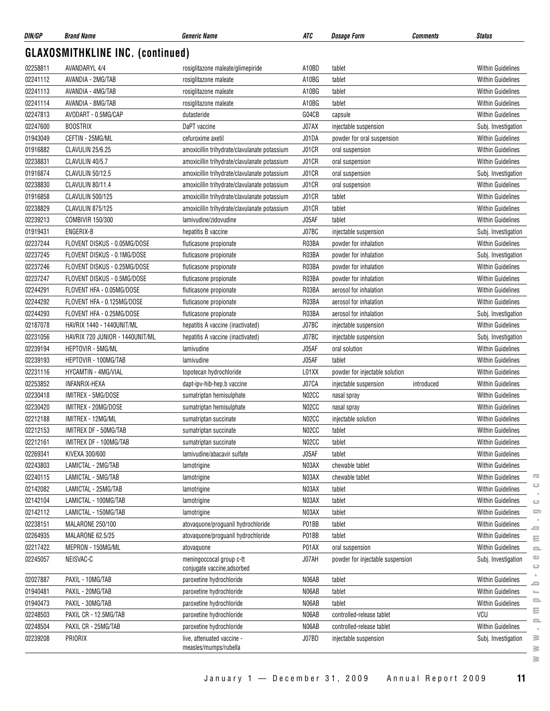| DIN/GP   | <b>Brand Name</b>                       | <b>Generic Name</b>                                     | ATC   | <b>Dosage Form</b>               | Comments   | <b>Status</b>            |
|----------|-----------------------------------------|---------------------------------------------------------|-------|----------------------------------|------------|--------------------------|
|          | <b>GLAXOSMITHKLINE INC. (continued)</b> |                                                         |       |                                  |            |                          |
| 02258811 | <b>AVANDARYL 4/4</b>                    | rosiglitazone maleate/glimepiride                       | A10BD | tablet                           |            | <b>Within Guidelines</b> |
| 02241112 | AVANDIA - 2MG/TAB                       | rosiglitazone maleate                                   | A10BG | tablet                           |            | <b>Within Guidelines</b> |
| 02241113 | AVANDIA - 4MG/TAB                       | rosiglitazone maleate                                   | A10BG | tablet                           |            | <b>Within Guidelines</b> |
| 02241114 | AVANDIA - 8MG/TAB                       | rosiglitazone maleate                                   | A10BG | tablet                           |            | <b>Within Guidelines</b> |
| 02247813 | AVODART - 0.5MG/CAP                     | dutasteride                                             | G04CB | capsule                          |            | <b>Within Guidelines</b> |
| 02247600 | <b>BOOSTRIX</b>                         | DaPT vaccine                                            | J07AX | injectable suspension            |            | Subj. Investigation      |
| 01943049 | CEFTIN - 25MG/ML                        | cefuroxime axetil                                       | J01DA | powder for oral suspension       |            | <b>Within Guidelines</b> |
| 01916882 | CLAVULIN 25/6.25                        | amoxicillin trihydrate/clavulanate potassium            | J01CR | oral suspension                  |            | <b>Within Guidelines</b> |
| 02238831 | CLAVULIN 40/5.7                         | amoxicillin trihydrate/clavulanate potassium            | J01CR | oral suspension                  |            | <b>Within Guidelines</b> |
| 01916874 | CLAVULIN 50/12.5                        | amoxicillin trihydrate/clavulanate potassium            | J01CR | oral suspension                  |            | Subj. Investigation      |
| 02238830 | CLAVULIN 80/11.4                        | amoxicillin trihydrate/clavulanate potassium            | J01CR | oral suspension                  |            | <b>Within Guidelines</b> |
| 01916858 | CLAVULIN 500/125                        | amoxicillin trihydrate/clavulanate potassium            | J01CR | tablet                           |            | <b>Within Guidelines</b> |
| 02238829 | CLAVULIN 875/125                        | amoxicillin trihydrate/clavulanate potassium            | J01CR | tablet                           |            | <b>Within Guidelines</b> |
| 02239213 | <b>COMBIVIR 150/300</b>                 | lamivudine/zidovudine                                   | J05AF | tablet                           |            | <b>Within Guidelines</b> |
| 01919431 | ENGERIX-B                               | hepatitis B vaccine                                     | J07BC | injectable suspension            |            | Subj. Investigation      |
| 02237244 | FLOVENT DISKUS - 0.05MG/DOSE            | fluticasone propionate                                  | R03BA | powder for inhalation            |            | <b>Within Guidelines</b> |
| 02237245 | FLOVENT DISKUS - 0.1MG/DOSE             | fluticasone propionate                                  | R03BA | powder for inhalation            |            | Subj. Investigation      |
| 02237246 | FLOVENT DISKUS - 0.25MG/DOSE            | fluticasone propionate                                  | R03BA | powder for inhalation            |            | <b>Within Guidelines</b> |
| 02237247 | FLOVENT DISKUS - 0.5MG/DOSE             | fluticasone propionate                                  | R03BA | powder for inhalation            |            | <b>Within Guidelines</b> |
| 02244291 | FLOVENT HFA - 0.05MG/DOSE               | fluticasone propionate                                  | R03BA | aerosol for inhalation           |            | <b>Within Guidelines</b> |
| 02244292 | FLOVENT HFA - 0.125MG/DOSE              | fluticasone propionate                                  | R03BA | aerosol for inhalation           |            | <b>Within Guidelines</b> |
| 02244293 | FLOVENT HFA - 0.25MG/DOSE               | fluticasone propionate                                  | R03BA | aerosol for inhalation           |            | Subj. Investigation      |
| 02187078 | HAVRIX 1440 - 1440UNIT/ML               | hepatitis A vaccine (inactivated)                       | J07BC | injectable suspension            |            | Within Guidelines        |
| 02231056 | HAVRIX 720 JUNIOR - 1440UNIT/ML         | hepatitis A vaccine (inactivated)                       | J07BC | injectable suspension            |            | Subj. Investigation      |
| 02239194 | HEPTOVIR - 5MG/ML                       | lamivudine                                              | J05AF | oral solution                    |            | <b>Within Guidelines</b> |
| 02239193 | HEPTOVIR - 100MG/TAB                    | lamivudine                                              | J05AF | tablet                           |            | <b>Within Guidelines</b> |
| 02231116 | HYCAMTIN - 4MG/VIAL                     | topotecan hydrochloride                                 | L01XX | powder for injectable solution   |            | <b>Within Guidelines</b> |
| 02253852 | INFANRIX-HEXA                           | dapt-ipv-hib-hep.b vaccine                              | J07CA | injectable suspension            | introduced | <b>Within Guidelines</b> |
| 02230418 | IMITREX - 5MG/DOSE                      | sumatriptan hemisulphate                                | N02CC | nasal spray                      |            | <b>Within Guidelines</b> |
| 02230420 | IMITREX - 20MG/DOSE                     | sumatriptan hemisulphate                                | N02CC | nasal spray                      |            | Within Guidelines        |
| 02212188 | IMITREX - 12MG/ML                       | sumatriptan succinate                                   | N02CC | injectable solution              |            | <b>Within Guidelines</b> |
| 02212153 | IMITREX DF - 50MG/TAB                   | sumatriptan succinate                                   | N02CC | tablet                           |            | <b>Within Guidelines</b> |
| 02212161 | IMITREX DF - 100MG/TAB                  | sumatriptan succinate                                   | N02CC | tablet                           |            | <b>Within Guidelines</b> |
| 02269341 | KIVEXA 300/600                          | lamivudine/abacavir sulfate                             | J05AF | tablet                           |            | <b>Within Guidelines</b> |
| 02243803 | LAMICTAL - 2MG/TAB                      | lamotrigine                                             | N03AX | chewable tablet                  |            | <b>Within Guidelines</b> |
| 02240115 | LAMICTAL - 5MG/TAB                      | lamotrigine                                             | N03AX | chewable tablet                  |            | <b>Within Guidelines</b> |
| 02142082 | LAMICTAL - 25MG/TAB                     | lamotrigine                                             | N03AX | tablet                           |            | Within Guidelines        |
| 02142104 | LAMICTAL - 100MG/TAB                    | lamotrigine                                             | N03AX | tablet                           |            | <b>Within Guidelines</b> |
| 02142112 | LAMICTAL - 150MG/TAB                    | lamotrigine                                             | N03AX | tablet                           |            | <b>Within Guidelines</b> |
| 02238151 | MALARONE 250/100                        | atovaquone/proguanil hydrochloride                      | P01BB | tablet                           |            | <b>Within Guidelines</b> |
| 02264935 | MALARONE 62.5/25                        | atovaquone/proguanil hydrochloride                      | P01BB | tablet                           |            | <b>Within Guidelines</b> |
| 02217422 | MEPRON - 150MG/ML                       | atovaquone                                              | P01AX | oral suspension                  |            | <b>Within Guidelines</b> |
| 02245057 | NEISVAC-C                               | meningoccocal group c-tt<br>conjugate vaccine, adsorbed | J07AH | powder for injectable suspension |            | Subj. Investigation      |
| 02027887 | PAXIL - 10MG/TAB                        | paroxetine hydrochloride                                | N06AB | tablet                           |            | <b>Within Guidelines</b> |
| 01940481 | PAXIL - 20MG/TAB                        | paroxetine hydrochloride                                | N06AB | tablet                           |            | <b>Within Guidelines</b> |
| 01940473 | PAXIL - 30MG/TAB                        | paroxetine hydrochloride                                | N06AB | tablet                           |            | <b>Within Guidelines</b> |
| 02248503 | PAXIL CR - 12.5MG/TAB                   | paroxetine hydrochloride                                | N06AB | controlled-release tablet        |            | VCU                      |
| 02248504 | PAXIL CR - 25MG/TAB                     | paroxetine hydrochloride                                | N06AB | controlled-release tablet        |            | <b>Within Guidelines</b> |
| 02239208 | PRIORIX                                 | live, attenuated vaccine -<br>measles/mumps/rubella     | J07BD | injectable suspension            |            | Subj. Investigation      |

 $\geq$ 

 $\overline{\infty}$  $\circ$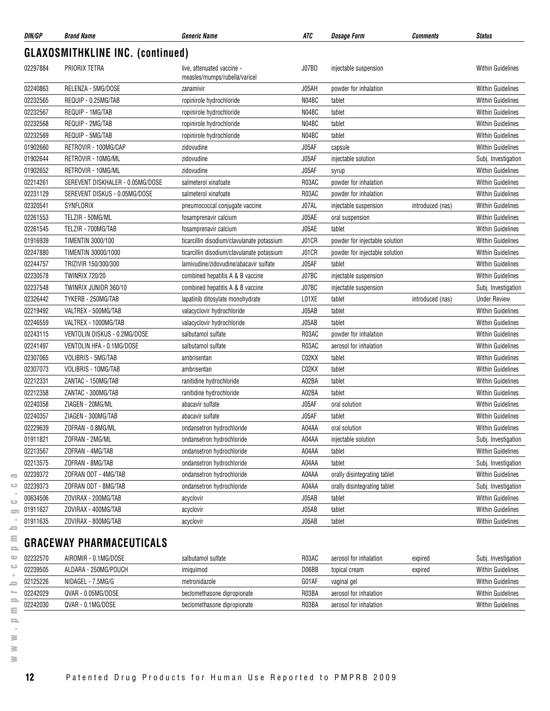| <b>GLAXOSMITHKLINE INC. (continued)</b><br>02297884<br>PRIORIX TETRA<br>live, attenuated vaccine -<br>J07BD<br>injectable suspension<br>measles/mumps/rubella/varicel<br>RELENZA - 5MG/DOSE<br>02240863<br>J05AH<br>zanamivir<br>powder for inhalation<br>02232565<br>REQUIP - 0.25MG/TAB<br>ropinirole hydrochloride<br>N04BC<br>tablet<br>02232567<br>REQUIP - 1MG/TAB<br>N04BC<br>tablet<br>ropinirole hydrochloride<br>02232568<br>REQUIP - 2MG/TAB<br>N04BC<br>ropinirole hydrochloride<br>tablet<br>02232569<br>REQUIP - 5MG/TAB<br>ropinirole hydrochloride<br>N04BC<br>tablet<br>01902660<br>RETROVIR - 100MG/CAP<br>J05AF<br>zidovudine<br>capsule | <b>Within Guidelines</b><br><b>Within Guidelines</b><br><b>Within Guidelines</b><br><b>Within Guidelines</b><br><b>Within Guidelines</b> |
|-------------------------------------------------------------------------------------------------------------------------------------------------------------------------------------------------------------------------------------------------------------------------------------------------------------------------------------------------------------------------------------------------------------------------------------------------------------------------------------------------------------------------------------------------------------------------------------------------------------------------------------------------------------|------------------------------------------------------------------------------------------------------------------------------------------|
|                                                                                                                                                                                                                                                                                                                                                                                                                                                                                                                                                                                                                                                             |                                                                                                                                          |
|                                                                                                                                                                                                                                                                                                                                                                                                                                                                                                                                                                                                                                                             |                                                                                                                                          |
|                                                                                                                                                                                                                                                                                                                                                                                                                                                                                                                                                                                                                                                             |                                                                                                                                          |
|                                                                                                                                                                                                                                                                                                                                                                                                                                                                                                                                                                                                                                                             |                                                                                                                                          |
|                                                                                                                                                                                                                                                                                                                                                                                                                                                                                                                                                                                                                                                             |                                                                                                                                          |
|                                                                                                                                                                                                                                                                                                                                                                                                                                                                                                                                                                                                                                                             |                                                                                                                                          |
|                                                                                                                                                                                                                                                                                                                                                                                                                                                                                                                                                                                                                                                             | <b>Within Guidelines</b>                                                                                                                 |
|                                                                                                                                                                                                                                                                                                                                                                                                                                                                                                                                                                                                                                                             | <b>Within Guidelines</b>                                                                                                                 |
| 01902644<br>RETROVIR - 10MG/ML<br>J05AF<br>zidovudine<br>injectable solution                                                                                                                                                                                                                                                                                                                                                                                                                                                                                                                                                                                | Subj. Investigation                                                                                                                      |
| 01902652<br>RETROVIR - 10MG/ML<br>J05AF<br>zidovudine<br>syrup                                                                                                                                                                                                                                                                                                                                                                                                                                                                                                                                                                                              | <b>Within Guidelines</b>                                                                                                                 |
| 02214261<br>R03AC<br>SEREVENT DISKHALER - 0.05MG/DOSE<br>powder for inhalation<br>salmeterol xinafoate                                                                                                                                                                                                                                                                                                                                                                                                                                                                                                                                                      | <b>Within Guidelines</b>                                                                                                                 |
| 02231129<br>SEREVENT DISKUS - 0.05MG/DOSE<br>R03AC<br>powder for inhalation<br>salmeterol xinafoate                                                                                                                                                                                                                                                                                                                                                                                                                                                                                                                                                         | <b>Within Guidelines</b>                                                                                                                 |
| 02320541<br><b>SYNFLORIX</b><br>J07AL<br>pneumococcal conjugate vaccine<br>injectable suspension<br>introduced (nas)                                                                                                                                                                                                                                                                                                                                                                                                                                                                                                                                        | <b>Within Guidelines</b>                                                                                                                 |
| 02261553<br>TELZIR - 50MG/ML<br>fosamprenavir calcium<br>J05AE<br>oral suspension                                                                                                                                                                                                                                                                                                                                                                                                                                                                                                                                                                           | <b>Within Guidelines</b>                                                                                                                 |
| 02261545<br>TELZIR - 700MG/TAB<br>J05AE<br>fosamprenavir calcium<br>tablet                                                                                                                                                                                                                                                                                                                                                                                                                                                                                                                                                                                  | <b>Within Guidelines</b>                                                                                                                 |
| 01916939<br>powder for injectable solution<br><b>TIMENTIN 3000/100</b><br>J01CR<br>ticarcillin disodium/clavulanate potassium                                                                                                                                                                                                                                                                                                                                                                                                                                                                                                                               | <b>Within Guidelines</b>                                                                                                                 |
| 02247880<br>TIMENTIN 30000/1000<br>J01CR<br>ticarcillin disodium/clavulanate potassium<br>powder for injectable solution                                                                                                                                                                                                                                                                                                                                                                                                                                                                                                                                    | <b>Within Guidelines</b>                                                                                                                 |
| 02244757<br>J05AF<br>TRIZIVIR 150/300/300<br>lamivudine/zidovudine/abacavir sulfate<br>tablet                                                                                                                                                                                                                                                                                                                                                                                                                                                                                                                                                               | <b>Within Guidelines</b>                                                                                                                 |
| 02230578<br><b>TWINRIX 720/20</b><br>J07BC<br>combined hepatitis A & B vaccine<br>injectable suspension                                                                                                                                                                                                                                                                                                                                                                                                                                                                                                                                                     | <b>Within Guidelines</b>                                                                                                                 |
| 02237548<br>TWINRIX JUNIOR 360/10<br>combined hepatitis A & B vaccine<br>J07BC<br>injectable suspension                                                                                                                                                                                                                                                                                                                                                                                                                                                                                                                                                     | Subj. Investigation                                                                                                                      |
| 02326442<br>TYKERB - 250MG/TAB<br>L01XE<br>lapatinib ditosylate monohydrate<br>tablet<br>introduced (nas)                                                                                                                                                                                                                                                                                                                                                                                                                                                                                                                                                   | <b>Under Review</b>                                                                                                                      |
| 02219492<br>VALTREX - 500MG/TAB<br>J05AB<br>tablet<br>valacyclovir hydrochloride                                                                                                                                                                                                                                                                                                                                                                                                                                                                                                                                                                            | <b>Within Guidelines</b>                                                                                                                 |
| 02246559<br>VALTREX - 1000MG/TAB<br>valacyclovir hydrochloride<br>J05AB<br>tablet                                                                                                                                                                                                                                                                                                                                                                                                                                                                                                                                                                           | <b>Within Guidelines</b>                                                                                                                 |
| 02243115<br>VENTOLIN DISKUS - 0.2MG/DOSE<br>R03AC<br>salbutamol sulfate<br>powder for inhalation                                                                                                                                                                                                                                                                                                                                                                                                                                                                                                                                                            | <b>Within Guidelines</b>                                                                                                                 |
| 02241497<br>R03AC<br>VENTOLIN HFA - 0.1MG/DOSE<br>salbutamol sulfate<br>aerosol for inhalation                                                                                                                                                                                                                                                                                                                                                                                                                                                                                                                                                              | <b>Within Guidelines</b>                                                                                                                 |
| 02307065<br>VOLIBRIS - 5MG/TAB<br>ambrisentan<br>C02KX<br>tablet                                                                                                                                                                                                                                                                                                                                                                                                                                                                                                                                                                                            | <b>Within Guidelines</b>                                                                                                                 |
| 02307073<br>VOLIBRIS - 10MG/TAB<br>C02KX<br>tablet<br>ambrisentan                                                                                                                                                                                                                                                                                                                                                                                                                                                                                                                                                                                           | <b>Within Guidelines</b>                                                                                                                 |
| 02212331<br>A02BA<br>ZANTAC - 150MG/TAB<br>ranitidine hydrochloride<br>tablet                                                                                                                                                                                                                                                                                                                                                                                                                                                                                                                                                                               | <b>Within Guidelines</b>                                                                                                                 |
| 02212358<br>ZANTAC - 300MG/TAB<br>A02BA<br>ranitidine hydrochloride<br>tablet                                                                                                                                                                                                                                                                                                                                                                                                                                                                                                                                                                               | <b>Within Guidelines</b>                                                                                                                 |
| 02240358<br>ZIAGEN - 20MG/ML<br>J05AF<br>abacavir sulfate<br>oral solution                                                                                                                                                                                                                                                                                                                                                                                                                                                                                                                                                                                  | <b>Within Guidelines</b>                                                                                                                 |
| 02240357<br>ZIAGEN - 300MG/TAB<br>J05AF<br>tablet<br>abacavir sulfate                                                                                                                                                                                                                                                                                                                                                                                                                                                                                                                                                                                       | <b>Within Guidelines</b>                                                                                                                 |
| 02229639<br>A04AA<br>ZOFRAN - 0.8MG/ML<br>ondansetron hydrochloride<br>oral solution                                                                                                                                                                                                                                                                                                                                                                                                                                                                                                                                                                        | <b>Within Guidelines</b>                                                                                                                 |
| 01911821<br>ZOFRAN - 2MG/ML<br>A04AA<br>ondansetron hydrochloride<br>injectable solution                                                                                                                                                                                                                                                                                                                                                                                                                                                                                                                                                                    | Subj. Investigation                                                                                                                      |
| A04AA<br>02213567<br>ZOFRAN - 4MG/TAB<br>ondansetron hydrochloride<br>tablet                                                                                                                                                                                                                                                                                                                                                                                                                                                                                                                                                                                | <b>Within Guidelines</b>                                                                                                                 |
| 02213575<br>ZOFRAN - 8MG/TAB<br>A04AA<br>ondansetron hydrochloride<br>tablet                                                                                                                                                                                                                                                                                                                                                                                                                                                                                                                                                                                | Subj. Investigation                                                                                                                      |
| 02239372<br>ZOFRAN ODT - 4MG/TAB<br>ondansetron hydrochloride<br>A04AA<br>orally disintegrating tablet                                                                                                                                                                                                                                                                                                                                                                                                                                                                                                                                                      | <b>Within Guidelines</b>                                                                                                                 |
| 02239373<br>ZOFRAN ODT - 8MG/TAB<br>A04AA<br>ondansetron hydrochloride<br>orally disintegrating tablet                                                                                                                                                                                                                                                                                                                                                                                                                                                                                                                                                      | Subj. Investigation                                                                                                                      |
| 00634506<br>ZOVIRAX - 200MG/TAB<br>J05AB<br>acyclovir<br>tablet                                                                                                                                                                                                                                                                                                                                                                                                                                                                                                                                                                                             | Within Guidelines                                                                                                                        |
| 01911627<br>ZOVIRAX - 400MG/TAB<br>J05AB<br>acyclovir<br>tablet                                                                                                                                                                                                                                                                                                                                                                                                                                                                                                                                                                                             | Within Guidelines                                                                                                                        |
| 01911635<br>J05AB<br>ZOVIRAX - 800MG/TAB<br>acyclovir<br>tablet                                                                                                                                                                                                                                                                                                                                                                                                                                                                                                                                                                                             | Within Guidelines                                                                                                                        |

# **GRACEWAY PHARMACEUTICALS**

| 02232570 | AIROMIR - 0.1MG/DOSE | salbutamol sulfate          | R03AC | aerosol for inhalation | expired | Subj. Investigation      |
|----------|----------------------|-----------------------------|-------|------------------------|---------|--------------------------|
| 02239505 | ALDARA - 250MG/POUCH | imiguimod                   | D06BB | topical cream          | expired | <b>Within Guidelines</b> |
| 02125226 | NIDAGEL - 7.5MG/G    | metronidazole               | G01AF | vaginal gel            |         | <b>Within Guidelines</b> |
| 02242029 | QVAR - 0.05MG/DOSE   | beclomethasone dipropionate | R03BA | aerosol for inhalation |         | <b>Within Guidelines</b> |
| 02242030 | QVAR - 0.1MG/DOSE    | beclomethasone dipropionate | R03BA | aerosol for inhalation |         | <b>Within Guidelines</b> |

 $\overline{\mathbb{C}}$ 

 $\geq$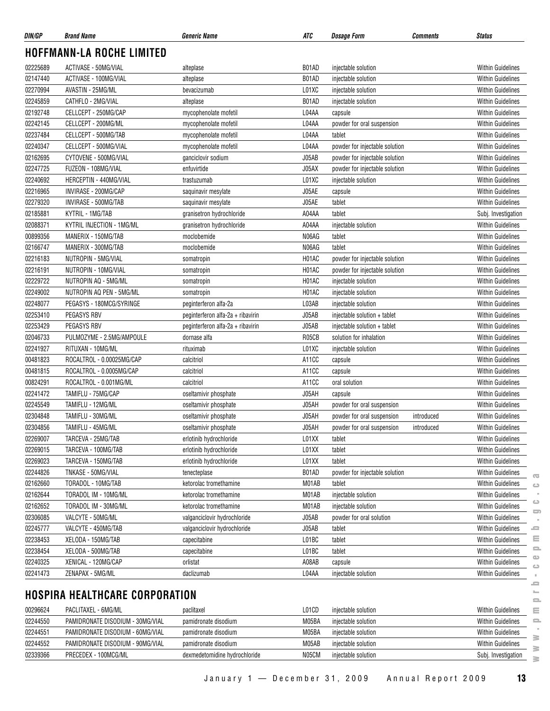| DIN/GP   | <b>Brand Name</b>                     | <b>Generic Name</b>               | ATC   | Dosage Form                    | Comments   | <b>Status</b>            |               |
|----------|---------------------------------------|-----------------------------------|-------|--------------------------------|------------|--------------------------|---------------|
|          | <b>HOFFMANN-LA ROCHE LIMITED</b>      |                                   |       |                                |            |                          |               |
| 02225689 | ACTIVASE - 50MG/VIAL                  | alteplase                         | B01AD | injectable solution            |            | <b>Within Guidelines</b> |               |
| 02147440 | ACTIVASE - 100MG/VIAL                 | alteplase                         | B01AD | injectable solution            |            | <b>Within Guidelines</b> |               |
| 02270994 | AVASTIN - 25MG/ML                     | bevacizumab                       | L01XC | injectable solution            |            | <b>Within Guidelines</b> |               |
| 02245859 | CATHFLO - 2MG/VIAL                    | alteplase                         | B01AD | injectable solution            |            | <b>Within Guidelines</b> |               |
| 02192748 | CELLCEPT - 250MG/CAP                  | mycophenolate mofetil             | L04AA | capsule                        |            | Within Guidelines        |               |
| 02242145 | CELLCEPT - 200MG/ML                   | mycophenolate mofetil             | L04AA | powder for oral suspension     |            | <b>Within Guidelines</b> |               |
| 02237484 | CELLCEPT - 500MG/TAB                  | mycophenolate mofetil             | L04AA | tablet                         |            | <b>Within Guidelines</b> |               |
| 02240347 | CELLCEPT - 500MG/VIAL                 | mycophenolate mofetil             | L04AA | powder for injectable solution |            | Within Guidelines        |               |
| 02162695 | CYTOVENE - 500MG/VIAL                 | ganciclovir sodium                | J05AB | powder for injectable solution |            | <b>Within Guidelines</b> |               |
| 02247725 | FUZEON - 108MG/VIAL                   | enfuvirtide                       | J05AX | powder for injectable solution |            | <b>Within Guidelines</b> |               |
| 02240692 | HERCEPTIN - 440MG/VIAL                | trastuzumab                       | L01XC | injectable solution            |            | <b>Within Guidelines</b> |               |
| 02216965 | INVIRASE - 200MG/CAP                  | saquinavir mesylate               | J05AE | capsule                        |            | <b>Within Guidelines</b> |               |
| 02279320 | INVIRASE - 500MG/TAB                  | saquinavir mesylate               | J05AE | tablet                         |            | <b>Within Guidelines</b> |               |
| 02185881 | KYTRIL - 1MG/TAB                      | granisetron hydrochloride         | A04AA | tablet                         |            | Subj. Investigation      |               |
| 02088371 | KYTRIL INJECTION - 1MG/ML             | granisetron hydrochloride         | A04AA | injectable solution            |            | Within Guidelines        |               |
| 00899356 | MANERIX - 150MG/TAB                   | moclobemide                       | N06AG | tablet                         |            | Within Guidelines        |               |
| 02166747 | MANERIX - 300MG/TAB                   | moclobemide                       | N06AG | tablet                         |            | <b>Within Guidelines</b> |               |
| 02216183 | NUTROPIN - 5MG/VIAL                   | somatropin                        | H01AC | powder for injectable solution |            | <b>Within Guidelines</b> |               |
| 02216191 | NUTROPIN - 10MG/VIAL                  | somatropin                        | H01AC | powder for injectable solution |            | <b>Within Guidelines</b> |               |
| 02229722 | NUTROPIN AQ - 5MG/ML                  | somatropin                        | H01AC | injectable solution            |            | <b>Within Guidelines</b> |               |
| 02249002 | NUTROPIN AQ PEN - 5MG/ML              | somatropin                        | H01AC | injectable solution            |            | <b>Within Guidelines</b> |               |
| 02248077 | PEGASYS - 180MCG/SYRINGE              | peginterferon alfa-2a             | L03AB | injectable solution            |            | <b>Within Guidelines</b> |               |
| 02253410 | PEGASYS RBV                           | peginterferon alfa-2a + ribavirin | J05AB | injectable solution + tablet   |            | <b>Within Guidelines</b> |               |
| 02253429 | PEGASYS RBV                           | peginterferon alfa-2a + ribavirin | J05AB | injectable solution + tablet   |            | <b>Within Guidelines</b> |               |
| 02046733 | PULMOZYME - 2.5MG/AMPOULE             | dornase alfa                      | R05CB | solution for inhalation        |            | <b>Within Guidelines</b> |               |
| 02241927 | RITUXAN - 10MG/ML                     | rituximab                         | L01XC | injectable solution            |            | <b>Within Guidelines</b> |               |
| 00481823 | ROCALTROL - 0.00025MG/CAP             | calcitriol                        | A11CC | capsule                        |            | <b>Within Guidelines</b> |               |
| 00481815 | ROCALTROL - 0.0005MG/CAP              | calcitriol                        | A11CC | capsule                        |            | Within Guidelines        |               |
| 00824291 | ROCALTROL - 0.001MG/ML                | calcitriol                        | A11CC | oral solution                  |            | <b>Within Guidelines</b> |               |
| 02241472 | TAMIFLU - 75MG/CAP                    | oseltamivir phosphate             | J05AH | capsule                        |            | <b>Within Guidelines</b> |               |
| 02245549 | TAMIFLU - 12MG/ML                     | oseltamivir phosphate             | J05AH | powder for oral suspension     |            | <b>Within Guidelines</b> |               |
| 02304848 | TAMIFLU - 30MG/ML                     | oseltamivir phosphate             | J05AH | powder for oral suspension     | introduced | <b>Within Guidelines</b> |               |
| 02304856 | TAMIFLU - 45MG/ML                     | oseltamivir phosphate             | J05AH | powder for oral suspension     | introduced | <b>Within Guidelines</b> |               |
| 02269007 | TARCEVA - 25MG/TAB                    | erlotinib hydrochloride           | L01XX | tablet                         |            | <b>Within Guidelines</b> |               |
| 02269015 | TARCEVA - 100MG/TAB                   | erlotinib hydrochloride           | L01XX | tablet                         |            | <b>Within Guidelines</b> |               |
| 02269023 | TARCEVA - 150MG/TAB                   | erlotinib hydrochloride           | L01XX | tablet                         |            | <b>Within Guidelines</b> |               |
| 02244826 | TNKASE - 50MG/VIAL                    | tenecteplase                      | B01AD | powder for injectable solution |            | <b>Within Guidelines</b> |               |
| 02162660 | TORADOL - 10MG/TAB                    | ketorolac tromethamine            | M01AB | tablet                         |            | <b>Within Guidelines</b> | œ<br>Ò        |
| 02162644 | TORADOL IM - 10MG/ML                  | ketorolac tromethamine            | M01AB | injectable solution            |            | <b>Within Guidelines</b> |               |
| 02162652 | TORADOL IM - 30MG/ML                  | ketorolac tromethamine            | M01AB | injectable solution            |            | <b>Within Guidelines</b> | ت             |
| 02306085 | VALCYTE - 50MG/ML                     | valganciclovir hydrochloride      | J05AB | powder for oral solution       |            | Within Guidelines        | 5             |
| 02245777 | VALCYTE - 450MG/TAB                   | valganciclovir hydrochloride      | J05AB | tablet                         |            | <b>Within Guidelines</b> | ᆖ             |
| 02238453 | XELODA - 150MG/TAB                    | capecitabine                      | L01BC | tablet                         |            | <b>Within Guidelines</b> | ≣             |
| 02238454 | XELODA - 500MG/TAB                    | capecitabine                      | L01BC | tablet                         |            | <b>Within Guidelines</b> | $\equiv$      |
| 02240325 | XENICAL - 120MG/CAP                   | orlistat                          | A08AB | capsule                        |            | <b>Within Guidelines</b> | $\circ$       |
| 02241473 | ZENAPAX - 5MG/ML                      | daclizumab                        | L04AA | injectable solution            |            | <b>Within Guidelines</b> | $\circ$<br>×. |
|          |                                       |                                   |       |                                |            |                          | ᆖ<br>$\equiv$ |
|          | <b>HOSPIRA HEALTHCARE CORPORATION</b> |                                   |       |                                |            |                          | $\equiv$      |
| 00296624 | PACLITAXEL - 6MG/ML                   | paclitaxel                        | L01CD | injectable solution            |            | <b>Within Guidelines</b> | Ξ             |
| 02244550 | PAMIDRONATE DISODIUM - 30MG/VIAL      | pamidronate disodium              | M05BA | injectable solution            |            | <b>Within Guidelines</b> | $\equiv$      |
| 02244551 | PAMIDRONATE DISODIUM - 60MG/VIAL      | pamidronate disodium              | M05BA | injectable solution            |            | <b>Within Guidelines</b> | $\geq$        |
| 02244552 | PAMIDRONATE DISODIUM - 90MG/VIAL      | pamidronate disodium              | M05AB | injectable solution            |            | <b>Within Guidelines</b> | $\geq$        |
| 02339366 | PRECEDEX - 100MCG/ML                  | dexmedetomidine hydrochloride     | N05CM | injectable solution            |            | Subj. Investigation      | $\geq$        |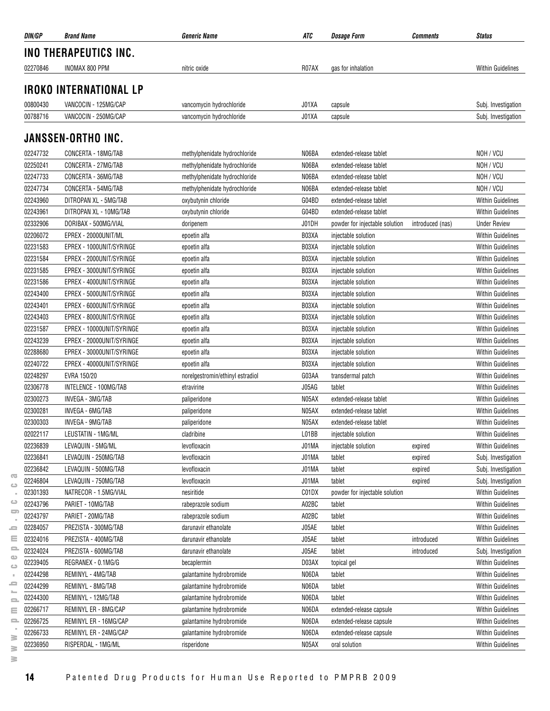| DIN/GP               | <b>Brand Name</b>                            | <b>Generic Name</b>                                  | ATC            | <b>Dosage Form</b>             | <b>Comments</b>  | <b>Status</b>            |
|----------------------|----------------------------------------------|------------------------------------------------------|----------------|--------------------------------|------------------|--------------------------|
|                      | INO THERAPEUTICS INC.                        |                                                      |                |                                |                  |                          |
| 02270846             | INOMAX 800 PPM                               | nitric oxide                                         | R07AX          | gas for inhalation             |                  | <b>Within Guidelines</b> |
|                      | <b>IROKO INTERNATIONAL LP</b>                |                                                      |                |                                |                  |                          |
|                      |                                              |                                                      |                |                                |                  |                          |
| 00800430<br>00788716 | VANCOCIN - 125MG/CAP<br>VANCOCIN - 250MG/CAP | vancomycin hydrochloride<br>vancomycin hydrochloride | J01XA<br>J01XA | capsule                        |                  | Subj. Investigation      |
|                      |                                              |                                                      |                | capsule                        |                  | Subj. Investigation      |
|                      | <b>JANSSEN-ORTHO INC.</b>                    |                                                      |                |                                |                  |                          |
| 02247732             | CONCERTA - 18MG/TAB                          | methylphenidate hydrochloride                        | N06BA          | extended-release tablet        |                  | NOH / VCU                |
| 02250241             | CONCERTA - 27MG/TAB                          | methylphenidate hydrochloride                        | N06BA          | extended-release tablet        |                  | NOH / VCU                |
| 02247733             | CONCERTA - 36MG/TAB                          | methylphenidate hydrochloride                        | N06BA          | extended-release tablet        |                  | NOH / VCU                |
| 02247734             | CONCERTA - 54MG/TAB                          | methylphenidate hydrochloride                        | N06BA          | extended-release tablet        |                  | NOH / VCU                |
| 02243960             | DITROPAN XL - 5MG/TAB                        | oxybutynin chloride                                  | G04BD          | extended-release tablet        |                  | <b>Within Guidelines</b> |
| 02243961             | DITROPAN XL - 10MG/TAB                       | oxybutynin chloride                                  | G04BD          | extended-release tablet        |                  | <b>Within Guidelines</b> |
| 02332906             | DORIBAX - 500MG/VIAL                         | doripenem                                            | J01DH          | powder for injectable solution | introduced (nas) | <b>Under Review</b>      |
| 02206072             | EPREX - 20000UNIT/ML                         | epoetin alfa                                         | B03XA          | injectable solution            |                  | <b>Within Guidelines</b> |
| 02231583             | EPREX - 1000UNIT/SYRINGE                     | epoetin alfa                                         | B03XA          | injectable solution            |                  | <b>Within Guidelines</b> |
| 02231584             | EPREX - 2000UNIT/SYRINGE                     | epoetin alfa                                         | B03XA          | injectable solution            |                  | <b>Within Guidelines</b> |
| 02231585             | EPREX - 3000UNIT/SYRINGE                     | epoetin alfa                                         | B03XA          | injectable solution            |                  | <b>Within Guidelines</b> |
| 02231586             | EPREX - 4000UNIT/SYRINGE                     | epoetin alfa                                         | B03XA          | injectable solution            |                  | <b>Within Guidelines</b> |
| 02243400             | EPREX - 5000UNIT/SYRINGE                     | epoetin alfa                                         | B03XA          | injectable solution            |                  | <b>Within Guidelines</b> |
| 02243401             | EPREX - 6000UNIT/SYRINGE                     | epoetin alfa                                         | B03XA          | injectable solution            |                  | <b>Within Guidelines</b> |
| 02243403             | EPREX - 8000UNIT/SYRINGE                     | epoetin alfa                                         | B03XA          | injectable solution            |                  | <b>Within Guidelines</b> |
| 02231587             | EPREX - 10000UNIT/SYRINGE                    | epoetin alfa                                         | B03XA          | injectable solution            |                  | <b>Within Guidelines</b> |
| 02243239             | EPREX - 20000UNIT/SYRINGE                    | epoetin alfa                                         | B03XA          | injectable solution            |                  | <b>Within Guidelines</b> |
| 02288680             | EPREX - 30000UNIT/SYRINGE                    | epoetin alfa                                         | B03XA          | injectable solution            |                  | <b>Within Guidelines</b> |
| 02240722             | EPREX - 40000UNIT/SYRINGE                    | epoetin alfa                                         | B03XA          | injectable solution            |                  | <b>Within Guidelines</b> |
| 02248297             | EVRA 150/20                                  | norelgestromin/ethinyl estradiol                     | G03AA          | transdermal patch              |                  | <b>Within Guidelines</b> |
| 02306778             | INTELENCE - 100MG/TAB                        | etravirine                                           | J05AG          | tablet                         |                  | <b>Within Guidelines</b> |
| 02300273             | INVEGA - 3MG/TAB                             | paliperidone                                         | N05AX          | extended-release tablet        |                  | <b>Within Guidelines</b> |
| 02300281             | INVEGA - 6MG/TAB                             | paliperidone                                         | N05AX          | extended-release tablet        |                  | <b>Within Guidelines</b> |
| 02300303             | INVEGA - 9MG/TAB                             | paliperidone                                         | N05AX          | extended-release tablet        |                  | <b>Within Guidelines</b> |
| 02022117             | LEUSTATIN - 1MG/ML                           | cladribine                                           | L01BB          | injectable solution            |                  | <b>Within Guidelines</b> |
| 02236839             | LEVAQUIN - 5MG/ML                            | levofloxacin                                         | J01MA          | injectable solution            | expired          | <b>Within Guidelines</b> |
| 02236841             | LEVAQUIN - 250MG/TAB                         | levofloxacin                                         | J01MA          | tablet                         | expired          | Subj. Investigation      |
| 02236842             | LEVAQUIN - 500MG/TAB                         | levofloxacin                                         | J01MA          | tablet                         | expired          | Subj. Investigation      |
| 02246804             | LEVAQUIN - 750MG/TAB                         | levofloxacin                                         | J01MA          | tablet                         | expired          | Subj. Investigation      |
| 02301393             | NATRECOR - 1.5MG/VIAL                        | nesiritide                                           | C01DX          | powder for injectable solution |                  | <b>Within Guidelines</b> |
| 02243796             | PARIET - 10MG/TAB                            | rabeprazole sodium                                   | A02BC          | tablet                         |                  | <b>Within Guidelines</b> |
| 02243797             | PARIET - 20MG/TAB                            | rabeprazole sodium                                   | A02BC          | tablet                         |                  | <b>Within Guidelines</b> |
| 02284057             | PREZISTA - 300MG/TAB                         | darunavir ethanolate                                 | J05AE          | tablet                         |                  | <b>Within Guidelines</b> |
| 02324016             | PREZISTA - 400MG/TAB                         | darunavir ethanolate                                 | J05AE          | tablet                         | introduced       | <b>Within Guidelines</b> |
| 02324024             | PREZISTA - 600MG/TAB                         | darunavir ethanolate                                 | J05AE          | tablet                         | introduced       | Subj. Investigation      |
| 02239405             | REGRANEX - 0.1MG/G                           | becaplermin                                          | D03AX          | topical gel                    |                  | Within Guidelines        |
| 02244298             | REMINYL - 4MG/TAB                            | galantamine hydrobromide                             | N06DA          | tablet                         |                  | Within Guidelines        |
| 02244299             | REMINYL - 8MG/TAB                            | galantamine hydrobromide                             | N06DA          | tablet                         |                  | <b>Within Guidelines</b> |
| 02244300             | REMINYL - 12MG/TAB                           | galantamine hydrobromide                             | N06DA          | tablet                         |                  | <b>Within Guidelines</b> |
| 02266717             | REMINYL ER - 8MG/CAP                         | galantamine hydrobromide                             | N06DA          | extended-release capsule       |                  | <b>Within Guidelines</b> |
| 02266725             | REMINYL ER - 16MG/CAP                        | galantamine hydrobromide                             | N06DA          | extended-release capsule       |                  | Within Guidelines        |
| 02266733             | REMINYL ER - 24MG/CAP                        | galantamine hydrobromide                             | N06DA          | extended-release capsule       |                  | <b>Within Guidelines</b> |
| 02236950             | RISPERDAL - 1MG/ML                           | risperidone                                          | N05AX          | oral solution                  |                  | <b>Within Guidelines</b> |
|                      |                                              |                                                      |                |                                |                  |                          |

 $\overline{\infty}$  $\circ$  $\sim$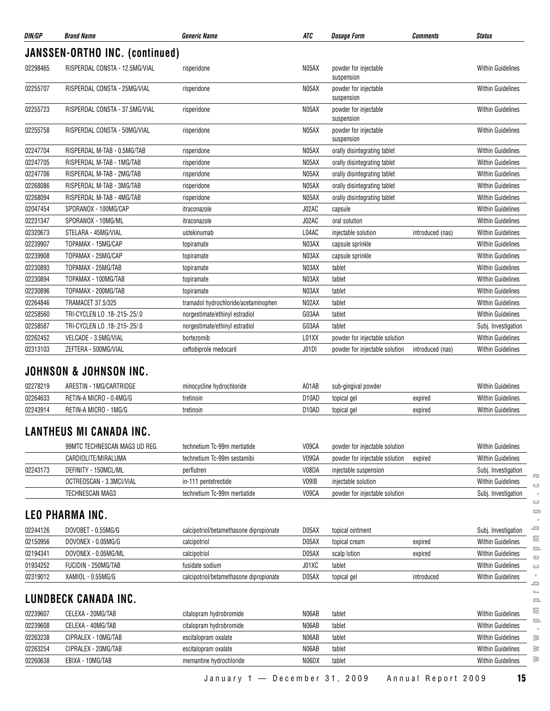| DIN/GP               | <b>Brand Name</b>                                 | <b>Generic Name</b>                     | <b>ATC</b>         | <b>Dosage Form</b>                                               | <b>Comments</b>  | <b>Status</b>                                        |
|----------------------|---------------------------------------------------|-----------------------------------------|--------------------|------------------------------------------------------------------|------------------|------------------------------------------------------|
|                      | JANSSEN-ORTHO INC. (continued)                    |                                         |                    |                                                                  |                  |                                                      |
| 02298465             | RISPERDAL CONSTA - 12.5MG/VIAL                    | risperidone                             | N05AX              | powder for injectable<br>suspension                              |                  | <b>Within Guidelines</b>                             |
| 02255707             | RISPERDAL CONSTA - 25MG/VIAL                      | risperidone                             | N05AX              | powder for injectable<br>suspension                              |                  | <b>Within Guidelines</b>                             |
| 02255723             | RISPERDAL CONSTA - 37.5MG/VIAL                    | risperidone                             | N05AX              | powder for injectable<br>suspension                              |                  | <b>Within Guidelines</b>                             |
| 02255758             | RISPERDAL CONSTA - 50MG/VIAL                      | risperidone                             | N05AX              | powder for injectable<br>suspension                              |                  | <b>Within Guidelines</b>                             |
| 02247704             | RISPERDAL M-TAB - 0.5MG/TAB                       | risperidone                             | N05AX              | orally disintegrating tablet                                     |                  | <b>Within Guidelines</b>                             |
| 02247705             | RISPERDAL M-TAB - 1MG/TAB                         | risperidone                             | N05AX              | orally disintegrating tablet                                     |                  | <b>Within Guidelines</b>                             |
| 02247706             | RISPERDAL M-TAB - 2MG/TAB                         | risperidone                             | N05AX              | orally disintegrating tablet                                     |                  | <b>Within Guidelines</b>                             |
| 02268086             | RISPERDAL M-TAB - 3MG/TAB                         | risperidone                             | N05AX              | orally disintegrating tablet                                     |                  | <b>Within Guidelines</b>                             |
| 02268094             | RISPERDAL M-TAB - 4MG/TAB                         | risperidone                             | N05AX              | orally disintegrating tablet                                     |                  | <b>Within Guidelines</b>                             |
| 02047454             | SPORANOX - 100MG/CAP                              | itraconazole                            | J02AC              | capsule                                                          |                  | <b>Within Guidelines</b>                             |
| 02231347             | SPORANOX - 10MG/ML                                | itraconazole                            | J02AC              | oral solution                                                    |                  | <b>Within Guidelines</b>                             |
| 02320673             | STELARA - 45MG/VIAL                               | ustekinumab                             | L04AC              | injectable solution                                              | introduced (nas) | Within Guidelines                                    |
| 02239907             | TOPAMAX - 15MG/CAP                                | topiramate                              | N03AX              | capsule sprinkle                                                 |                  | <b>Within Guidelines</b>                             |
| 02239908             | TOPAMAX - 25MG/CAP                                | topiramate                              | N03AX              | capsule sprinkle                                                 |                  | <b>Within Guidelines</b>                             |
| 02230893             | TOPAMAX - 25MG/TAB                                | topiramate                              | N03AX              | tablet                                                           |                  | <b>Within Guidelines</b>                             |
| 02230894             | TOPAMAX - 100MG/TAB                               | topiramate                              | N03AX              | tablet                                                           |                  | <b>Within Guidelines</b>                             |
| 02230896             | TOPAMAX - 200MG/TAB                               | topiramate                              | N03AX              | tablet                                                           |                  | <b>Within Guidelines</b>                             |
| 02264846             | TRAMACET 37.5/325                                 | tramadol hydrochloride/acetaminophen    | N02AX              | tablet                                                           |                  | Within Guidelines                                    |
| 02258560             | TRI-CYCLEN LO .18-.215-.25/.0                     |                                         | G03AA              | tablet                                                           |                  |                                                      |
| 02258587             |                                                   | norgestimate/ethinyl estradiol          |                    |                                                                  |                  | <b>Within Guidelines</b>                             |
|                      | TRI-CYCLEN LO .18-.215-.25/.0                     | norgestimate/ethinyl estradiol          | G03AA              | tablet                                                           |                  | Subj. Investigation                                  |
| 02262452<br>02313103 | VELCADE - 3.5MG/VIAL<br>ZEFTERA - 500MG/VIAL      | bortezomib<br>ceftobiprole medocaril    | L01XX<br>J01DI     | powder for injectable solution<br>powder for injectable solution | introduced (nas) | <b>Within Guidelines</b><br><b>Within Guidelines</b> |
| 02278219             | JOHNSON & JOHNSON INC.<br>ARESTIN - 1MG/CARTRIDGE | minocycline hydrochloride               | A01AB              | sub-gingival powder                                              |                  | <b>Within Guidelines</b>                             |
| 02264633             | RETIN-A MICRO - 0.4MG/G                           | tretinoin                               | D <sub>10</sub> AD | topical gel                                                      | expired          | <b>Within Guidelines</b>                             |
| 02243914             | RETIN-A MICRO - 1MG/G                             | tretinoin                               | D <sub>10</sub> AD | topical gel                                                      | expired          | <b>Within Guidelines</b>                             |
|                      | <b>LANTHEUS MI CANADA INC.</b>                    |                                         |                    |                                                                  |                  |                                                      |
|                      | 99MTC TECHNESCAN MAG3 UD REG.                     | technetium Tc-99m mertiatide            | V09CA              | powder for injectable solution                                   |                  | <b>Within Guidelines</b>                             |
|                      | CARDIOLITE/MIRALUMA                               | technetium Tc-99m sestamibi             | V09GA              | powder for injectable solution                                   | expired          | <b>Within Guidelines</b>                             |
| 02243173             | DEFINITY - 150MCL/ML                              | perflutren                              | V08DA              | injectable suspension                                            |                  | Subj. Investigation                                  |
|                      | OCTREOSCAN - 3.3MCI/VIAL                          | in-111 pentetreotide                    | V09IB              | injectable solution                                              |                  | <b>Within Guidelines</b>                             |
|                      | TECHNESCAN MAG3                                   | technetium Tc-99m mertiatide            | V09CA              | powder for injectable solution                                   |                  | Subj. Investigation                                  |
|                      | <b>LEO PHARMA INC.</b>                            |                                         |                    |                                                                  |                  |                                                      |
| 02244126             | DOVOBET - 0.55MG/G                                | calcipotriol/betamethasone dipropionate | D05AX              | topical ointment                                                 |                  | Subj. Investigation                                  |
| 02150956             | DOVONEX - 0.05MG/G                                | calcipotriol                            | D05AX              | topical cream                                                    | expired          | <b>Within Guidelines</b>                             |
| 02194341             | DOVONEX - 0.05MG/ML                               | calcipotriol                            | D05AX              | scalp lotion                                                     | expired          | <b>Within Guidelines</b>                             |
| 01934252             | FUCIDIN - 250MG/TAB                               | fusidate sodium                         | J01XC              | tablet                                                           |                  | <b>Within Guidelines</b>                             |
| 02319012             | XAMIOL - 0.55MG/G                                 | calcipotriol/betamethasone dipropionate | D05AX              | topical gel                                                      | introduced       | <b>Within Guidelines</b>                             |
|                      | LUNDBECK CANADA INC.                              |                                         |                    |                                                                  |                  |                                                      |
| 02239607             | CELEXA - 20MG/TAB                                 | citalopram hydrobromide                 | N06AB              | tablet                                                           |                  | <b>Within Guidelines</b>                             |
| 02239608             | CELEXA - 40MG/TAB                                 | citalopram hydrobromide                 | N06AB              | tablet                                                           |                  | <b>Within Guidelines</b>                             |
| 02263238             | CIPRALEX - 10MG/TAB                               | escitalopram oxalate                    | N06AB              | tablet                                                           |                  | <b>Within Guidelines</b>                             |
| 02263254             | CIPRALEX - 20MG/TAB                               | escitalopram oxalate                    | N06AB              | tablet                                                           |                  | <b>Within Guidelines</b>                             |
| 02260638             | EBIXA - 10MG/TAB                                  | memantine hydrochloride                 | N06DX              | tablet                                                           |                  | Within Guidelines                                    |

```
www.pmprb-cepmb.gc.ca\hfill\square\sim\hfill\square\qquad \qquad \blacksquare\bar{z}\equiv\equiv\equiv\bullet\hfill\square\mathbb{R}^+\equiv\sim\equiv\equiv\equiv\sim\geq
```
 $\overline{\text{C}}$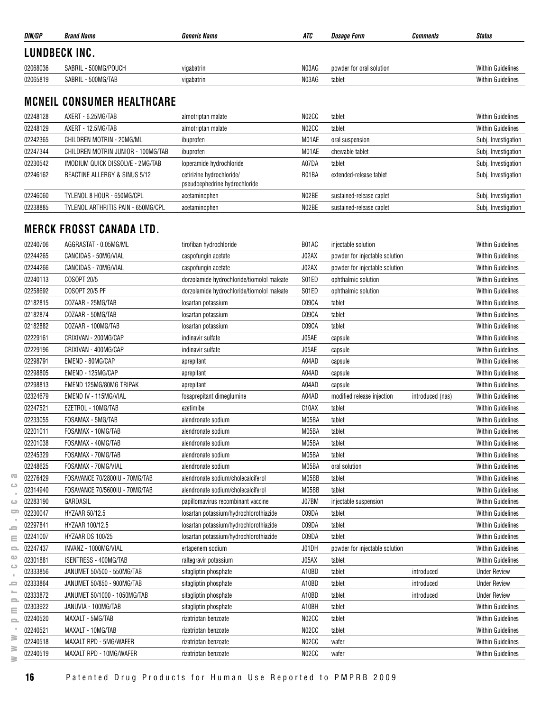| DIN/GP        | <b>Brand Name</b>    | <i><b>Generic Name</b></i> | ATC   | <i><b>Dosage Form</b></i> | Comments | <b>Status</b>            |
|---------------|----------------------|----------------------------|-------|---------------------------|----------|--------------------------|
| LUNDBECK INC. |                      |                            |       |                           |          |                          |
| 02068036      | SABRIL - 500MG/POUCH | vigabatrin                 | N03AG | powder for oral solution  |          | <b>Within Guidelines</b> |
| 02065819      | SABRIL - 500MG/TAB   | vigabatrin                 | N03AG | tablet                    |          | <b>Within Guidelines</b> |
|               |                      |                            |       |                           |          |                          |

#### **MCNEIL CONSUMER HEALTHCARE**

| 02248128 | AXERT - 6.25MG/TAB                 | almotriptan malate                                         | N <sub>02</sub> CC | tablet                   | <b>Within Guidelines</b> |
|----------|------------------------------------|------------------------------------------------------------|--------------------|--------------------------|--------------------------|
| 02248129 | AXERT - 12.5MG/TAB                 | almotriptan malate                                         | N <sub>02</sub> CC | tablet                   | <b>Within Guidelines</b> |
| 02242365 | CHILDREN MOTRIN - 20MG/ML          | ibuprofen                                                  | M01AE              | oral suspension          | Subj. Investigation      |
| 02247344 | CHILDREN MOTRIN JUNIOR - 100MG/TAB | ibuprofen                                                  | M01AE              | chewable tablet          | Subj. Investigation      |
| 02230542 | IMODIUM QUICK DISSOLVE - 2MG/TAB   | loperamide hydrochloride                                   | A07DA              | tablet                   | Subj. Investigation      |
| 02246162 | REACTINE ALLERGY & SINUS 5/12      | cetirizine hydrochloride/<br>pseudoephedrine hydrochloride | R01BA              | extended-release tablet  | Subj. Investigation      |
| 02246060 | TYLENOL 8 HOUR - 650MG/CPL         | acetaminophen                                              | N02BE              | sustained-release caplet | Subj. Investigation      |
| 02238885 | TYLENOL ARTHRITIS PAIN - 650MG/CPL | acetaminophen                                              | N02BE              | sustained-release caplet | Subj. Investigation      |

#### **MERCK FROSST CANADA LTD.**

|                                |                                                                                                                                                                                                                                                                 |                                                                                                                                                                                                                                                                                             |                                                                                                          |                                                                                                                                                                                                      | <b>Within Guidelines</b>                      |
|--------------------------------|-----------------------------------------------------------------------------------------------------------------------------------------------------------------------------------------------------------------------------------------------------------------|---------------------------------------------------------------------------------------------------------------------------------------------------------------------------------------------------------------------------------------------------------------------------------------------|----------------------------------------------------------------------------------------------------------|------------------------------------------------------------------------------------------------------------------------------------------------------------------------------------------------------|-----------------------------------------------|
|                                |                                                                                                                                                                                                                                                                 |                                                                                                                                                                                                                                                                                             |                                                                                                          |                                                                                                                                                                                                      | Within Guidelines<br><b>Within Guidelines</b> |
|                                |                                                                                                                                                                                                                                                                 |                                                                                                                                                                                                                                                                                             |                                                                                                          |                                                                                                                                                                                                      | <b>Within Guidelines</b>                      |
|                                |                                                                                                                                                                                                                                                                 |                                                                                                                                                                                                                                                                                             |                                                                                                          |                                                                                                                                                                                                      |                                               |
|                                |                                                                                                                                                                                                                                                                 |                                                                                                                                                                                                                                                                                             |                                                                                                          |                                                                                                                                                                                                      | Within Guidelines<br><b>Within Guidelines</b> |
|                                |                                                                                                                                                                                                                                                                 |                                                                                                                                                                                                                                                                                             |                                                                                                          |                                                                                                                                                                                                      |                                               |
|                                |                                                                                                                                                                                                                                                                 |                                                                                                                                                                                                                                                                                             |                                                                                                          |                                                                                                                                                                                                      | <b>Within Guidelines</b>                      |
|                                |                                                                                                                                                                                                                                                                 |                                                                                                                                                                                                                                                                                             |                                                                                                          |                                                                                                                                                                                                      | <b>Within Guidelines</b>                      |
|                                |                                                                                                                                                                                                                                                                 |                                                                                                                                                                                                                                                                                             |                                                                                                          |                                                                                                                                                                                                      | <b>Within Guidelines</b>                      |
|                                |                                                                                                                                                                                                                                                                 |                                                                                                                                                                                                                                                                                             |                                                                                                          |                                                                                                                                                                                                      | <b>Within Guidelines</b>                      |
|                                |                                                                                                                                                                                                                                                                 |                                                                                                                                                                                                                                                                                             |                                                                                                          |                                                                                                                                                                                                      | <b>Within Guidelines</b>                      |
|                                | aprepitant                                                                                                                                                                                                                                                      |                                                                                                                                                                                                                                                                                             | capsule                                                                                                  |                                                                                                                                                                                                      | <b>Within Guidelines</b>                      |
| EMEND 125MG/80MG TRIPAK        | aprepitant                                                                                                                                                                                                                                                      | A04AD                                                                                                                                                                                                                                                                                       | capsule                                                                                                  |                                                                                                                                                                                                      | <b>Within Guidelines</b>                      |
| EMEND IV - 115MG/VIAL          | fosaprepitant dimeglumine                                                                                                                                                                                                                                       | A04AD                                                                                                                                                                                                                                                                                       | modified release injection                                                                               | introduced (nas)                                                                                                                                                                                     | Within Guidelines                             |
| EZETROL - 10MG/TAB             | ezetimibe                                                                                                                                                                                                                                                       | C10AX                                                                                                                                                                                                                                                                                       | tablet                                                                                                   |                                                                                                                                                                                                      | <b>Within Guidelines</b>                      |
| FOSAMAX - 5MG/TAB              | alendronate sodium                                                                                                                                                                                                                                              | M05BA                                                                                                                                                                                                                                                                                       | tablet                                                                                                   |                                                                                                                                                                                                      | <b>Within Guidelines</b>                      |
| FOSAMAX - 10MG/TAB             | alendronate sodium                                                                                                                                                                                                                                              | M05BA                                                                                                                                                                                                                                                                                       | tablet                                                                                                   |                                                                                                                                                                                                      | <b>Within Guidelines</b>                      |
| FOSAMAX - 40MG/TAB             | alendronate sodium                                                                                                                                                                                                                                              | M05BA                                                                                                                                                                                                                                                                                       | tablet                                                                                                   |                                                                                                                                                                                                      | <b>Within Guidelines</b>                      |
| FOSAMAX - 70MG/TAB             | alendronate sodium                                                                                                                                                                                                                                              | M05BA                                                                                                                                                                                                                                                                                       | tablet                                                                                                   |                                                                                                                                                                                                      | <b>Within Guidelines</b>                      |
| FOSAMAX - 70MG/VIAL            | alendronate sodium                                                                                                                                                                                                                                              | M05BA                                                                                                                                                                                                                                                                                       | oral solution                                                                                            |                                                                                                                                                                                                      | <b>Within Guidelines</b>                      |
| FOSAVANCE 70/2800IU - 70MG/TAB | alendronate sodium/cholecalciferol                                                                                                                                                                                                                              | M05BB                                                                                                                                                                                                                                                                                       | tablet                                                                                                   |                                                                                                                                                                                                      | <b>Within Guidelines</b>                      |
| FOSAVANCE 70/5600IU - 70MG/TAB | alendronate sodium/cholecalciferol                                                                                                                                                                                                                              | M05BB                                                                                                                                                                                                                                                                                       | tablet                                                                                                   |                                                                                                                                                                                                      | <b>Within Guidelines</b>                      |
| GARDASIL                       | papillomavirus recombinant vaccine                                                                                                                                                                                                                              | J07BM                                                                                                                                                                                                                                                                                       | injectable suspension                                                                                    |                                                                                                                                                                                                      | <b>Within Guidelines</b>                      |
| <b>HYZAAR 50/12.5</b>          | losartan potassium/hydrochlorothiazide                                                                                                                                                                                                                          | C09DA                                                                                                                                                                                                                                                                                       | tablet                                                                                                   |                                                                                                                                                                                                      | <b>Within Guidelines</b>                      |
| HYZAAR 100/12.5                | losartan potassium/hydrochlorothiazide                                                                                                                                                                                                                          | C09DA                                                                                                                                                                                                                                                                                       | tablet                                                                                                   |                                                                                                                                                                                                      | <b>Within Guidelines</b>                      |
| HYZAAR DS 100/25               | losartan potassium/hydrochlorothiazide                                                                                                                                                                                                                          | C09DA                                                                                                                                                                                                                                                                                       | tablet                                                                                                   |                                                                                                                                                                                                      | <b>Within Guidelines</b>                      |
| INVANZ - 1000MG/VIAL           | ertapenem sodium                                                                                                                                                                                                                                                | J01DH                                                                                                                                                                                                                                                                                       | powder for injectable solution                                                                           |                                                                                                                                                                                                      | <b>Within Guidelines</b>                      |
| ISENTRESS - 400MG/TAB          | raltegravir potassium                                                                                                                                                                                                                                           | J05AX                                                                                                                                                                                                                                                                                       | tablet                                                                                                   |                                                                                                                                                                                                      | <b>Within Guidelines</b>                      |
| JANUMET 50/500 - 550MG/TAB     | sitagliptin phosphate                                                                                                                                                                                                                                           | A10BD                                                                                                                                                                                                                                                                                       | tablet                                                                                                   | introduced                                                                                                                                                                                           | <b>Under Review</b>                           |
| JANUMET 50/850 - 900MG/TAB     | sitagliptin phosphate                                                                                                                                                                                                                                           | A10BD                                                                                                                                                                                                                                                                                       | tablet                                                                                                   | introduced                                                                                                                                                                                           | <b>Under Review</b>                           |
| JANUMET 50/1000 - 1050MG/TAB   | sitagliptin phosphate                                                                                                                                                                                                                                           | A10BD                                                                                                                                                                                                                                                                                       | tablet                                                                                                   | introduced                                                                                                                                                                                           | <b>Under Review</b>                           |
| JANUVIA - 100MG/TAB            | sitagliptin phosphate                                                                                                                                                                                                                                           | A10BH                                                                                                                                                                                                                                                                                       | tablet                                                                                                   |                                                                                                                                                                                                      | <b>Within Guidelines</b>                      |
| MAXALT - 5MG/TAB               | rizatriptan benzoate                                                                                                                                                                                                                                            | N02CC                                                                                                                                                                                                                                                                                       | tablet                                                                                                   |                                                                                                                                                                                                      | <b>Within Guidelines</b>                      |
| MAXALT - 10MG/TAB              | rizatriptan benzoate                                                                                                                                                                                                                                            | N02CC                                                                                                                                                                                                                                                                                       | tablet                                                                                                   |                                                                                                                                                                                                      | <b>Within Guidelines</b>                      |
| MAXALT RPD - 5MG/WAFER         | rizatriptan benzoate                                                                                                                                                                                                                                            | N02CC                                                                                                                                                                                                                                                                                       | wafer                                                                                                    |                                                                                                                                                                                                      | <b>Within Guidelines</b>                      |
| MAXALT RPD - 10MG/WAFER        | rizatriptan benzoate                                                                                                                                                                                                                                            | N02CC                                                                                                                                                                                                                                                                                       | wafer                                                                                                    |                                                                                                                                                                                                      | <b>Within Guidelines</b>                      |
|                                | AGGRASTAT - 0.05MG/ML<br>CANCIDAS - 50MG/VIAL<br>CANCIDAS - 70MG/VIAL<br>COSOPT 20/5<br>COSOPT 20/5 PF<br>COZAAR - 25MG/TAB<br>COZAAR - 50MG/TAB<br>COZAAR - 100MG/TAB<br>CRIXIVAN - 200MG/CAP<br>CRIXIVAN - 400MG/CAP<br>EMEND - 80MG/CAP<br>EMEND - 125MG/CAP | tirofiban hydrochloride<br>caspofungin acetate<br>caspofungin acetate<br>dorzolamide hydrochloride/tiomolol maleate<br>dorzolamide hydrochloride/tiomolol maleate<br>losartan potassium<br>losartan potassium<br>losartan potassium<br>indinavir sulfate<br>indinavir sulfate<br>aprepitant | B01AC<br>J02AX<br>J02AX<br>S01ED<br>S01ED<br>C09CA<br>C09CA<br>C09CA<br>J05AE<br>J05AE<br>A04AD<br>A04AD | injectable solution<br>powder for injectable solution<br>powder for injectable solution<br>ophthalmic solution<br>ophthalmic solution<br>tablet<br>tablet<br>tablet<br>capsule<br>capsule<br>capsule |                                               |

 $\geq$ 

 $\overline{\text{C}}$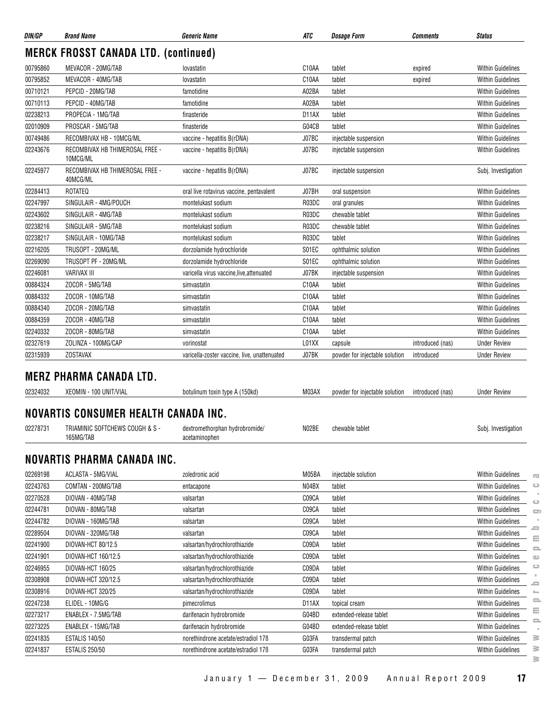| DIN/GP   | <b>Brand Name</b>                            | <b>Generic Name</b>                             | ATC                | <b>Dosage Form</b>             | Comments         | <b>Status</b>            |
|----------|----------------------------------------------|-------------------------------------------------|--------------------|--------------------------------|------------------|--------------------------|
|          | <b>MERCK FROSST CANADA LTD. (continued)</b>  |                                                 |                    |                                |                  |                          |
| 00795860 | MEVACOR - 20MG/TAB                           | lovastatin                                      | C10AA              | tablet                         | expired          | <b>Within Guidelines</b> |
| 00795852 | MEVACOR - 40MG/TAB                           | lovastatin                                      | C <sub>10</sub> AA | tablet                         | expired          | <b>Within Guidelines</b> |
| 00710121 | PEPCID - 20MG/TAB                            | famotidine                                      | A02BA              | tablet                         |                  | <b>Within Guidelines</b> |
| 00710113 | PEPCID - 40MG/TAB                            | famotidine                                      | A02BA              | tablet                         |                  | <b>Within Guidelines</b> |
| 02238213 | PROPECIA - 1MG/TAB                           | finasteride                                     | D11AX              | tablet                         |                  | <b>Within Guidelines</b> |
| 02010909 | PROSCAR - 5MG/TAB                            | finasteride                                     | G04CB              | tablet                         |                  | <b>Within Guidelines</b> |
| 00749486 | RECOMBIVAX HB - 10MCG/ML                     | vaccine - hepatitis B(rDNA)                     | J07BC              | injectable suspension          |                  | <b>Within Guidelines</b> |
| 02243676 | RECOMBIVAX HB THIMEROSAL FREE -<br>10MCG/ML  | vaccine - hepatitis B(rDNA)                     | J07BC              | injectable suspension          |                  | <b>Within Guidelines</b> |
| 02245977 | RECOMBIVAX HB THIMEROSAL FREE -<br>40MCG/ML  | vaccine - hepatitis B(rDNA)                     | J07BC              | injectable suspension          |                  | Subj. Investigation      |
| 02284413 | <b>ROTATEQ</b>                               | oral live rotavirus vaccine, pentavalent        | J07BH              | oral suspension                |                  | <b>Within Guidelines</b> |
| 02247997 | SINGULAIR - 4MG/POUCH                        | montelukast sodium                              | R03DC              | oral granules                  |                  | <b>Within Guidelines</b> |
| 02243602 | SINGULAIR - 4MG/TAB                          | montelukast sodium                              | R03DC              | chewable tablet                |                  | <b>Within Guidelines</b> |
| 02238216 | SINGULAIR - 5MG/TAB                          | montelukast sodium                              | R03DC              | chewable tablet                |                  | <b>Within Guidelines</b> |
| 02238217 | SINGULAIR - 10MG/TAB                         | montelukast sodium                              | R03DC              | tablet                         |                  | <b>Within Guidelines</b> |
| 02216205 | TRUSOPT - 20MG/ML                            | dorzolamide hydrochloride                       | S01EC              | ophthalmic solution            |                  | <b>Within Guidelines</b> |
| 02269090 | TRUSOPT PF - 20MG/ML                         | dorzolamide hydrochloride                       | S01EC              | ophthalmic solution            |                  | <b>Within Guidelines</b> |
| 02246081 | VARIVAX III                                  | varicella virus vaccine, live, attenuated       | J07BK              | injectable suspension          |                  | <b>Within Guidelines</b> |
| 00884324 | ZOCOR - 5MG/TAB                              | simvastatin                                     | C <sub>10</sub> AA | tablet                         |                  | <b>Within Guidelines</b> |
| 00884332 | ZOCOR - 10MG/TAB                             | simvastatin                                     | C <sub>10</sub> AA | tablet                         |                  | <b>Within Guidelines</b> |
| 00884340 | ZOCOR - 20MG/TAB                             | simvastatin                                     | C <sub>10</sub> AA | tablet                         |                  | <b>Within Guidelines</b> |
| 00884359 | ZOCOR - 40MG/TAB                             | simvastatin                                     | C10AA              | tablet                         |                  | <b>Within Guidelines</b> |
| 02240332 | ZOCOR - 80MG/TAB                             | simvastatin                                     | C <sub>10</sub> AA | tablet                         |                  | <b>Within Guidelines</b> |
| 02327619 | ZOLINZA - 100MG/CAP                          | vorinostat                                      | L01XX              | capsule                        | introduced (nas) | <b>Under Review</b>      |
| 02315939 | <b>ZOSTAVAX</b>                              | varicella-zoster vaccine, live, unattenuated    | J07BK              | powder for injectable solution | introduced       | <b>Under Review</b>      |
|          | <b>MERZ PHARMA CANADA LTD.</b>               |                                                 |                    |                                |                  |                          |
| 02324032 | XEOMIN - 100 UNIT/VIAL                       | botulinum toxin type A (150kd)                  | M03AX              | powder for injectable solution | introduced (nas) | <b>Under Review</b>      |
|          | NOVARTIS CONSUMER HEALTH CANADA INC.         |                                                 |                    |                                |                  |                          |
| 02278731 | TRIAMINIC SOFTCHEWS COUGH & S -<br>165MG/TAB | dextromethorphan hydrobromide/<br>acetaminophen | N02BE              | chewable tablet                |                  | Subj. Investigation      |
|          | NOVARTIS PHARMA CANADA INC.                  |                                                 |                    |                                |                  |                          |
| 02269198 | ACLASTA - 5MG/VIAL                           | zoledronic acid                                 | M05BA              | injectable solution            |                  | <b>Within Guidelines</b> |
| 02243763 | COMTAN - 200MG/TAB                           | entacapone                                      | N04BX              | tablet                         |                  | <b>Within Guidelines</b> |
| 02270528 | DIOVAN - 40MG/TAB                            | valsartan                                       | C09CA              | tablet                         |                  | <b>Within Guidelines</b> |
| 02244781 | DIOVAN - 80MG/TAB                            | valsartan                                       | C09CA              | tablet                         |                  | Within Guidelines        |
| 02244782 | DIOVAN - 160MG/TAB                           | valsartan                                       | C09CA              | tablet                         |                  | <b>Within Guidelines</b> |
| 02289504 | DIOVAN - 320MG/TAB                           | valsartan                                       | C09CA              | tablet                         |                  | <b>Within Guidelines</b> |
| 02241900 | DIOVAN-HCT 80/12.5                           | valsartan/hydrochlorothiazide                   | C09DA              | tablet                         |                  | <b>Within Guidelines</b> |
| 02241901 | DIOVAN-HCT 160/12.5                          | valsartan/hydrochlorothiazide                   | C09DA              | tablet                         |                  | <b>Within Guidelines</b> |
| 02246955 | DIOVAN-HCT 160/25                            | valsartan/hydrochlorothiazide                   | C09DA              | tablet                         |                  | Within Guidelines        |
| 02308908 | DIOVAN-HCT 320/12.5                          | valsartan/hydrochlorothiazide                   | C09DA              | tablet                         |                  | Within Guidelines        |

02308916 DIOVAN-HCT 320/25 valsartan/hydrochlorothiazide C09DA tablet C09DA comes within Guidelines 02247238 ELIDEL - 10MG/G pimecrolimus D11AX topical cream Within Guidelines 02273217 ENABLEX - 7.5MG/TAB darifenacin hydrobromide G04BD extended-release tablet Within Guidelines 02273225 ENABLEX - 15MG/TAB darifenacin hydrobromide G04BD extended-release tablet Within Guidelines 02241835 ESTALIS 140/50 https://www.morethindrone acetate/estradiol 17ß G03FA transdermal patch CDC established Within Guidelines 02241837 ESTALIS 250/50 horethindrone acetate/estradiol 17ß GO3FA transdermal patch CHSTALIS 250/50 Within Guidelines **www.pmprb-cepmb.gc.ca**

 $\overline{\infty}$  $\qquad \qquad \Longleftrightarrow$  $\alpha$  $\bigcirc$  $\Box$  $\equiv$  $\equiv$  $\equiv$  $\omega$  $\Rightarrow$ 'n.  $\equiv$ ÷,  $\equiv$ ≣  $\equiv$ i.  $\geq$ ≧  $\geq$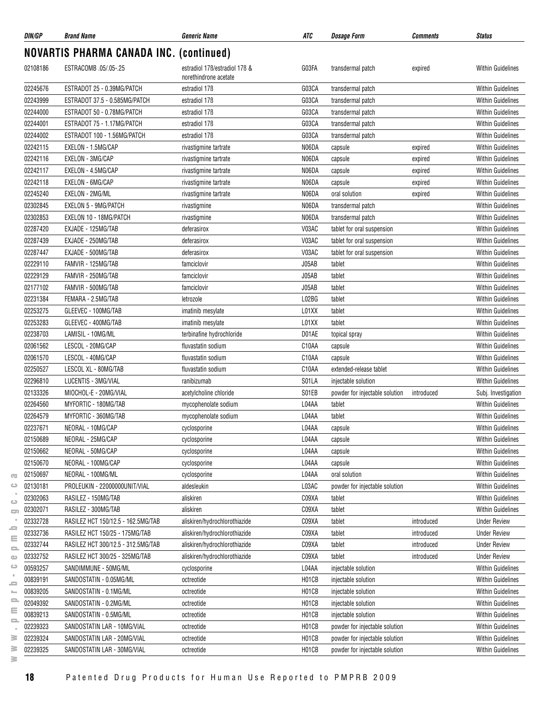| DIN/GP   | <b>Brand Name</b>                              | <b>Generic Name</b>                                    | ATC                | <b>Dosage Form</b>             | <b>Comments</b> | <b>Status</b>                                        |
|----------|------------------------------------------------|--------------------------------------------------------|--------------------|--------------------------------|-----------------|------------------------------------------------------|
|          | <b>NOVARTIS PHARMA CANADA INC. (continued)</b> |                                                        |                    |                                |                 |                                                      |
| 02108186 | ESTRACOMB .05/.05-.25                          | estradiol 176/estradiol 176 &<br>norethindrone acetate | G03FA              | transdermal patch              | expired         | <b>Within Guidelines</b>                             |
| 02245676 | ESTRADOT 25 - 0.39MG/PATCH                     | estradiol 17 <sub>B</sub>                              | G03CA              | transdermal patch              |                 | <b>Within Guidelines</b>                             |
| 02243999 | ESTRADOT 37.5 - 0.585MG/PATCH                  | estradiol 17 <sub>B</sub>                              | G03CA              | transdermal patch              |                 | <b>Within Guidelines</b>                             |
| 02244000 | ESTRADOT 50 - 0.78MG/PATCH                     | estradiol 17 <sub>B</sub>                              | G03CA              | transdermal patch              |                 | <b>Within Guidelines</b>                             |
| 02244001 | ESTRADOT 75 - 1.17MG/PATCH                     | estradiol 17 <sub>B</sub>                              | G03CA              | transdermal patch              |                 | <b>Within Guidelines</b>                             |
| 02244002 | ESTRADOT 100 - 1.56MG/PATCH                    | estradiol 17 <sub>B</sub>                              | G03CA              | transdermal patch              |                 | <b>Within Guidelines</b>                             |
| 02242115 | EXELON - 1.5MG/CAP                             | rivastigmine tartrate                                  | N06DA              | capsule                        | expired         | <b>Within Guidelines</b>                             |
| 02242116 | EXELON - 3MG/CAP                               | rivastigmine tartrate                                  | N06DA              | capsule                        | expired         | <b>Within Guidelines</b>                             |
| 02242117 | EXELON - 4.5MG/CAP                             | rivastigmine tartrate                                  | N06DA              | capsule                        | expired         | <b>Within Guidelines</b>                             |
| 02242118 | EXELON - 6MG/CAP                               | rivastigmine tartrate                                  | N06DA              | capsule                        | expired         | <b>Within Guidelines</b>                             |
| 02245240 | EXELON - 2MG/ML                                | rivastigmine tartrate                                  | N06DA              | oral solution                  | expired         | Within Guidelines                                    |
| 02302845 | EXELON 5 - 9MG/PATCH                           | rivastigmine                                           | N06DA              | transdermal patch              |                 | <b>Within Guidelines</b>                             |
| 02302853 | EXELON 10 - 18MG/PATCH                         | rivastigmine                                           | N06DA              | transdermal patch              |                 | <b>Within Guidelines</b>                             |
| 02287420 | EXJADE - 125MG/TAB                             | deferasirox                                            | V03AC              | tablet for oral suspension     |                 | <b>Within Guidelines</b>                             |
| 02287439 | EXJADE - 250MG/TAB                             | deferasirox                                            | V03AC              | tablet for oral suspension     |                 | <b>Within Guidelines</b>                             |
| 02287447 | EXJADE - 500MG/TAB                             | deferasirox                                            | V03AC              | tablet for oral suspension     |                 | <b>Within Guidelines</b>                             |
| 02229110 | FAMVIR - 125MG/TAB                             | famciclovir                                            | J05AB              | tablet                         |                 | <b>Within Guidelines</b>                             |
| 02229129 | FAMVIR - 250MG/TAB                             | famciclovir                                            | J05AB              | tablet                         |                 | <b>Within Guidelines</b>                             |
| 02177102 | FAMVIR - 500MG/TAB                             | famciclovir                                            | J05AB              | tablet                         |                 | <b>Within Guidelines</b>                             |
| 02231384 | FEMARA - 2.5MG/TAB                             | letrozole                                              | L02BG              | tablet                         |                 | <b>Within Guidelines</b>                             |
| 02253275 | GLEEVEC - 100MG/TAB                            | imatinib mesylate                                      | L01XX              | tablet                         |                 | <b>Within Guidelines</b>                             |
| 02253283 | GLEEVEC - 400MG/TAB                            | imatinib mesylate                                      | L01XX              | tablet                         |                 | <b>Within Guidelines</b>                             |
| 02238703 | LAMISIL - 10MG/ML                              | terbinafine hydrochloride                              | D01AE              | topical spray                  |                 | <b>Within Guidelines</b>                             |
| 02061562 | LESCOL - 20MG/CAP                              | fluvastatin sodium                                     | C10AA              |                                |                 | <b>Within Guidelines</b>                             |
| 02061570 | LESCOL - 40MG/CAP                              | fluvastatin sodium                                     | C <sub>10</sub> AA | capsule                        |                 | <b>Within Guidelines</b>                             |
| 02250527 | LESCOL XL - 80MG/TAB                           |                                                        |                    | capsule                        |                 |                                                      |
| 02296810 | LUCENTIS - 3MG/VIAL                            | fluvastatin sodium                                     | C <sub>10</sub> AA | extended-release tablet        |                 | <b>Within Guidelines</b><br><b>Within Guidelines</b> |
|          | MIOCHOL-E - 20MG/VIAL                          | ranibizumab                                            | S01LA              | injectable solution            |                 |                                                      |
| 02133326 |                                                | acetylcholine chloride                                 | S01EB              | powder for injectable solution | introduced      | Subj. Investigation                                  |
| 02264560 | MYFORTIC - 180MG/TAB                           | mycophenolate sodium                                   | L04AA              | tablet                         |                 | <b>Within Guidelines</b>                             |
| 02264579 | MYFORTIC - 360MG/TAB                           | mycophenolate sodium                                   | L04AA              | tablet                         |                 | <b>Within Guidelines</b>                             |
| 02237671 | NEORAL - 10MG/CAP                              | cyclosporine                                           | L04AA              | capsule                        |                 | Within Guidelines                                    |
| 02150689 | NEORAL - 25MG/CAP                              | cyclosporine                                           | L04AA              | capsule                        |                 | <b>Within Guidelines</b>                             |
| 02150662 | NEORAL - 50MG/CAP                              | cyclosporine                                           | L04AA              | capsule                        |                 | <b>Within Guidelines</b>                             |
| 02150670 | NEORAL - 100MG/CAP                             | cyclosporine                                           | L04AA              | capsule                        |                 | <b>Within Guidelines</b>                             |
| 02150697 | NEORAL - 100MG/ML                              | cyclosporine                                           | L04AA              | oral solution                  |                 | <b>Within Guidelines</b>                             |
| 02130181 | PROLEUKIN - 22000000UNIT/VIAL                  | aldesleukin                                            | L03AC              | powder for injectable solution |                 | <b>Within Guidelines</b>                             |
| 02302063 | RASILEZ - 150MG/TAB                            | aliskiren                                              | C09XA              | tablet                         |                 | <b>Within Guidelines</b>                             |
| 02302071 | RASILEZ - 300MG/TAB                            | aliskiren                                              | C09XA              | tablet                         |                 | <b>Within Guidelines</b>                             |
| 02332728 | RASILEZ HCT 150/12.5 - 162.5MG/TAB             | aliskiren/hydrochlorothiazide                          | C09XA              | tablet                         | introduced      | <b>Under Review</b>                                  |
| 02332736 | RASILEZ HCT 150/25 - 175MG/TAB                 | aliskiren/hydrochlorothiazide                          | C09XA              | tablet                         | introduced      | <b>Under Review</b>                                  |
| 02332744 | RASILEZ HCT 300/12.5 - 312.5MG/TAB             | aliskiren/hydrochlorothiazide                          | C09XA              | tablet                         | introduced      | <b>Under Review</b>                                  |
| 02332752 | RASILEZ HCT 300/25 - 325MG/TAB                 | aliskiren/hydrochlorothiazide                          | C09XA              | tablet                         | introduced      | <b>Under Review</b>                                  |
| 00593257 | SANDIMMUNE - 50MG/ML                           | cyclosporine                                           | L04AA              | injectable solution            |                 | <b>Within Guidelines</b>                             |
| 00839191 | SANDOSTATIN - 0.05MG/ML                        | octreotide                                             | H01CB              | injectable solution            |                 | <b>Within Guidelines</b>                             |
| 00839205 | SANDOSTATIN - 0.1MG/ML                         | octreotide                                             | H01CB              | injectable solution            |                 | <b>Within Guidelines</b>                             |
| 02049392 | SANDOSTATIN - 0.2MG/ML                         | octreotide                                             | H01CB              | injectable solution            |                 | <b>Within Guidelines</b>                             |
| 00839213 | SANDOSTATIN - 0.5MG/ML                         | octreotide                                             | H01CB              | injectable solution            |                 | <b>Within Guidelines</b>                             |
| 02239323 | SANDOSTATIN LAR - 10MG/VIAL                    | octreotide                                             | H01CB              | powder for injectable solution |                 | <b>Within Guidelines</b>                             |
| 02239324 | SANDOSTATIN LAR - 20MG/VIAL                    | octreotide                                             | H01CB              | powder for injectable solution |                 | <b>Within Guidelines</b>                             |
| 02239325 | SANDOSTATIN LAR - 30MG/VIAL                    | octreotide                                             | H01CB              | powder for injectable solution |                 | <b>Within Guidelines</b>                             |

 $\overline{\infty}$  $\circ$  $\sim$  $\qquad \qquad \qquad \blacksquare$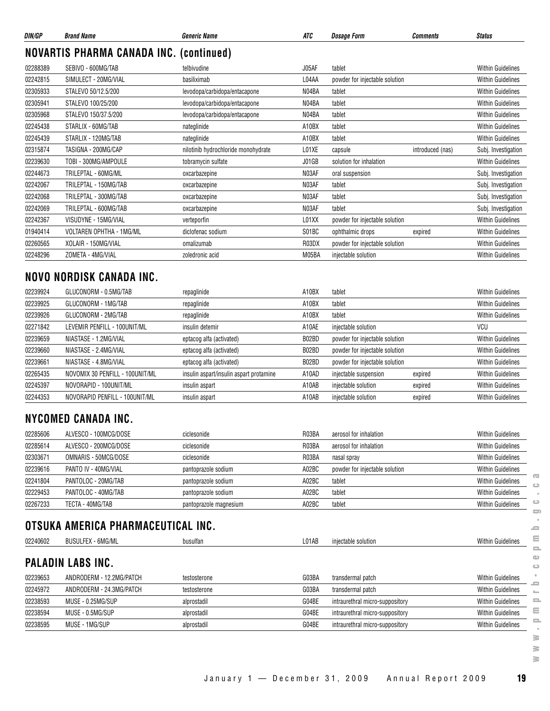| DIN/GP   | <b>Brand Name</b>                              | <b>Generic Name</b>                 | ATC   | <b>Dosage Form</b>             | <b>Comments</b>  | <b>Status</b>            |
|----------|------------------------------------------------|-------------------------------------|-------|--------------------------------|------------------|--------------------------|
|          | <b>NOVARTIS PHARMA CANADA INC. (continued)</b> |                                     |       |                                |                  |                          |
| 02288389 | SEBIVO - 600MG/TAB                             | telbivudine                         | J05AF | tablet                         |                  | <b>Within Guidelines</b> |
| 02242815 | SIMULECT - 20MG/VIAL                           | basiliximab                         | L04AA | powder for injectable solution |                  | <b>Within Guidelines</b> |
| 02305933 | STALEVO 50/12.5/200                            | levodopa/carbidopa/entacapone       | N04BA | tablet                         |                  | <b>Within Guidelines</b> |
| 02305941 | STALEVO 100/25/200                             | levodopa/carbidopa/entacapone       | N04BA | tablet                         |                  | <b>Within Guidelines</b> |
| 02305968 | STALEVO 150/37.5/200                           | levodopa/carbidopa/entacapone       | N04BA | tablet                         |                  | <b>Within Guidelines</b> |
| 02245438 | STARLIX - 60MG/TAB                             | nateglinide                         | A10BX | tablet                         |                  | <b>Within Guidelines</b> |
| 02245439 | STARLIX - 120MG/TAB                            | nateglinide                         | A10BX | tablet                         |                  | <b>Within Guidelines</b> |
| 02315874 | TASIGNA - 200MG/CAP                            | nilotinib hydrochloride monohydrate | L01XE | capsule                        | introduced (nas) | Subj. Investigation      |
| 02239630 | TOBI - 300MG/AMPOULE                           | tobramycin sulfate                  | J01GB | solution for inhalation        |                  | <b>Within Guidelines</b> |
| 02244673 | TRILEPTAL - 60MG/ML                            | oxcarbazepine                       | N03AF | oral suspension                |                  | Subj. Investigation      |
| 02242067 | TRILEPTAL - 150MG/TAB                          | oxcarbazepine                       | N03AF | tablet                         |                  | Subj. Investigation      |
| 02242068 | TRILEPTAL - 300MG/TAB                          | oxcarbazepine                       | N03AF | tablet                         |                  | Subj. Investigation      |
| 02242069 | TRILEPTAL - 600MG/TAB                          | oxcarbazepine                       | N03AF | tablet                         |                  | Subj. Investigation      |
| 02242367 | VISUDYNE - 15MG/VIAL                           | verteporfin                         | L01XX | powder for injectable solution |                  | <b>Within Guidelines</b> |
| 01940414 | VOLTAREN OPHTHA - 1MG/ML                       | diclofenac sodium                   | S01BC | ophthalmic drops               | expired          | <b>Within Guidelines</b> |
| 02260565 | XOLAIR - 150MG/VIAL                            | omalizumab                          | R03DX | powder for injectable solution |                  | <b>Within Guidelines</b> |
| 02248296 | ZOMETA - 4MG/VIAL                              | zoledronic acid                     | M05BA | injectable solution            |                  | <b>Within Guidelines</b> |

#### **NOVO NORDISK CANADA INC.**

| 02239924 | GLUCONORM - 0.5MG/TAB           | repaglinide                             | A10BX | tablet                         |         | <b>Within Guidelines</b> |
|----------|---------------------------------|-----------------------------------------|-------|--------------------------------|---------|--------------------------|
| 02239925 | GLUCONORM - 1MG/TAB             | repaglinide                             | A10BX | tablet                         |         | <b>Within Guidelines</b> |
| 02239926 | GLUCONORM - 2MG/TAB             | repaglinide                             | A10BX | tablet                         |         | <b>Within Guidelines</b> |
| 02271842 | LEVEMIR PENFILL - 100UNIT/ML    | insulin detemir                         | A10AE | injectable solution            |         | <b>VCU</b>               |
| 02239659 | NIASTASE - 1.2MG/VIAL           | eptacog alfa (activated)                | B02BD | powder for injectable solution |         | <b>Within Guidelines</b> |
| 02239660 | NIASTASE - 2.4MG/VIAL           | eptacog alfa (activated)                | B02BD | powder for injectable solution |         | <b>Within Guidelines</b> |
| 02239661 | NIASTASE - 4.8MG/VIAL           | eptacog alfa (activated)                | B02BD | powder for injectable solution |         | <b>Within Guidelines</b> |
| 02265435 | NOVOMIX 30 PENFILL - 100UNIT/ML | insulin aspart/insulin aspart protamine | A10AD | injectable suspension          | expired | <b>Within Guidelines</b> |
| 02245397 | NOVORAPID - 100UNIT/ML          | insulin aspart                          | A10AB | injectable solution            | expired | <b>Within Guidelines</b> |
| 02244353 | NOVORAPID PENFILL - 100UNIT/ML  | insulin aspart                          | A10AB | injectable solution            | expired | <b>Within Guidelines</b> |

#### **NYCOMED CANADA INC.**

| 02285606 | ALVESCO - 100MCG/DOSE | ciclesonide            | R03BA | aerosol for inhalation         | <b>Within Guidelines</b>                |
|----------|-----------------------|------------------------|-------|--------------------------------|-----------------------------------------|
| 02285614 | ALVESCO - 200MCG/DOSE | ciclesonide            | R03BA | aerosol for inhalation         | <b>Within Guidelines</b>                |
| 02303671 | OMNARIS - 50MCG/DOSE  | ciclesonide            | R03BA | nasal spray                    | <b>Within Guidelines</b>                |
| 02239616 | PANTO IV - 40MG/VIAL  | pantoprazole sodium    | A02BC | powder for injectable solution | <b>Within Guidelines</b>                |
| 02241804 | PANTOLOC - 20MG/TAB   | pantoprazole sodium    | A02BC | tablet                         | $\sim$<br><b>Within Guidelines</b><br>ല |
| 02229453 | PANTOLOC - 40MG/TAB   | pantoprazole sodium    | A02BC | tablet                         | <b>Within Guidelines</b>                |
| 02267233 | TECTA - 40MG/TAB      | pantoprazole magnesium | A02BC | tablet                         | $\circ$<br><b>Within Guidelines</b>     |

## **OTSUKA AMERICA PHARMACEUTICAL INC.**

| 02240602 | <b>BUSULFEX - 6MG/ML</b> | busulfan     | L01AB | injectable solution             | <b>Within Guidelines</b> |
|----------|--------------------------|--------------|-------|---------------------------------|--------------------------|
|          | <b>PALADIN LABS INC.</b> |              |       |                                 |                          |
| 02239653 | ANDRODERM - 12.2MG/PATCH | testosterone | G03BA | transdermal patch               | <b>Within Guidelines</b> |
| 02245972 | ANDRODERM - 24.3MG/PATCH | testosterone | G03BA | transdermal patch               | <b>Within Guidelines</b> |
| 02238593 | MUSE - 0.25MG/SUP        | alprostadil  | G04BE | intraurethral micro-suppository | <b>Within Guidelines</b> |
| 02238594 | MUSE - 0.5MG/SUP         | alprostadil  | G04BE | intraurethral micro-suppository | <b>Within Guidelines</b> |
| 02238595 | MUSE - 1MG/SUP           | alprostadil  | G04BE | intraurethral micro-suppository | <b>Within Guidelines</b> |

 $\geq$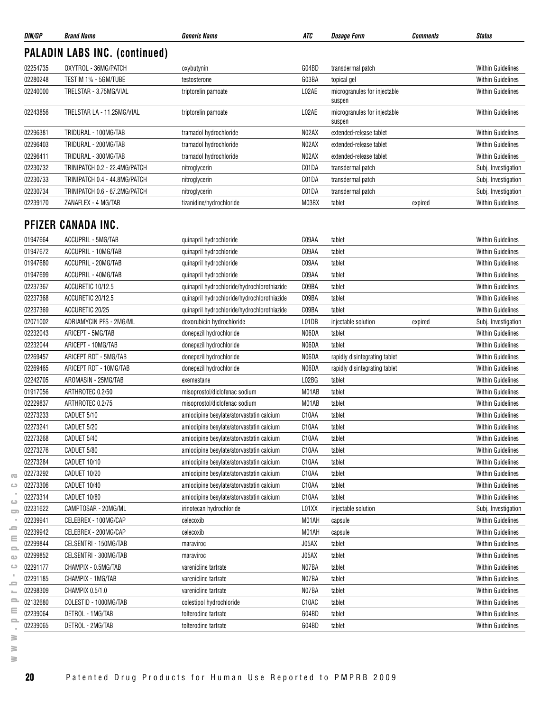| <b>PALADIN LABS INC. (continued)</b><br>OXYTROL - 36MG/PATCH<br>02254735<br>G04BD<br>transdermal patch<br>oxybutynin<br>TESTIM 1% - 5GM/TUBE<br>G03BA<br>topical gel<br>testosterone<br>TRELSTAR - 3.75MG/VIAL<br>L02AE<br>microgranules for injectable<br>triptorelin pamoate<br>suspen<br>L02AE<br>TRELSTAR LA - 11.25MG/VIAL<br>microgranules for injectable<br>triptorelin pamoate<br>suspen<br>N02AX<br>TRIDURAL - 100MG/TAB<br>tramadol hydrochloride<br>extended-release tablet<br>TRIDURAL - 200MG/TAB<br>N02AX<br>tramadol hydrochloride<br>extended-release tablet<br>N02AX<br>TRIDURAL - 300MG/TAB<br>tramadol hydrochloride<br>extended-release tablet<br>TRINIPATCH 0.2 - 22.4MG/PATCH<br>C01DA<br>transdermal patch<br>nitroglycerin<br>TRINIPATCH 0.4 - 44.8MG/PATCH<br>C01DA<br>transdermal patch<br>nitroglycerin<br>TRINIPATCH 0.6 - 67.2MG/PATCH<br>C01DA<br>nitroglycerin<br>transdermal patch<br>M03BX<br>ZANAFLEX - 4 MG/TAB<br>tizanidine/hydrochloride<br>tablet<br>expired<br>PFIZER CANADA INC.<br>01947664<br>ACCUPRIL - 5MG/TAB<br>quinapril hydrochloride<br>C09AA<br>tablet<br>C09AA<br>ACCUPRIL - 10MG/TAB<br>quinapril hydrochloride<br>tablet<br>01947680<br>ACCUPRIL - 20MG/TAB<br>C09AA<br>tablet<br>quinapril hydrochloride<br>ACCUPRIL - 40MG/TAB<br>quinapril hydrochloride<br>C09AA<br>tablet<br>02237367<br>ACCURETIC 10/12.5<br>C09BA<br>quinapril hydrochloride/hydrochlorothiazide<br>tablet<br>ACCURETIC 20/12.5<br>quinapril hydrochloride/hydrochlorothiazide<br>C09BA<br>tablet<br>02237369<br>C09BA<br>ACCURETIC 20/25<br>quinapril hydrochloride/hydrochlorothiazide<br>tablet<br>02071002<br>ADRIAMYCIN PFS - 2MG/ML<br>L01DB<br>doxorubicin hydrochloride<br>injectable solution<br>expired<br>02232043<br>ARICEPT - 5MG/TAB<br>N06DA<br>donepezil hydrochloride<br>tablet<br>02232044<br>ARICEPT - 10MG/TAB<br>N06DA<br>donepezil hydrochloride<br>tablet<br>02269457<br>ARICEPT RDT - 5MG/TAB<br>N06DA<br>donepezil hydrochloride<br>rapidly disintegrating tablet<br>02269465<br>ARICEPT RDT - 10MG/TAB<br>N06DA<br>donepezil hydrochloride<br>rapidly disintegrating tablet<br>02242705<br>L02BG<br>tablet<br>AROMASIN - 25MG/TAB<br>exemestane<br>01917056<br>ARTHROTEC 0.2/50<br>M01AB<br>tablet<br>misoprostol/diclofenac sodium<br><b>Within Guidelines</b><br>02229837<br>ARTHROTEC 0.2/75<br>M01AB<br>tablet<br><b>Within Guidelines</b><br>misoprostol/diclofenac sodium<br>02273233<br>CADUET 5/10<br>C10AA<br>tablet<br>amlodipine besylate/atorvastatin calcium<br>02273241<br>CADUET 5/20<br>C10AA<br>amlodipine besylate/atorvastatin calcium<br>tablet<br>Within Guidelines<br>02273268<br>CADUET 5/40<br>C10AA<br><b>Within Guidelines</b><br>amlodipine besylate/atorvastatin calcium<br>tablet<br>C10AA<br>02273276<br>CADUET 5/80<br>tablet<br><b>Within Guidelines</b><br>amlodipine besylate/atoryastatin calcium<br>02273284<br>CADUET 10/10<br>amlodipine besylate/atorvastatin calcium<br>C <sub>10</sub> AA<br>tablet<br><b>Within Guidelines</b><br>02273292<br>C10AA<br>CADUET 10/20<br>amlodipine besylate/atorvastatin calcium<br><b>Within Guidelines</b><br>tablet<br>02273306<br>CADUET 10/40<br>C10AA<br>amlodipine besylate/atorvastatin calcium<br>tablet<br><b>Within Guidelines</b><br>02273314<br>CADUET 10/80<br>C10AA<br><b>Within Guidelines</b><br>amlodipine besylate/atorvastatin calcium<br>tablet<br>CAMPTOSAR - 20MG/ML<br>L01XX<br>02231622<br>irinotecan hydrochloride<br>injectable solution<br>Subj. Investigation<br>02239941<br>M01AH<br>CELEBREX - 100MG/CAP<br><b>Within Guidelines</b><br>celecoxib<br>capsule<br>02239942<br>CELEBREX - 200MG/CAP<br>celecoxib<br>M01AH<br><b>Within Guidelines</b><br>capsule<br>02299844<br>J05AX<br>CELSENTRI - 150MG/TAB<br><b>Within Guidelines</b><br>maraviroc<br>tablet<br>02299852<br>CELSENTRI - 300MG/TAB<br>J05AX<br>tablet<br><b>Within Guidelines</b><br>maraviroc<br>02291177<br>CHAMPIX - 0.5MG/TAB<br>N07BA<br>varenicline tartrate<br>tablet<br><b>Within Guidelines</b><br>02291185<br>N07BA<br>CHAMPIX - 1MG/TAB<br><b>Within Guidelines</b><br>varenicline tartrate<br>tablet<br>N07BA<br>02298309<br>CHAMPIX 0.5/1.0<br>tablet<br><b>Within Guidelines</b><br>varenicline tartrate<br>02132680<br>C10AC<br>COLESTID - 1000MG/TAB<br>colestipol hydrochloride<br>tablet<br><b>Within Guidelines</b><br>02239064<br>DETROL - 1MG/TAB<br>tolterodine tartrate<br>G04BD<br>tablet<br><b>Within Guidelines</b> | DIN/GP   | <b>Brand Name</b> | <b>Generic Name</b>  | ATC   | <b>Dosage Form</b> | <b>Comments</b> | <b>Status</b>            |
|-------------------------------------------------------------------------------------------------------------------------------------------------------------------------------------------------------------------------------------------------------------------------------------------------------------------------------------------------------------------------------------------------------------------------------------------------------------------------------------------------------------------------------------------------------------------------------------------------------------------------------------------------------------------------------------------------------------------------------------------------------------------------------------------------------------------------------------------------------------------------------------------------------------------------------------------------------------------------------------------------------------------------------------------------------------------------------------------------------------------------------------------------------------------------------------------------------------------------------------------------------------------------------------------------------------------------------------------------------------------------------------------------------------------------------------------------------------------------------------------------------------------------------------------------------------------------------------------------------------------------------------------------------------------------------------------------------------------------------------------------------------------------------------------------------------------------------------------------------------------------------------------------------------------------------------------------------------------------------------------------------------------------------------------------------------------------------------------------------------------------------------------------------------------------------------------------------------------------------------------------------------------------------------------------------------------------------------------------------------------------------------------------------------------------------------------------------------------------------------------------------------------------------------------------------------------------------------------------------------------------------------------------------------------------------------------------------------------------------------------------------------------------------------------------------------------------------------------------------------------------------------------------------------------------------------------------------------------------------------------------------------------------------------------------------------------------------------------------------------------------------------------------------------------------------------------------------------------------------------------------------------------------------------------------------------------------------------------------------------------------------------------------------------------------------------------------------------------------------------------------------------------------------------------------------------------------------------------------------------------------------------------------------------------------------------------------------------------------------------------------------------------------------------------------------------------------------------------------------------------------------------------------------------------------------------------------------------------------------------------------------------------------------------------------------------------------------------------------------------------------------------------------------------------------------------------------------------------------------------------------------------------------------------------------------------------------------------------------------------------------------------------------------------------------------------------------------------------------------|----------|-------------------|----------------------|-------|--------------------|-----------------|--------------------------|
|                                                                                                                                                                                                                                                                                                                                                                                                                                                                                                                                                                                                                                                                                                                                                                                                                                                                                                                                                                                                                                                                                                                                                                                                                                                                                                                                                                                                                                                                                                                                                                                                                                                                                                                                                                                                                                                                                                                                                                                                                                                                                                                                                                                                                                                                                                                                                                                                                                                                                                                                                                                                                                                                                                                                                                                                                                                                                                                                                                                                                                                                                                                                                                                                                                                                                                                                                                                                                                                                                                                                                                                                                                                                                                                                                                                                                                                                                                                                                                                                                                                                                                                                                                                                                                                                                                                                                                                                                                                                               |          |                   |                      |       |                    |                 |                          |
|                                                                                                                                                                                                                                                                                                                                                                                                                                                                                                                                                                                                                                                                                                                                                                                                                                                                                                                                                                                                                                                                                                                                                                                                                                                                                                                                                                                                                                                                                                                                                                                                                                                                                                                                                                                                                                                                                                                                                                                                                                                                                                                                                                                                                                                                                                                                                                                                                                                                                                                                                                                                                                                                                                                                                                                                                                                                                                                                                                                                                                                                                                                                                                                                                                                                                                                                                                                                                                                                                                                                                                                                                                                                                                                                                                                                                                                                                                                                                                                                                                                                                                                                                                                                                                                                                                                                                                                                                                                                               |          |                   |                      |       |                    |                 | <b>Within Guidelines</b> |
|                                                                                                                                                                                                                                                                                                                                                                                                                                                                                                                                                                                                                                                                                                                                                                                                                                                                                                                                                                                                                                                                                                                                                                                                                                                                                                                                                                                                                                                                                                                                                                                                                                                                                                                                                                                                                                                                                                                                                                                                                                                                                                                                                                                                                                                                                                                                                                                                                                                                                                                                                                                                                                                                                                                                                                                                                                                                                                                                                                                                                                                                                                                                                                                                                                                                                                                                                                                                                                                                                                                                                                                                                                                                                                                                                                                                                                                                                                                                                                                                                                                                                                                                                                                                                                                                                                                                                                                                                                                                               | 02280248 |                   |                      |       |                    |                 | <b>Within Guidelines</b> |
|                                                                                                                                                                                                                                                                                                                                                                                                                                                                                                                                                                                                                                                                                                                                                                                                                                                                                                                                                                                                                                                                                                                                                                                                                                                                                                                                                                                                                                                                                                                                                                                                                                                                                                                                                                                                                                                                                                                                                                                                                                                                                                                                                                                                                                                                                                                                                                                                                                                                                                                                                                                                                                                                                                                                                                                                                                                                                                                                                                                                                                                                                                                                                                                                                                                                                                                                                                                                                                                                                                                                                                                                                                                                                                                                                                                                                                                                                                                                                                                                                                                                                                                                                                                                                                                                                                                                                                                                                                                                               | 02240000 |                   |                      |       |                    |                 | <b>Within Guidelines</b> |
|                                                                                                                                                                                                                                                                                                                                                                                                                                                                                                                                                                                                                                                                                                                                                                                                                                                                                                                                                                                                                                                                                                                                                                                                                                                                                                                                                                                                                                                                                                                                                                                                                                                                                                                                                                                                                                                                                                                                                                                                                                                                                                                                                                                                                                                                                                                                                                                                                                                                                                                                                                                                                                                                                                                                                                                                                                                                                                                                                                                                                                                                                                                                                                                                                                                                                                                                                                                                                                                                                                                                                                                                                                                                                                                                                                                                                                                                                                                                                                                                                                                                                                                                                                                                                                                                                                                                                                                                                                                                               | 02243856 |                   |                      |       |                    |                 | <b>Within Guidelines</b> |
|                                                                                                                                                                                                                                                                                                                                                                                                                                                                                                                                                                                                                                                                                                                                                                                                                                                                                                                                                                                                                                                                                                                                                                                                                                                                                                                                                                                                                                                                                                                                                                                                                                                                                                                                                                                                                                                                                                                                                                                                                                                                                                                                                                                                                                                                                                                                                                                                                                                                                                                                                                                                                                                                                                                                                                                                                                                                                                                                                                                                                                                                                                                                                                                                                                                                                                                                                                                                                                                                                                                                                                                                                                                                                                                                                                                                                                                                                                                                                                                                                                                                                                                                                                                                                                                                                                                                                                                                                                                                               | 02296381 |                   |                      |       |                    |                 | <b>Within Guidelines</b> |
|                                                                                                                                                                                                                                                                                                                                                                                                                                                                                                                                                                                                                                                                                                                                                                                                                                                                                                                                                                                                                                                                                                                                                                                                                                                                                                                                                                                                                                                                                                                                                                                                                                                                                                                                                                                                                                                                                                                                                                                                                                                                                                                                                                                                                                                                                                                                                                                                                                                                                                                                                                                                                                                                                                                                                                                                                                                                                                                                                                                                                                                                                                                                                                                                                                                                                                                                                                                                                                                                                                                                                                                                                                                                                                                                                                                                                                                                                                                                                                                                                                                                                                                                                                                                                                                                                                                                                                                                                                                                               | 02296403 |                   |                      |       |                    |                 | <b>Within Guidelines</b> |
|                                                                                                                                                                                                                                                                                                                                                                                                                                                                                                                                                                                                                                                                                                                                                                                                                                                                                                                                                                                                                                                                                                                                                                                                                                                                                                                                                                                                                                                                                                                                                                                                                                                                                                                                                                                                                                                                                                                                                                                                                                                                                                                                                                                                                                                                                                                                                                                                                                                                                                                                                                                                                                                                                                                                                                                                                                                                                                                                                                                                                                                                                                                                                                                                                                                                                                                                                                                                                                                                                                                                                                                                                                                                                                                                                                                                                                                                                                                                                                                                                                                                                                                                                                                                                                                                                                                                                                                                                                                                               | 02296411 |                   |                      |       |                    |                 | <b>Within Guidelines</b> |
|                                                                                                                                                                                                                                                                                                                                                                                                                                                                                                                                                                                                                                                                                                                                                                                                                                                                                                                                                                                                                                                                                                                                                                                                                                                                                                                                                                                                                                                                                                                                                                                                                                                                                                                                                                                                                                                                                                                                                                                                                                                                                                                                                                                                                                                                                                                                                                                                                                                                                                                                                                                                                                                                                                                                                                                                                                                                                                                                                                                                                                                                                                                                                                                                                                                                                                                                                                                                                                                                                                                                                                                                                                                                                                                                                                                                                                                                                                                                                                                                                                                                                                                                                                                                                                                                                                                                                                                                                                                                               | 02230732 |                   |                      |       |                    |                 | Subj. Investigation      |
|                                                                                                                                                                                                                                                                                                                                                                                                                                                                                                                                                                                                                                                                                                                                                                                                                                                                                                                                                                                                                                                                                                                                                                                                                                                                                                                                                                                                                                                                                                                                                                                                                                                                                                                                                                                                                                                                                                                                                                                                                                                                                                                                                                                                                                                                                                                                                                                                                                                                                                                                                                                                                                                                                                                                                                                                                                                                                                                                                                                                                                                                                                                                                                                                                                                                                                                                                                                                                                                                                                                                                                                                                                                                                                                                                                                                                                                                                                                                                                                                                                                                                                                                                                                                                                                                                                                                                                                                                                                                               | 02230733 |                   |                      |       |                    |                 | Subj. Investigation      |
|                                                                                                                                                                                                                                                                                                                                                                                                                                                                                                                                                                                                                                                                                                                                                                                                                                                                                                                                                                                                                                                                                                                                                                                                                                                                                                                                                                                                                                                                                                                                                                                                                                                                                                                                                                                                                                                                                                                                                                                                                                                                                                                                                                                                                                                                                                                                                                                                                                                                                                                                                                                                                                                                                                                                                                                                                                                                                                                                                                                                                                                                                                                                                                                                                                                                                                                                                                                                                                                                                                                                                                                                                                                                                                                                                                                                                                                                                                                                                                                                                                                                                                                                                                                                                                                                                                                                                                                                                                                                               | 02230734 |                   |                      |       |                    |                 | Subj. Investigation      |
|                                                                                                                                                                                                                                                                                                                                                                                                                                                                                                                                                                                                                                                                                                                                                                                                                                                                                                                                                                                                                                                                                                                                                                                                                                                                                                                                                                                                                                                                                                                                                                                                                                                                                                                                                                                                                                                                                                                                                                                                                                                                                                                                                                                                                                                                                                                                                                                                                                                                                                                                                                                                                                                                                                                                                                                                                                                                                                                                                                                                                                                                                                                                                                                                                                                                                                                                                                                                                                                                                                                                                                                                                                                                                                                                                                                                                                                                                                                                                                                                                                                                                                                                                                                                                                                                                                                                                                                                                                                                               | 02239170 |                   |                      |       |                    |                 | <b>Within Guidelines</b> |
|                                                                                                                                                                                                                                                                                                                                                                                                                                                                                                                                                                                                                                                                                                                                                                                                                                                                                                                                                                                                                                                                                                                                                                                                                                                                                                                                                                                                                                                                                                                                                                                                                                                                                                                                                                                                                                                                                                                                                                                                                                                                                                                                                                                                                                                                                                                                                                                                                                                                                                                                                                                                                                                                                                                                                                                                                                                                                                                                                                                                                                                                                                                                                                                                                                                                                                                                                                                                                                                                                                                                                                                                                                                                                                                                                                                                                                                                                                                                                                                                                                                                                                                                                                                                                                                                                                                                                                                                                                                                               |          |                   |                      |       |                    |                 |                          |
|                                                                                                                                                                                                                                                                                                                                                                                                                                                                                                                                                                                                                                                                                                                                                                                                                                                                                                                                                                                                                                                                                                                                                                                                                                                                                                                                                                                                                                                                                                                                                                                                                                                                                                                                                                                                                                                                                                                                                                                                                                                                                                                                                                                                                                                                                                                                                                                                                                                                                                                                                                                                                                                                                                                                                                                                                                                                                                                                                                                                                                                                                                                                                                                                                                                                                                                                                                                                                                                                                                                                                                                                                                                                                                                                                                                                                                                                                                                                                                                                                                                                                                                                                                                                                                                                                                                                                                                                                                                                               |          |                   |                      |       |                    |                 | <b>Within Guidelines</b> |
|                                                                                                                                                                                                                                                                                                                                                                                                                                                                                                                                                                                                                                                                                                                                                                                                                                                                                                                                                                                                                                                                                                                                                                                                                                                                                                                                                                                                                                                                                                                                                                                                                                                                                                                                                                                                                                                                                                                                                                                                                                                                                                                                                                                                                                                                                                                                                                                                                                                                                                                                                                                                                                                                                                                                                                                                                                                                                                                                                                                                                                                                                                                                                                                                                                                                                                                                                                                                                                                                                                                                                                                                                                                                                                                                                                                                                                                                                                                                                                                                                                                                                                                                                                                                                                                                                                                                                                                                                                                                               | 01947672 |                   |                      |       |                    |                 | <b>Within Guidelines</b> |
|                                                                                                                                                                                                                                                                                                                                                                                                                                                                                                                                                                                                                                                                                                                                                                                                                                                                                                                                                                                                                                                                                                                                                                                                                                                                                                                                                                                                                                                                                                                                                                                                                                                                                                                                                                                                                                                                                                                                                                                                                                                                                                                                                                                                                                                                                                                                                                                                                                                                                                                                                                                                                                                                                                                                                                                                                                                                                                                                                                                                                                                                                                                                                                                                                                                                                                                                                                                                                                                                                                                                                                                                                                                                                                                                                                                                                                                                                                                                                                                                                                                                                                                                                                                                                                                                                                                                                                                                                                                                               |          |                   |                      |       |                    |                 | <b>Within Guidelines</b> |
|                                                                                                                                                                                                                                                                                                                                                                                                                                                                                                                                                                                                                                                                                                                                                                                                                                                                                                                                                                                                                                                                                                                                                                                                                                                                                                                                                                                                                                                                                                                                                                                                                                                                                                                                                                                                                                                                                                                                                                                                                                                                                                                                                                                                                                                                                                                                                                                                                                                                                                                                                                                                                                                                                                                                                                                                                                                                                                                                                                                                                                                                                                                                                                                                                                                                                                                                                                                                                                                                                                                                                                                                                                                                                                                                                                                                                                                                                                                                                                                                                                                                                                                                                                                                                                                                                                                                                                                                                                                                               | 01947699 |                   |                      |       |                    |                 | <b>Within Guidelines</b> |
|                                                                                                                                                                                                                                                                                                                                                                                                                                                                                                                                                                                                                                                                                                                                                                                                                                                                                                                                                                                                                                                                                                                                                                                                                                                                                                                                                                                                                                                                                                                                                                                                                                                                                                                                                                                                                                                                                                                                                                                                                                                                                                                                                                                                                                                                                                                                                                                                                                                                                                                                                                                                                                                                                                                                                                                                                                                                                                                                                                                                                                                                                                                                                                                                                                                                                                                                                                                                                                                                                                                                                                                                                                                                                                                                                                                                                                                                                                                                                                                                                                                                                                                                                                                                                                                                                                                                                                                                                                                                               |          |                   |                      |       |                    |                 | <b>Within Guidelines</b> |
|                                                                                                                                                                                                                                                                                                                                                                                                                                                                                                                                                                                                                                                                                                                                                                                                                                                                                                                                                                                                                                                                                                                                                                                                                                                                                                                                                                                                                                                                                                                                                                                                                                                                                                                                                                                                                                                                                                                                                                                                                                                                                                                                                                                                                                                                                                                                                                                                                                                                                                                                                                                                                                                                                                                                                                                                                                                                                                                                                                                                                                                                                                                                                                                                                                                                                                                                                                                                                                                                                                                                                                                                                                                                                                                                                                                                                                                                                                                                                                                                                                                                                                                                                                                                                                                                                                                                                                                                                                                                               | 02237368 |                   |                      |       |                    |                 | <b>Within Guidelines</b> |
|                                                                                                                                                                                                                                                                                                                                                                                                                                                                                                                                                                                                                                                                                                                                                                                                                                                                                                                                                                                                                                                                                                                                                                                                                                                                                                                                                                                                                                                                                                                                                                                                                                                                                                                                                                                                                                                                                                                                                                                                                                                                                                                                                                                                                                                                                                                                                                                                                                                                                                                                                                                                                                                                                                                                                                                                                                                                                                                                                                                                                                                                                                                                                                                                                                                                                                                                                                                                                                                                                                                                                                                                                                                                                                                                                                                                                                                                                                                                                                                                                                                                                                                                                                                                                                                                                                                                                                                                                                                                               |          |                   |                      |       |                    |                 | <b>Within Guidelines</b> |
|                                                                                                                                                                                                                                                                                                                                                                                                                                                                                                                                                                                                                                                                                                                                                                                                                                                                                                                                                                                                                                                                                                                                                                                                                                                                                                                                                                                                                                                                                                                                                                                                                                                                                                                                                                                                                                                                                                                                                                                                                                                                                                                                                                                                                                                                                                                                                                                                                                                                                                                                                                                                                                                                                                                                                                                                                                                                                                                                                                                                                                                                                                                                                                                                                                                                                                                                                                                                                                                                                                                                                                                                                                                                                                                                                                                                                                                                                                                                                                                                                                                                                                                                                                                                                                                                                                                                                                                                                                                                               |          |                   |                      |       |                    |                 | Subj. Investigation      |
|                                                                                                                                                                                                                                                                                                                                                                                                                                                                                                                                                                                                                                                                                                                                                                                                                                                                                                                                                                                                                                                                                                                                                                                                                                                                                                                                                                                                                                                                                                                                                                                                                                                                                                                                                                                                                                                                                                                                                                                                                                                                                                                                                                                                                                                                                                                                                                                                                                                                                                                                                                                                                                                                                                                                                                                                                                                                                                                                                                                                                                                                                                                                                                                                                                                                                                                                                                                                                                                                                                                                                                                                                                                                                                                                                                                                                                                                                                                                                                                                                                                                                                                                                                                                                                                                                                                                                                                                                                                                               |          |                   |                      |       |                    |                 | <b>Within Guidelines</b> |
|                                                                                                                                                                                                                                                                                                                                                                                                                                                                                                                                                                                                                                                                                                                                                                                                                                                                                                                                                                                                                                                                                                                                                                                                                                                                                                                                                                                                                                                                                                                                                                                                                                                                                                                                                                                                                                                                                                                                                                                                                                                                                                                                                                                                                                                                                                                                                                                                                                                                                                                                                                                                                                                                                                                                                                                                                                                                                                                                                                                                                                                                                                                                                                                                                                                                                                                                                                                                                                                                                                                                                                                                                                                                                                                                                                                                                                                                                                                                                                                                                                                                                                                                                                                                                                                                                                                                                                                                                                                                               |          |                   |                      |       |                    |                 | <b>Within Guidelines</b> |
|                                                                                                                                                                                                                                                                                                                                                                                                                                                                                                                                                                                                                                                                                                                                                                                                                                                                                                                                                                                                                                                                                                                                                                                                                                                                                                                                                                                                                                                                                                                                                                                                                                                                                                                                                                                                                                                                                                                                                                                                                                                                                                                                                                                                                                                                                                                                                                                                                                                                                                                                                                                                                                                                                                                                                                                                                                                                                                                                                                                                                                                                                                                                                                                                                                                                                                                                                                                                                                                                                                                                                                                                                                                                                                                                                                                                                                                                                                                                                                                                                                                                                                                                                                                                                                                                                                                                                                                                                                                                               |          |                   |                      |       |                    |                 | <b>Within Guidelines</b> |
|                                                                                                                                                                                                                                                                                                                                                                                                                                                                                                                                                                                                                                                                                                                                                                                                                                                                                                                                                                                                                                                                                                                                                                                                                                                                                                                                                                                                                                                                                                                                                                                                                                                                                                                                                                                                                                                                                                                                                                                                                                                                                                                                                                                                                                                                                                                                                                                                                                                                                                                                                                                                                                                                                                                                                                                                                                                                                                                                                                                                                                                                                                                                                                                                                                                                                                                                                                                                                                                                                                                                                                                                                                                                                                                                                                                                                                                                                                                                                                                                                                                                                                                                                                                                                                                                                                                                                                                                                                                                               |          |                   |                      |       |                    |                 | <b>Within Guidelines</b> |
|                                                                                                                                                                                                                                                                                                                                                                                                                                                                                                                                                                                                                                                                                                                                                                                                                                                                                                                                                                                                                                                                                                                                                                                                                                                                                                                                                                                                                                                                                                                                                                                                                                                                                                                                                                                                                                                                                                                                                                                                                                                                                                                                                                                                                                                                                                                                                                                                                                                                                                                                                                                                                                                                                                                                                                                                                                                                                                                                                                                                                                                                                                                                                                                                                                                                                                                                                                                                                                                                                                                                                                                                                                                                                                                                                                                                                                                                                                                                                                                                                                                                                                                                                                                                                                                                                                                                                                                                                                                                               |          |                   |                      |       |                    |                 | <b>Within Guidelines</b> |
|                                                                                                                                                                                                                                                                                                                                                                                                                                                                                                                                                                                                                                                                                                                                                                                                                                                                                                                                                                                                                                                                                                                                                                                                                                                                                                                                                                                                                                                                                                                                                                                                                                                                                                                                                                                                                                                                                                                                                                                                                                                                                                                                                                                                                                                                                                                                                                                                                                                                                                                                                                                                                                                                                                                                                                                                                                                                                                                                                                                                                                                                                                                                                                                                                                                                                                                                                                                                                                                                                                                                                                                                                                                                                                                                                                                                                                                                                                                                                                                                                                                                                                                                                                                                                                                                                                                                                                                                                                                                               |          |                   |                      |       |                    |                 |                          |
|                                                                                                                                                                                                                                                                                                                                                                                                                                                                                                                                                                                                                                                                                                                                                                                                                                                                                                                                                                                                                                                                                                                                                                                                                                                                                                                                                                                                                                                                                                                                                                                                                                                                                                                                                                                                                                                                                                                                                                                                                                                                                                                                                                                                                                                                                                                                                                                                                                                                                                                                                                                                                                                                                                                                                                                                                                                                                                                                                                                                                                                                                                                                                                                                                                                                                                                                                                                                                                                                                                                                                                                                                                                                                                                                                                                                                                                                                                                                                                                                                                                                                                                                                                                                                                                                                                                                                                                                                                                                               |          |                   |                      |       |                    |                 |                          |
|                                                                                                                                                                                                                                                                                                                                                                                                                                                                                                                                                                                                                                                                                                                                                                                                                                                                                                                                                                                                                                                                                                                                                                                                                                                                                                                                                                                                                                                                                                                                                                                                                                                                                                                                                                                                                                                                                                                                                                                                                                                                                                                                                                                                                                                                                                                                                                                                                                                                                                                                                                                                                                                                                                                                                                                                                                                                                                                                                                                                                                                                                                                                                                                                                                                                                                                                                                                                                                                                                                                                                                                                                                                                                                                                                                                                                                                                                                                                                                                                                                                                                                                                                                                                                                                                                                                                                                                                                                                                               |          |                   |                      |       |                    |                 | <b>Within Guidelines</b> |
|                                                                                                                                                                                                                                                                                                                                                                                                                                                                                                                                                                                                                                                                                                                                                                                                                                                                                                                                                                                                                                                                                                                                                                                                                                                                                                                                                                                                                                                                                                                                                                                                                                                                                                                                                                                                                                                                                                                                                                                                                                                                                                                                                                                                                                                                                                                                                                                                                                                                                                                                                                                                                                                                                                                                                                                                                                                                                                                                                                                                                                                                                                                                                                                                                                                                                                                                                                                                                                                                                                                                                                                                                                                                                                                                                                                                                                                                                                                                                                                                                                                                                                                                                                                                                                                                                                                                                                                                                                                                               |          |                   |                      |       |                    |                 |                          |
|                                                                                                                                                                                                                                                                                                                                                                                                                                                                                                                                                                                                                                                                                                                                                                                                                                                                                                                                                                                                                                                                                                                                                                                                                                                                                                                                                                                                                                                                                                                                                                                                                                                                                                                                                                                                                                                                                                                                                                                                                                                                                                                                                                                                                                                                                                                                                                                                                                                                                                                                                                                                                                                                                                                                                                                                                                                                                                                                                                                                                                                                                                                                                                                                                                                                                                                                                                                                                                                                                                                                                                                                                                                                                                                                                                                                                                                                                                                                                                                                                                                                                                                                                                                                                                                                                                                                                                                                                                                                               |          |                   |                      |       |                    |                 |                          |
|                                                                                                                                                                                                                                                                                                                                                                                                                                                                                                                                                                                                                                                                                                                                                                                                                                                                                                                                                                                                                                                                                                                                                                                                                                                                                                                                                                                                                                                                                                                                                                                                                                                                                                                                                                                                                                                                                                                                                                                                                                                                                                                                                                                                                                                                                                                                                                                                                                                                                                                                                                                                                                                                                                                                                                                                                                                                                                                                                                                                                                                                                                                                                                                                                                                                                                                                                                                                                                                                                                                                                                                                                                                                                                                                                                                                                                                                                                                                                                                                                                                                                                                                                                                                                                                                                                                                                                                                                                                                               |          |                   |                      |       |                    |                 |                          |
|                                                                                                                                                                                                                                                                                                                                                                                                                                                                                                                                                                                                                                                                                                                                                                                                                                                                                                                                                                                                                                                                                                                                                                                                                                                                                                                                                                                                                                                                                                                                                                                                                                                                                                                                                                                                                                                                                                                                                                                                                                                                                                                                                                                                                                                                                                                                                                                                                                                                                                                                                                                                                                                                                                                                                                                                                                                                                                                                                                                                                                                                                                                                                                                                                                                                                                                                                                                                                                                                                                                                                                                                                                                                                                                                                                                                                                                                                                                                                                                                                                                                                                                                                                                                                                                                                                                                                                                                                                                                               |          |                   |                      |       |                    |                 |                          |
|                                                                                                                                                                                                                                                                                                                                                                                                                                                                                                                                                                                                                                                                                                                                                                                                                                                                                                                                                                                                                                                                                                                                                                                                                                                                                                                                                                                                                                                                                                                                                                                                                                                                                                                                                                                                                                                                                                                                                                                                                                                                                                                                                                                                                                                                                                                                                                                                                                                                                                                                                                                                                                                                                                                                                                                                                                                                                                                                                                                                                                                                                                                                                                                                                                                                                                                                                                                                                                                                                                                                                                                                                                                                                                                                                                                                                                                                                                                                                                                                                                                                                                                                                                                                                                                                                                                                                                                                                                                                               |          |                   |                      |       |                    |                 |                          |
|                                                                                                                                                                                                                                                                                                                                                                                                                                                                                                                                                                                                                                                                                                                                                                                                                                                                                                                                                                                                                                                                                                                                                                                                                                                                                                                                                                                                                                                                                                                                                                                                                                                                                                                                                                                                                                                                                                                                                                                                                                                                                                                                                                                                                                                                                                                                                                                                                                                                                                                                                                                                                                                                                                                                                                                                                                                                                                                                                                                                                                                                                                                                                                                                                                                                                                                                                                                                                                                                                                                                                                                                                                                                                                                                                                                                                                                                                                                                                                                                                                                                                                                                                                                                                                                                                                                                                                                                                                                                               |          |                   |                      |       |                    |                 |                          |
|                                                                                                                                                                                                                                                                                                                                                                                                                                                                                                                                                                                                                                                                                                                                                                                                                                                                                                                                                                                                                                                                                                                                                                                                                                                                                                                                                                                                                                                                                                                                                                                                                                                                                                                                                                                                                                                                                                                                                                                                                                                                                                                                                                                                                                                                                                                                                                                                                                                                                                                                                                                                                                                                                                                                                                                                                                                                                                                                                                                                                                                                                                                                                                                                                                                                                                                                                                                                                                                                                                                                                                                                                                                                                                                                                                                                                                                                                                                                                                                                                                                                                                                                                                                                                                                                                                                                                                                                                                                                               |          |                   |                      |       |                    |                 |                          |
|                                                                                                                                                                                                                                                                                                                                                                                                                                                                                                                                                                                                                                                                                                                                                                                                                                                                                                                                                                                                                                                                                                                                                                                                                                                                                                                                                                                                                                                                                                                                                                                                                                                                                                                                                                                                                                                                                                                                                                                                                                                                                                                                                                                                                                                                                                                                                                                                                                                                                                                                                                                                                                                                                                                                                                                                                                                                                                                                                                                                                                                                                                                                                                                                                                                                                                                                                                                                                                                                                                                                                                                                                                                                                                                                                                                                                                                                                                                                                                                                                                                                                                                                                                                                                                                                                                                                                                                                                                                                               |          |                   |                      |       |                    |                 |                          |
|                                                                                                                                                                                                                                                                                                                                                                                                                                                                                                                                                                                                                                                                                                                                                                                                                                                                                                                                                                                                                                                                                                                                                                                                                                                                                                                                                                                                                                                                                                                                                                                                                                                                                                                                                                                                                                                                                                                                                                                                                                                                                                                                                                                                                                                                                                                                                                                                                                                                                                                                                                                                                                                                                                                                                                                                                                                                                                                                                                                                                                                                                                                                                                                                                                                                                                                                                                                                                                                                                                                                                                                                                                                                                                                                                                                                                                                                                                                                                                                                                                                                                                                                                                                                                                                                                                                                                                                                                                                                               |          |                   |                      |       |                    |                 |                          |
|                                                                                                                                                                                                                                                                                                                                                                                                                                                                                                                                                                                                                                                                                                                                                                                                                                                                                                                                                                                                                                                                                                                                                                                                                                                                                                                                                                                                                                                                                                                                                                                                                                                                                                                                                                                                                                                                                                                                                                                                                                                                                                                                                                                                                                                                                                                                                                                                                                                                                                                                                                                                                                                                                                                                                                                                                                                                                                                                                                                                                                                                                                                                                                                                                                                                                                                                                                                                                                                                                                                                                                                                                                                                                                                                                                                                                                                                                                                                                                                                                                                                                                                                                                                                                                                                                                                                                                                                                                                                               |          |                   |                      |       |                    |                 |                          |
|                                                                                                                                                                                                                                                                                                                                                                                                                                                                                                                                                                                                                                                                                                                                                                                                                                                                                                                                                                                                                                                                                                                                                                                                                                                                                                                                                                                                                                                                                                                                                                                                                                                                                                                                                                                                                                                                                                                                                                                                                                                                                                                                                                                                                                                                                                                                                                                                                                                                                                                                                                                                                                                                                                                                                                                                                                                                                                                                                                                                                                                                                                                                                                                                                                                                                                                                                                                                                                                                                                                                                                                                                                                                                                                                                                                                                                                                                                                                                                                                                                                                                                                                                                                                                                                                                                                                                                                                                                                                               |          |                   |                      |       |                    |                 |                          |
|                                                                                                                                                                                                                                                                                                                                                                                                                                                                                                                                                                                                                                                                                                                                                                                                                                                                                                                                                                                                                                                                                                                                                                                                                                                                                                                                                                                                                                                                                                                                                                                                                                                                                                                                                                                                                                                                                                                                                                                                                                                                                                                                                                                                                                                                                                                                                                                                                                                                                                                                                                                                                                                                                                                                                                                                                                                                                                                                                                                                                                                                                                                                                                                                                                                                                                                                                                                                                                                                                                                                                                                                                                                                                                                                                                                                                                                                                                                                                                                                                                                                                                                                                                                                                                                                                                                                                                                                                                                                               |          |                   |                      |       |                    |                 |                          |
|                                                                                                                                                                                                                                                                                                                                                                                                                                                                                                                                                                                                                                                                                                                                                                                                                                                                                                                                                                                                                                                                                                                                                                                                                                                                                                                                                                                                                                                                                                                                                                                                                                                                                                                                                                                                                                                                                                                                                                                                                                                                                                                                                                                                                                                                                                                                                                                                                                                                                                                                                                                                                                                                                                                                                                                                                                                                                                                                                                                                                                                                                                                                                                                                                                                                                                                                                                                                                                                                                                                                                                                                                                                                                                                                                                                                                                                                                                                                                                                                                                                                                                                                                                                                                                                                                                                                                                                                                                                                               |          |                   |                      |       |                    |                 |                          |
|                                                                                                                                                                                                                                                                                                                                                                                                                                                                                                                                                                                                                                                                                                                                                                                                                                                                                                                                                                                                                                                                                                                                                                                                                                                                                                                                                                                                                                                                                                                                                                                                                                                                                                                                                                                                                                                                                                                                                                                                                                                                                                                                                                                                                                                                                                                                                                                                                                                                                                                                                                                                                                                                                                                                                                                                                                                                                                                                                                                                                                                                                                                                                                                                                                                                                                                                                                                                                                                                                                                                                                                                                                                                                                                                                                                                                                                                                                                                                                                                                                                                                                                                                                                                                                                                                                                                                                                                                                                                               |          |                   |                      |       |                    |                 |                          |
|                                                                                                                                                                                                                                                                                                                                                                                                                                                                                                                                                                                                                                                                                                                                                                                                                                                                                                                                                                                                                                                                                                                                                                                                                                                                                                                                                                                                                                                                                                                                                                                                                                                                                                                                                                                                                                                                                                                                                                                                                                                                                                                                                                                                                                                                                                                                                                                                                                                                                                                                                                                                                                                                                                                                                                                                                                                                                                                                                                                                                                                                                                                                                                                                                                                                                                                                                                                                                                                                                                                                                                                                                                                                                                                                                                                                                                                                                                                                                                                                                                                                                                                                                                                                                                                                                                                                                                                                                                                                               |          |                   |                      |       |                    |                 |                          |
|                                                                                                                                                                                                                                                                                                                                                                                                                                                                                                                                                                                                                                                                                                                                                                                                                                                                                                                                                                                                                                                                                                                                                                                                                                                                                                                                                                                                                                                                                                                                                                                                                                                                                                                                                                                                                                                                                                                                                                                                                                                                                                                                                                                                                                                                                                                                                                                                                                                                                                                                                                                                                                                                                                                                                                                                                                                                                                                                                                                                                                                                                                                                                                                                                                                                                                                                                                                                                                                                                                                                                                                                                                                                                                                                                                                                                                                                                                                                                                                                                                                                                                                                                                                                                                                                                                                                                                                                                                                                               |          |                   |                      |       |                    |                 |                          |
|                                                                                                                                                                                                                                                                                                                                                                                                                                                                                                                                                                                                                                                                                                                                                                                                                                                                                                                                                                                                                                                                                                                                                                                                                                                                                                                                                                                                                                                                                                                                                                                                                                                                                                                                                                                                                                                                                                                                                                                                                                                                                                                                                                                                                                                                                                                                                                                                                                                                                                                                                                                                                                                                                                                                                                                                                                                                                                                                                                                                                                                                                                                                                                                                                                                                                                                                                                                                                                                                                                                                                                                                                                                                                                                                                                                                                                                                                                                                                                                                                                                                                                                                                                                                                                                                                                                                                                                                                                                                               |          |                   |                      |       |                    |                 |                          |
|                                                                                                                                                                                                                                                                                                                                                                                                                                                                                                                                                                                                                                                                                                                                                                                                                                                                                                                                                                                                                                                                                                                                                                                                                                                                                                                                                                                                                                                                                                                                                                                                                                                                                                                                                                                                                                                                                                                                                                                                                                                                                                                                                                                                                                                                                                                                                                                                                                                                                                                                                                                                                                                                                                                                                                                                                                                                                                                                                                                                                                                                                                                                                                                                                                                                                                                                                                                                                                                                                                                                                                                                                                                                                                                                                                                                                                                                                                                                                                                                                                                                                                                                                                                                                                                                                                                                                                                                                                                                               | 02239065 | DETROL - 2MG/TAB  | tolterodine tartrate | G04BD | tablet             |                 | <b>Within Guidelines</b> |

**www.pmprb-cepmb.gc.ca** $\equiv$  $\sim$  $\geq$  $\geq$ 

 $\geq$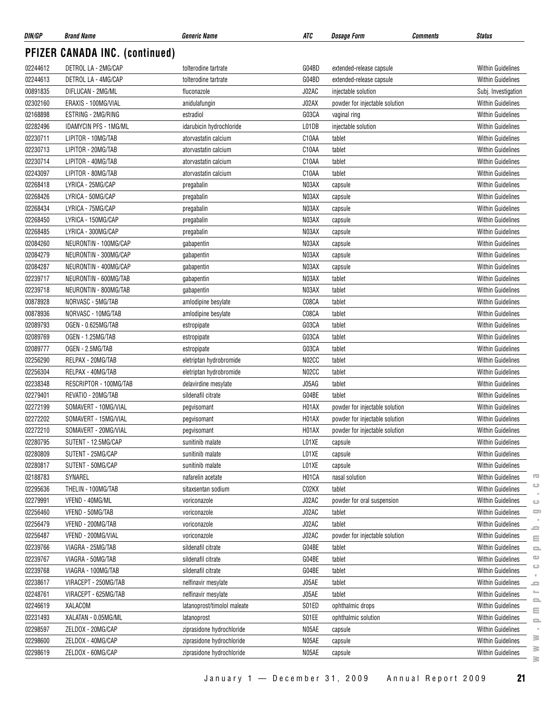| DIN/GP   | <b>Brand Name</b>              | <b>Generic Name</b>         | ATC   | <i><b>Dosage Form</b></i>      | <b>Status</b><br><b>Comments</b>                               |
|----------|--------------------------------|-----------------------------|-------|--------------------------------|----------------------------------------------------------------|
|          | PFIZER CANADA INC. (continued) |                             |       |                                |                                                                |
| 02244612 | DETROL LA - 2MG/CAP            | tolterodine tartrate        | G04BD | extended-release capsule       | <b>Within Guidelines</b>                                       |
| 02244613 | DETROL LA - 4MG/CAP            | tolterodine tartrate        | G04BD | extended-release capsule       | <b>Within Guidelines</b>                                       |
| 00891835 | DIFLUCAN - 2MG/ML              | fluconazole                 | J02AC | injectable solution            | Subj. Investigation                                            |
| 02302160 | ERAXIS - 100MG/VIAL            | anidulafungin               | J02AX | powder for injectable solution | <b>Within Guidelines</b>                                       |
| 02168898 | ESTRING - 2MG/RING             | estradiol                   | G03CA | vaginal ring                   | <b>Within Guidelines</b>                                       |
| 02282496 | <b>IDAMYCIN PFS - 1MG/ML</b>   | idarubicin hydrochloride    | L01DB | injectable solution            | <b>Within Guidelines</b>                                       |
| 02230711 | LIPITOR - 10MG/TAB             | atorvastatin calcium        | C10AA | tablet                         | <b>Within Guidelines</b>                                       |
| 02230713 | LIPITOR - 20MG/TAB             | atorvastatin calcium        | C10AA | tablet                         | <b>Within Guidelines</b>                                       |
| 02230714 | LIPITOR - 40MG/TAB             | atorvastatin calcium        | C10AA | tablet                         | <b>Within Guidelines</b>                                       |
| 02243097 | LIPITOR - 80MG/TAB             | atorvastatin calcium        | C10AA | tablet                         | <b>Within Guidelines</b>                                       |
| 02268418 | LYRICA - 25MG/CAP              | pregabalin                  | N03AX | capsule                        | <b>Within Guidelines</b>                                       |
| 02268426 | LYRICA - 50MG/CAP              | pregabalin                  | N03AX | capsule                        | <b>Within Guidelines</b>                                       |
| 02268434 | LYRICA - 75MG/CAP              | pregabalin                  | N03AX | capsule                        | <b>Within Guidelines</b>                                       |
| 02268450 | LYRICA - 150MG/CAP             | pregabalin                  | N03AX | capsule                        | <b>Within Guidelines</b>                                       |
| 02268485 | LYRICA - 300MG/CAP             | pregabalin                  | N03AX | capsule                        | <b>Within Guidelines</b>                                       |
| 02084260 | NEURONTIN - 100MG/CAP          | gabapentin                  | N03AX | capsule                        | <b>Within Guidelines</b>                                       |
| 02084279 | NEURONTIN - 300MG/CAP          | gabapentin                  | N03AX | capsule                        | <b>Within Guidelines</b>                                       |
| 02084287 | NEURONTIN - 400MG/CAP          | gabapentin                  | N03AX | capsule                        | <b>Within Guidelines</b>                                       |
| 02239717 | NEURONTIN - 600MG/TAB          | gabapentin                  | N03AX | tablet                         | <b>Within Guidelines</b>                                       |
| 02239718 | NEURONTIN - 800MG/TAB          | gabapentin                  | N03AX | tablet                         | <b>Within Guidelines</b>                                       |
| 00878928 | NORVASC - 5MG/TAB              | amlodipine besylate         | C08CA | tablet                         | <b>Within Guidelines</b>                                       |
| 00878936 | NORVASC - 10MG/TAB             | amlodipine besylate         | C08CA | tablet                         | <b>Within Guidelines</b>                                       |
| 02089793 | OGEN - 0.625MG/TAB             |                             | G03CA | tablet                         | <b>Within Guidelines</b>                                       |
|          | OGEN - 1.25MG/TAB              | estropipate                 | G03CA | tablet                         |                                                                |
| 02089769 |                                | estropipate                 |       |                                | <b>Within Guidelines</b>                                       |
| 02089777 | OGEN - 2.5MG/TAB               | estropipate                 | G03CA | tablet                         | <b>Within Guidelines</b>                                       |
| 02256290 | RELPAX - 20MG/TAB              | eletriptan hydrobromide     | N02CC | tablet                         | <b>Within Guidelines</b>                                       |
| 02256304 | RELPAX - 40MG/TAB              | eletriptan hydrobromide     | N02CC | tablet                         | <b>Within Guidelines</b>                                       |
| 02238348 | RESCRIPTOR - 100MG/TAB         | delavirdine mesylate        | J05AG | tablet                         | <b>Within Guidelines</b>                                       |
| 02279401 | REVATIO - 20MG/TAB             | sildenafil citrate          | G04BE | tablet                         | <b>Within Guidelines</b>                                       |
| 02272199 | SOMAVERT - 10MG/VIAL           | pegvisomant                 | H01AX | powder for injectable solution | <b>Within Guidelines</b>                                       |
| 02272202 | SOMAVERT - 15MG/VIAL           | pegvisomant                 | H01AX | powder for injectable solution | <b>Within Guidelines</b>                                       |
| 02272210 | SOMAVERT - 20MG/VIAL           | pegvisomant                 | H01AX | powder for injectable solution | <b>Within Guidelines</b>                                       |
| 02280795 | SUTENT - 12.5MG/CAP            | sunitinib malate            | L01XE | capsule                        | <b>Within Guidelines</b>                                       |
| 02280809 | SUTENT - 25MG/CAP              | sunitinib malate            | L01XE | capsule                        | <b>Within Guidelines</b>                                       |
| 02280817 | SUTENT - 50MG/CAP              | sunitinib malate            | L01XE | capsule                        | <b>Within Guidelines</b>                                       |
| 02188783 | SYNAREL                        | nafarelin acetate           | H01CA | nasal solution                 | $\overline{\mathbf{C}}$<br><b>Within Guidelines</b><br>$\circ$ |
| 02295636 | THELIN - 100MG/TAB             | sitaxsentan sodium          | C02KX | tablet                         | <b>Within Guidelines</b>                                       |
| 02279991 | VFEND - 40MG/ML                | voriconazole                | J02AC | powder for oral suspension     | <b>Within Guidelines</b><br>$\circ$                            |
| 02256460 | VFEND - 50MG/TAB               | voriconazole                | J02AC | tablet                         | $\Box$<br><b>Within Guidelines</b>                             |
| 02256479 | VFEND - 200MG/TAB              | voriconazole                | J02AC | tablet                         | Within Guidelines<br>2                                         |
| 02256487 | VFEND - 200MG/VIAL             | voriconazole                | J02AC | powder for injectable solution | <b>Within Guidelines</b><br>$\equiv$                           |
| 02239766 | VIAGRA - 25MG/TAB              | sildenafil citrate          | G04BE | tablet                         | <b>Within Guidelines</b><br>2                                  |
| 02239767 | VIAGRA - 50MG/TAB              | sildenafil citrate          | G04BE | tablet                         | Φ<br>Within Guidelines                                         |
| 02239768 | VIAGRA - 100MG/TAB             | sildenafil citrate          | G04BE | tablet                         | $\bigcirc$<br>Within Guidelines                                |
| 02238617 | VIRACEPT - 250MG/TAB           | nelfinavir mesylate         | J05AE | tablet                         | Within Guidelines<br>ᆖ                                         |
| 02248761 | VIRACEPT - 625MG/TAB           | nelfinavir mesylate         | J05AE | tablet                         | ÷<br><b>Within Guidelines</b>                                  |
| 02246619 | XALACOM                        | latanoprost/timolol maleate | S01ED | ophthalmic drops               | 으<br><b>Within Guidelines</b><br>$\equiv$                      |
| 02231493 | XALATAN - 0.05MG/ML            | latanoprost                 | S01EE | ophthalmic solution            | Within Guidelines<br>$\equiv$                                  |
| 02298597 | ZELDOX - 20MG/CAP              | ziprasidone hydrochloride   | N05AE | capsule                        | Within Guidelines                                              |
| 02298600 | ZELDOX - 40MG/CAP              | ziprasidone hydrochloride   | N05AE | capsule                        | ≋<br>Within Guidelines                                         |
| 02298619 | ZELDOX - 60MG/CAP              | ziprasidone hydrochloride   | N05AE | capsule                        | ≧<br><b>Within Guidelines</b>                                  |

**www.pmprb-cepmb.gc.ca** $\equiv$  $\equiv$  $\circ$  $\qquad \qquad \Box$  $\epsilon$  $\equiv$  $\sim$  $\equiv$  $\equiv$  $\equiv$  $\sim$  $\geq$  $\geq$ 

 $\geq$ 

 $\sim$  $\mathrel{\ensuremath{\mathop{\rule{0pt}{0.5ex}\nolimits\stackrel{\longleftarrow}{\hspace{0.15ex}}}}}$  $\qquad \qquad \qquad \qquad \qquad$  $\bar{z}$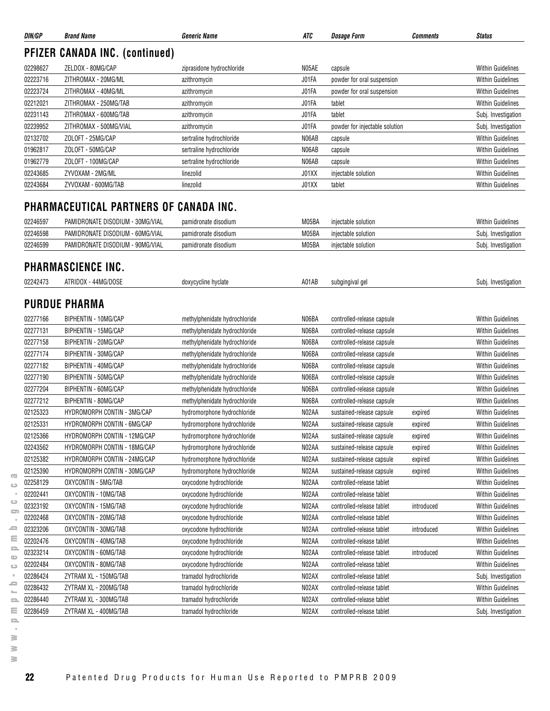| DIN/GP   | <b>Brand Name</b>                      | <b>Generic Name</b>           | ATC   | <i><b>Dosage Form</b></i>      | <b>Comments</b> | <b>Status</b>            |
|----------|----------------------------------------|-------------------------------|-------|--------------------------------|-----------------|--------------------------|
|          | <b>PFIZER CANADA INC. (continued)</b>  |                               |       |                                |                 |                          |
| 02298627 | ZELDOX - 80MG/CAP                      | ziprasidone hydrochloride     | N05AE | capsule                        |                 | <b>Within Guidelines</b> |
| 02223716 | ZITHROMAX - 20MG/ML                    | azithromycin                  | J01FA | powder for oral suspension     |                 | <b>Within Guidelines</b> |
| 02223724 | ZITHROMAX - 40MG/ML                    | azithromycin                  | J01FA | powder for oral suspension     |                 | <b>Within Guidelines</b> |
| 02212021 | ZITHROMAX - 250MG/TAB                  | azithromycin                  | J01FA | tablet                         |                 | <b>Within Guidelines</b> |
| 02231143 | ZITHROMAX - 600MG/TAB                  | azithromycin                  | J01FA | tablet                         |                 | Subj. Investigation      |
| 02239952 | ZITHROMAX - 500MG/VIAL                 | azithromycin                  | J01FA | powder for injectable solution |                 | Subj. Investigation      |
| 02132702 | ZOLOFT - 25MG/CAP                      | sertraline hydrochloride      | N06AB | capsule                        |                 | <b>Within Guidelines</b> |
| 01962817 | ZOLOFT - 50MG/CAP                      | sertraline hydrochloride      | N06AB | capsule                        |                 | <b>Within Guidelines</b> |
| 01962779 | ZOLOFT - 100MG/CAP                     | sertraline hydrochloride      | N06AB | capsule                        |                 | <b>Within Guidelines</b> |
| 02243685 | ZYVOXAM - 2MG/ML                       | linezolid                     | J01XX | injectable solution            |                 | <b>Within Guidelines</b> |
| 02243684 | ZYVOXAM - 600MG/TAB                    | linezolid                     | J01XX | tablet                         |                 | <b>Within Guidelines</b> |
|          | PHARMACEUTICAL PARTNERS OF CANADA INC. |                               |       |                                |                 |                          |
| 02246597 | PAMIDRONATE DISODIUM - 30MG/VIAL       | pamidronate disodium          | M05BA | injectable solution            |                 | <b>Within Guidelines</b> |
| 02246598 | PAMIDRONATE DISODIUM - 60MG/VIAL       | pamidronate disodium          | M05BA | injectable solution            |                 | Subj. Investigation      |
| 02246599 | PAMIDRONATE DISODIUM - 90MG/VIAL       | pamidronate disodium          | M05BA | injectable solution            |                 | Subj. Investigation      |
|          | <b>PHARMASCIENCE INC.</b>              |                               |       |                                |                 |                          |
| 02242473 | ATRIDOX - 44MG/DOSE                    | doxycycline hyclate           | A01AB | subgingival gel                |                 | Subj. Investigation      |
|          |                                        |                               |       |                                |                 |                          |
|          | <b>PURDUE PHARMA</b>                   |                               |       |                                |                 |                          |
| 02277166 | BIPHENTIN - 10MG/CAP                   | methylphenidate hydrochloride | N06BA | controlled-release capsule     |                 | <b>Within Guidelines</b> |
| 02277131 | <b>BIPHENTIN - 15MG/CAP</b>            | methylphenidate hydrochloride | N06BA | controlled-release capsule     |                 | <b>Within Guidelines</b> |
| 02277158 | BIPHENTIN - 20MG/CAP                   | methylphenidate hydrochloride | N06BA | controlled-release capsule     |                 | <b>Within Guidelines</b> |
| 02277174 | BIPHENTIN - 30MG/CAP                   | methylphenidate hydrochloride | N06BA | controlled-release capsule     |                 | <b>Within Guidelines</b> |
| 02277182 | BIPHENTIN - 40MG/CAP                   | methylphenidate hydrochloride | N06BA | controlled-release capsule     |                 | <b>Within Guidelines</b> |
| 02277190 | BIPHENTIN - 50MG/CAP                   | methylphenidate hydrochloride | N06BA | controlled-release capsule     |                 | <b>Within Guidelines</b> |
| 02277204 | BIPHENTIN - 60MG/CAP                   | methylphenidate hydrochloride | N06BA | controlled-release capsule     |                 | <b>Within Guidelines</b> |
| 02277212 | BIPHENTIN - 80MG/CAP                   | methylphenidate hydrochloride | N06BA | controlled-release capsule     |                 | <b>Within Guidelines</b> |
| 02125323 | HYDROMORPH CONTIN - 3MG/CAP            | hydromorphone hydrochloride   | N02AA | sustained-release capsule      | expired         | <b>Within Guidelines</b> |
| 02125331 | HYDROMORPH CONTIN - 6MG/CAP            | hydromorphone hydrochloride   | N02AA | sustained-release capsule      | expired         | <b>Within Guidelines</b> |
| 02125366 | HYDROMORPH CONTIN - 12MG/CAP           | hydromorphone hydrochloride   | N02AA | sustained-release capsule      | expired         | <b>Within Guidelines</b> |
| 02243562 | HYDROMORPH CONTIN - 18MG/CAP           | hydromorphone hydrochloride   | N02AA | sustained-release capsule      | expired         | <b>Within Guidelines</b> |
| 02125382 | HYDROMORPH CONTIN - 24MG/CAP           | hydromorphone hydrochloride   | N02AA | sustained-release capsule      | expired         | <b>Within Guidelines</b> |
| 02125390 | HYDROMORPH CONTIN - 30MG/CAP           | hydromorphone hydrochloride   | N02AA | sustained-release capsule      | expired         | <b>Within Guidelines</b> |
| 02258129 | OXYCONTIN - 5MG/TAB                    | oxycodone hydrochloride       | N02AA | controlled-release tablet      |                 | <b>Within Guidelines</b> |
| 02202441 | OXYCONTIN - 10MG/TAB                   | oxycodone hydrochloride       | N02AA | controlled-release tablet      |                 | <b>Within Guidelines</b> |
| 02323192 | OXYCONTIN - 15MG/TAB                   | oxycodone hydrochloride       | N02AA | controlled-release tablet      | introduced      | <b>Within Guidelines</b> |
| 02202468 | OXYCONTIN - 20MG/TAB                   | oxycodone hydrochloride       | N02AA | controlled-release tablet      |                 | <b>Within Guidelines</b> |
| 02323206 | OXYCONTIN - 30MG/TAB                   | oxycodone hydrochloride       | N02AA | controlled-release tablet      | introduced      | <b>Within Guidelines</b> |
| 02202476 | OXYCONTIN - 40MG/TAB                   | oxycodone hydrochloride       | N02AA | controlled-release tablet      |                 | <b>Within Guidelines</b> |
| 02323214 | OXYCONTIN - 60MG/TAB                   | oxycodone hydrochloride       | N02AA | controlled-release tablet      | introduced      | <b>Within Guidelines</b> |
| 02202484 | OXYCONTIN - 80MG/TAB                   | oxycodone hydrochloride       | N02AA | controlled-release tablet      |                 | <b>Within Guidelines</b> |
| 02286424 | ZYTRAM XL - 150MG/TAB                  | tramadol hydrochloride        | N02AX | controlled-release tablet      |                 | Subj. Investigation      |
| 02286432 | ZYTRAM XL - 200MG/TAB                  | tramadol hydrochloride        | N02AX | controlled-release tablet      |                 | <b>Within Guidelines</b> |
| 02286440 | ZYTRAM XL - 300MG/TAB                  | tramadol hydrochloride        | N02AX | controlled-release tablet      |                 | <b>Within Guidelines</b> |
| 02286459 | ZYTRAM XL - 400MG/TAB                  | tramadol hydrochloride        | N02AX | controlled-release tablet      |                 | Subj. Investigation      |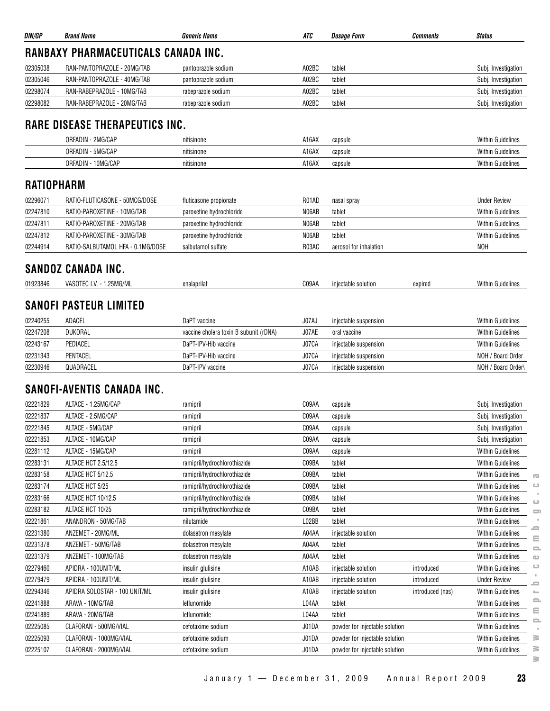| DIN/GP            | <b>Brand Name</b>                          | <b>Generic Name</b>                    | ATC   | <b>Dosage Form</b>             | <b>Comments</b>  | <b>Status</b>                                          |
|-------------------|--------------------------------------------|----------------------------------------|-------|--------------------------------|------------------|--------------------------------------------------------|
|                   | <b>RANBAXY PHARMACEUTICALS CANADA INC.</b> |                                        |       |                                |                  |                                                        |
| 02305038          | RAN-PANTOPRAZOLE - 20MG/TAB                | pantoprazole sodium                    | A02BC | tablet                         |                  | Subj. Investigation                                    |
| 02305046          | RAN-PANTOPRAZOLE - 40MG/TAB                | pantoprazole sodium                    | A02BC | tablet                         |                  | Subj. Investigation                                    |
| 02298074          | RAN-RABEPRAZOLE - 10MG/TAB                 | rabeprazole sodium                     | A02BC | tablet                         |                  | Subj. Investigation                                    |
| 02298082          | RAN-RABEPRAZOLE - 20MG/TAB                 | rabeprazole sodium                     | A02BC | tablet                         |                  | Subj. Investigation                                    |
|                   | <b>RARE DISEASE THERAPEUTICS INC.</b>      |                                        |       |                                |                  |                                                        |
|                   | ORFADIN - 2MG/CAP                          | nitisinone                             | A16AX | capsule                        |                  | <b>Within Guidelines</b>                               |
|                   | ORFADIN - 5MG/CAP                          | nitisinone                             | A16AX | capsule                        |                  | <b>Within Guidelines</b>                               |
|                   | ORFADIN - 10MG/CAP                         | nitisinone                             | A16AX | capsule                        |                  | <b>Within Guidelines</b>                               |
| <b>RATIOPHARM</b> |                                            |                                        |       |                                |                  |                                                        |
| 02296071          | RATIO-FLUTICASONE - 50MCG/DOSE             | fluticasone propionate                 | R01AD | nasal spray                    |                  | <b>Under Review</b>                                    |
| 02247810          | RATIO-PAROXETINE - 10MG/TAB                | paroxetine hydrochloride               | N06AB | tablet                         |                  | <b>Within Guidelines</b>                               |
| 02247811          | RATIO-PAROXETINE - 20MG/TAB                | paroxetine hydrochloride               | N06AB | tablet                         |                  | <b>Within Guidelines</b>                               |
| 02247812          | RATIO-PAROXETINE - 30MG/TAB                | paroxetine hydrochloride               | N06AB | tablet                         |                  | <b>Within Guidelines</b>                               |
| 02244914          | RATIO-SALBUTAMOL HFA - 0.1MG/DOSE          | salbutamol sulfate                     | R03AC | aerosol for inhalation         |                  | <b>NOH</b>                                             |
|                   | <b>SANDOZ CANADA INC.</b>                  |                                        |       |                                |                  |                                                        |
| 01923846          | VASOTEC I.V. - 1.25MG/ML                   | enalaprilat                            | C09AA | injectable solution            | expired          | <b>Within Guidelines</b>                               |
|                   | <b>SANOFI PASTEUR LIMITED</b>              |                                        |       |                                |                  |                                                        |
| 02240255          | ADACEL                                     | DaPT vaccine                           | J07AJ | injectable suspension          |                  | Within Guidelines                                      |
| 02247208          | DUKORAL                                    | vaccine cholera toxin B subunit (rDNA) | J07AE | oral vaccine                   |                  | <b>Within Guidelines</b>                               |
| 02243167          | PEDIACEL                                   | DaPT-IPV-Hib vaccine                   | J07CA | injectable suspension          |                  | <b>Within Guidelines</b>                               |
| 02231343          | PENTACEL                                   | DaPT-IPV-Hib vaccine                   | J07CA | injectable suspension          |                  | NOH / Board Order                                      |
| 02230946          | QUADRACEL                                  | DaPT-IPV vaccine                       | J07CA | injectable suspension          |                  | NOH / Board Order\                                     |
|                   | <b>SANOFI-AVENTIS CANADA INC.</b>          |                                        |       |                                |                  |                                                        |
| 02221829          | ALTACE - 1.25MG/CAP                        | ramipril                               | C09AA | capsule                        |                  | Subj. Investigation                                    |
| 02221837          | ALTACE - 2.5MG/CAP                         | ramipril                               | C09AA | capsule                        |                  | Subj. Investigation                                    |
| 02221845          | ALTACE - 5MG/CAP                           | ramipril                               | C09AA | capsule                        |                  | Subj. Investigation                                    |
| 02221853          | ALTACE - 10MG/CAP                          | ramipril                               | C09AA | capsule                        |                  | Subj. Investigation                                    |
| 02281112          | ALTACE - 15MG/CAP                          | ramipril                               | C09AA | capsule                        |                  | Within Guidelines                                      |
| 02283131          | ALTACE HCT 2.5/12.5                        | ramipril/hydrochlorothiazide           | C09BA | tablet                         |                  | Within Guidelines                                      |
| 02283158          | ALTACE HCT 5/12.5                          | ramipril/hydrochlorothiazide           | C09BA | tablet                         |                  | Within Guidelines<br>$\overline{\mathbf{C}}$           |
| 02283174          | ALTACE HCT 5/25                            | ramipril/hydrochlorothiazide           | C09BA | tablet                         |                  | <b>Within Guidelines</b><br>ت                          |
| 02283166          | ALTACE HCT 10/12.5                         | ramipril/hydrochlorothiazide           | C09BA | tablet                         |                  | <b>Within Guidelines</b><br>$\circ$                    |
| 02283182          | ALTACE HCT 10/25                           | ramipril/hydrochlorothiazide           | C09BA | tablet                         |                  | Within Guidelines<br>$\Box$                            |
| 02221861          | ANANDRON - 50MG/TAB                        | nilutamide                             | L02BB | tablet                         |                  | <b>Within Guidelines</b><br>ᆖ                          |
| 02231380          | ANZEMET - 20MG/ML                          | dolasetron mesylate                    | A04AA | injectable solution            |                  | Within Guidelines<br>$\equiv$                          |
| 02231378          | ANZEMET - 50MG/TAB                         | dolasetron mesylate                    | A04AA | tablet                         |                  | Within Guidelines<br>$\equiv$                          |
| 02231379          | ANZEMET - 100MG/TAB                        | dolasetron mesylate                    | A04AA | tablet                         |                  | <b>Within Guidelines</b><br>$\bigcirc$                 |
| 02279460          | APIDRA - 100UNIT/ML                        | insulin glulisine                      | A10AB | injectable solution            | introduced       | $\circ$<br><b>Within Guidelines</b>                    |
| 02279479          | APIDRA - 100UNIT/ML                        | insulin glulisine                      | A10AB | injectable solution            | introduced       | <b>Under Review</b><br>$\blacksquare$                  |
| 02294346          | APIDRA SOLOSTAR - 100 UNIT/ML              | insulin glulisine                      | A10AB | injectable solution            | introduced (nas) | <b>Within Guidelines</b><br>$\mathcal{L}_{\text{max}}$ |
| 02241888          | ARAVA - 10MG/TAB                           | leflunomide                            | L04AA | tablet                         |                  | 2<br>Within Guidelines<br>Ξ                            |
| 02241889          | ARAVA - 20MG/TAB                           | leflunomide                            | L04AA | tablet                         |                  | Within Guidelines<br>으                                 |
| 02225085          | CLAFORAN - 500MG/VIAL                      | cefotaxime sodium                      | J01DA | powder for injectable solution |                  | <b>Within Guidelines</b>                               |
| 02225093          | CLAFORAN - 1000MG/VIAL                     | cefotaxime sodium                      | J01DA | powder for injectable solution |                  | <b>Within Guidelines</b><br>≩                          |
| 02225107          | CLAFORAN - 2000MG/VIAL                     | cefotaxime sodium                      | J01DA | powder for injectable solution |                  | ≧<br>Within Guidelines<br>s.                           |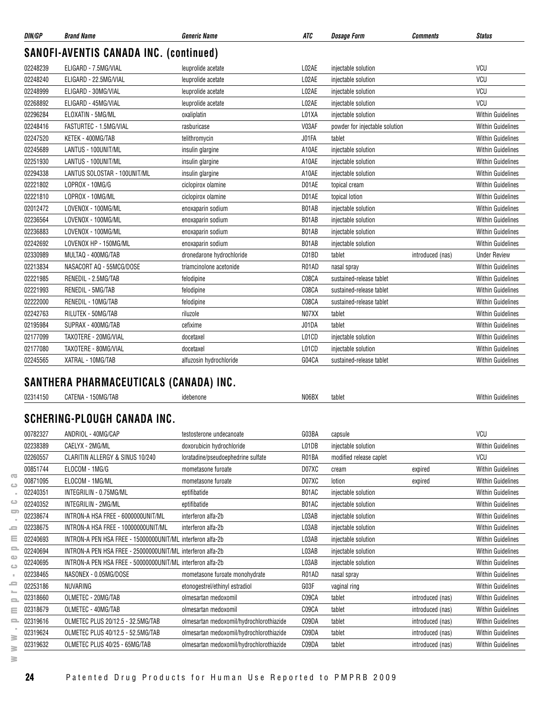| DIN/GP   | <b>Brand Name</b>                             | <b>Generic Name</b>       | <b>ATC</b> | <b>Dosage Form</b>             | <b>Comments</b>  | <b>Status</b>            |
|----------|-----------------------------------------------|---------------------------|------------|--------------------------------|------------------|--------------------------|
|          | <b>SANOFI-AVENTIS CANADA INC. (continued)</b> |                           |            |                                |                  |                          |
| 02248239 | ELIGARD - 7.5MG/VIAL                          | leuprolide acetate        | L02AE      | injectable solution            |                  | VCU                      |
| 02248240 | ELIGARD - 22.5MG/VIAL                         | leuprolide acetate        | L02AE      | injectable solution            |                  | VCU                      |
| 02248999 | ELIGARD - 30MG/VIAL                           | leuprolide acetate        | L02AE      | injectable solution            |                  | VCU                      |
| 02268892 | ELIGARD - 45MG/VIAL                           | leuprolide acetate        | L02AE      | injectable solution            |                  | <b>VCU</b>               |
| 02296284 | ELOXATIN - 5MG/ML                             | oxaliplatin               | L01XA      | injectable solution            |                  | <b>Within Guidelines</b> |
| 02248416 | FASTURTEC - 1.5MG/VIAL                        | rasburicase               | V03AF      | powder for injectable solution |                  | <b>Within Guidelines</b> |
| 02247520 | KETEK - 400MG/TAB                             | telithromycin             | J01FA      | tablet                         |                  | <b>Within Guidelines</b> |
| 02245689 | LANTUS - 100UNIT/ML                           | insulin glargine          | A10AE      | injectable solution            |                  | <b>Within Guidelines</b> |
| 02251930 | LANTUS - 100UNIT/ML                           | insulin glargine          | A10AE      | injectable solution            |                  | <b>Within Guidelines</b> |
| 02294338 | LANTUS SOLOSTAR - 100UNIT/ML                  | insulin glargine          | A10AE      | injectable solution            |                  | <b>Within Guidelines</b> |
| 02221802 | LOPROX - 10MG/G                               | ciclopirox olamine        | D01AE      | topical cream                  |                  | <b>Within Guidelines</b> |
| 02221810 | LOPROX - 10MG/ML                              | ciclopirox olamine        | D01AE      | topical lotion                 |                  | <b>Within Guidelines</b> |
| 02012472 | LOVENOX - 100MG/ML                            | enoxaparin sodium         | B01AB      | injectable solution            |                  | <b>Within Guidelines</b> |
| 02236564 | LOVENOX - 100MG/ML                            | enoxaparin sodium         | B01AB      | injectable solution            |                  | <b>Within Guidelines</b> |
| 02236883 | LOVENOX - 100MG/ML                            | enoxaparin sodium         | B01AB      | injectable solution            |                  | <b>Within Guidelines</b> |
| 02242692 | LOVENOX HP - 150MG/ML                         | enoxaparin sodium         | B01AB      | injectable solution            |                  | <b>Within Guidelines</b> |
| 02330989 | MULTAQ - 400MG/TAB                            | dronedarone hydrochloride | C01BD      | tablet                         | introduced (nas) | <b>Under Review</b>      |
| 02213834 | NASACORT AQ - 55MCG/DOSE                      | triamcinolone acetonide   | R01AD      | nasal spray                    |                  | <b>Within Guidelines</b> |
| 02221985 | RENEDIL - 2.5MG/TAB                           | felodipine                | C08CA      | sustained-release tablet       |                  | <b>Within Guidelines</b> |
| 02221993 | RENEDIL - 5MG/TAB                             | felodipine                | C08CA      | sustained-release tablet       |                  | <b>Within Guidelines</b> |
| 02222000 | RENEDIL - 10MG/TAB                            | felodipine                | C08CA      | sustained-release tablet       |                  | <b>Within Guidelines</b> |
| 02242763 | RILUTEK - 50MG/TAB                            | riluzole                  | N07XX      | tablet                         |                  | <b>Within Guidelines</b> |
| 02195984 | SUPRAX - 400MG/TAB                            | cefixime                  | J01DA      | tablet                         |                  | <b>Within Guidelines</b> |
| 02177099 | TAXOTERE - 20MG/VIAL                          | docetaxel                 | L01CD      | injectable solution            |                  | <b>Within Guidelines</b> |
| 02177080 | TAXOTERE - 80MG/VIAL                          | docetaxel                 | L01CD      | injectable solution            |                  | <b>Within Guidelines</b> |
| 02245565 | XATRAL - 10MG/TAB                             | alfuzosin hydrochloride   | G04CA      | sustained-release tablet       |                  | <b>Within Guidelines</b> |

## **SANTHERA PHARMACEUTICALS (CANADA) INC.**

|                                       | 02314150 | CATENA - 150MG/TAB                                         | idebenone                                | N06BX | tablet                  |                  | <b>Within Guidelines</b> |
|---------------------------------------|----------|------------------------------------------------------------|------------------------------------------|-------|-------------------------|------------------|--------------------------|
|                                       |          |                                                            |                                          |       |                         |                  |                          |
|                                       |          | SCHERING-PLOUGH CANADA INC.                                |                                          |       |                         |                  |                          |
|                                       | 00782327 | ANDRIOL - 40MG/CAP                                         | testosterone undecanoate                 | G03BA | capsule                 |                  | VCU                      |
|                                       | 02238389 | CAELYX - 2MG/ML                                            | doxorubicin hydrochloride                | L01DB | injectable solution     |                  | <b>Within Guidelines</b> |
|                                       | 02260557 | CLARITIN ALLERGY & SINUS 10/240                            | loratadine/pseudoephedrine sulfate       | R01BA | modified release caplet |                  | VCU                      |
|                                       | 00851744 | ELOCOM - 1MG/G                                             | mometasone furoate                       | D07XC | cream                   | expired          | <b>Within Guidelines</b> |
| $\overline{\mathbb{C}}$<br>$\bigcirc$ | 00871095 | ELOCOM - 1MG/ML                                            | mometasone furoate                       | D07XC | lotion                  | expired          | <b>Within Guidelines</b> |
|                                       | 02240351 | INTEGRILIN - 0.75MG/ML                                     | eptifibatide                             | B01AC | injectable solution     |                  | <b>Within Guidelines</b> |
| ت                                     | 02240352 | INTEGRILIN - 2MG/ML                                        | eptifibatide                             | B01AC | injectable solution     |                  | <b>Within Guidelines</b> |
| $\equiv$                              | 02238674 | INTRON-A HSA FREE - 6000000UNIT/ML                         | interferon alfa-2b                       | L03AB | injectable solution     |                  | <b>Within Guidelines</b> |
| 5                                     | 02238675 | INTRON-A HSA FREE - 10000000UNIT/ML                        | interferon alfa-2b                       | L03AB | injectable solution     |                  | <b>Within Guidelines</b> |
| Ξ                                     | 02240693 | INTRON-A PEN HSA FREE - 15000000UNIT/ML interferon alfa-2b |                                          | L03AB | injectable solution     |                  | <b>Within Guidelines</b> |
| $\equiv$                              | 02240694 | INTRON-A PEN HSA FREE - 25000000UNIT/ML interferon alfa-2b |                                          | L03AB | injectable solution     |                  | <b>Within Guidelines</b> |
| $\alpha$<br>$\bigcirc$                | 02240695 | INTRON-A PEN HSA FREE - 50000000UNIT/ML interferon alfa-2b |                                          | L03AB | injectable solution     |                  | <b>Within Guidelines</b> |
|                                       | 02238465 | NASONEX - 0.05MG/DOSE                                      | mometasone furoate monohydrate           | R01AD | nasal spray             |                  | <b>Within Guidelines</b> |
| ᆖ<br>$\sim$                           | 02253186 | <b>NUVARING</b>                                            | etonogestrel/ethinyl estradiol           | G03F  | vaginal ring            |                  | <b>Within Guidelines</b> |
| $\Rightarrow$                         | 02318660 | OLMETEC - 20MG/TAB                                         | olmesartan medoxomil                     | C09CA | tablet                  | introduced (nas) | <b>Within Guidelines</b> |
| Ξ                                     | 02318679 | OLMETEC - 40MG/TAB                                         | olmesartan medoxomil                     | C09CA | tablet                  | introduced (nas) | <b>Within Guidelines</b> |
| $\mathbf{r}$                          | 02319616 | OLMETEC PLUS 20/12.5 - 32.5MG/TAB                          | olmesartan medoxomil/hydrochlorothiazide | C09DA | tablet                  | introduced (nas) | <b>Within Guidelines</b> |
| ≧                                     | 02319624 | OLMETEC PLUS 40/12.5 - 52.5MG/TAB                          | olmesartan medoxomil/hydrochlorothiazide | C09DA | tablet                  | introduced (nas) | <b>Within Guidelines</b> |
| ≧                                     | 02319632 | OLMETEC PLUS 40/25 - 65MG/TAB                              | olmesartan medoxomil/hydrochlorothiazide | C09DA | tablet                  | introduced (nas) | <b>Within Guidelines</b> |

**www.pmprb-cepmb.gc.ca** $\geq$  $\geq$  $\geq$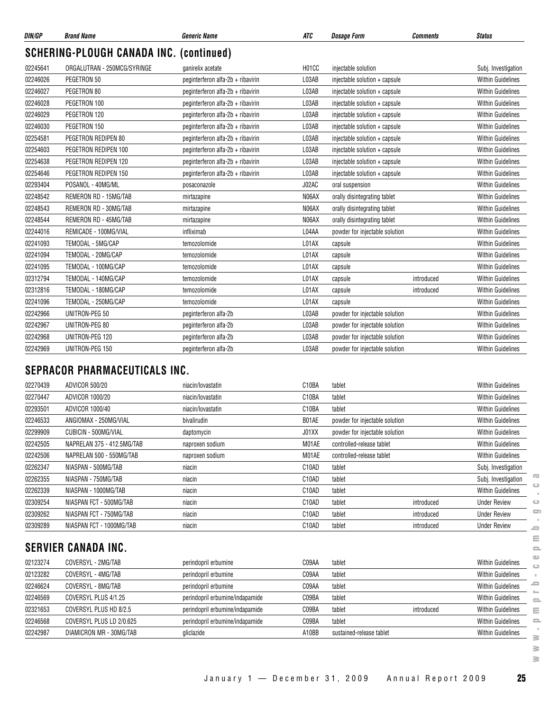| DIN/GP   | <b>Brand Name</b>                              | <b>Generic Name</b>               | ATC                            | <b>Dosage Form</b>             | <b>Comments</b> | <b>Status</b>            |
|----------|------------------------------------------------|-----------------------------------|--------------------------------|--------------------------------|-----------------|--------------------------|
|          | <b>SCHERING-PLOUGH CANADA INC. (continued)</b> |                                   |                                |                                |                 |                          |
| 02245641 | ORGALUTRAN - 250MCG/SYRINGE                    | ganirelix acetate                 | H <sub>0</sub> 1 <sub>CC</sub> | injectable solution            |                 | Subj. Investigation      |
| 02246026 | PEGETRON 50                                    | peginterferon alfa-2b + ribavirin | L03AB                          | injectable solution + capsule  |                 | <b>Within Guidelines</b> |
| 02246027 | PEGETRON 80                                    | peginterferon alfa-2b + ribavirin | L03AB                          | injectable solution + capsule  |                 | <b>Within Guidelines</b> |
| 02246028 | PEGETRON 100                                   | peginterferon alfa-2b + ribavirin | L03AB                          | injectable solution + capsule  |                 | <b>Within Guidelines</b> |
| 02246029 | PEGETRON 120                                   | peginterferon alfa-2b + ribavirin | L03AB                          | injectable solution + capsule  |                 | <b>Within Guidelines</b> |
| 02246030 | PEGETRON 150                                   | peginterferon alfa-2b + ribavirin | L03AB                          | injectable solution + capsule  |                 | <b>Within Guidelines</b> |
| 02254581 | PEGETRON REDIPEN 80                            | peginterferon alfa-2b + ribavirin | L03AB                          | injectable solution + capsule  |                 | <b>Within Guidelines</b> |
| 02254603 | PEGETRON REDIPEN 100                           | peginterferon alfa-2b + ribavirin | L03AB                          | injectable solution + capsule  |                 | <b>Within Guidelines</b> |
| 02254638 | PEGETRON REDIPEN 120                           | peginterferon alfa-2b + ribavirin | L03AB                          | injectable solution + capsule  |                 | <b>Within Guidelines</b> |
| 02254646 | PEGETRON REDIPEN 150                           | peginterferon alfa-2b + ribavirin | L03AB                          | injectable solution + capsule  |                 | <b>Within Guidelines</b> |
| 02293404 | POSANOL - 40MG/ML                              | posaconazole                      | J02AC                          | oral suspension                |                 | <b>Within Guidelines</b> |
| 02248542 | REMERON RD - 15MG/TAB                          | mirtazapine                       | N06AX                          | orally disintegrating tablet   |                 | <b>Within Guidelines</b> |
| 02248543 | REMERON RD - 30MG/TAB                          | mirtazapine                       | N06AX                          | orally disintegrating tablet   |                 | <b>Within Guidelines</b> |
| 02248544 | REMERON RD - 45MG/TAB                          | mirtazapine                       | N06AX                          | orally disintegrating tablet   |                 | <b>Within Guidelines</b> |
| 02244016 | REMICADE - 100MG/VIAL                          | infliximab                        | L04AA                          | powder for injectable solution |                 | <b>Within Guidelines</b> |
| 02241093 | TEMODAL - 5MG/CAP                              | temozolomide                      | L01AX                          | capsule                        |                 | <b>Within Guidelines</b> |
| 02241094 | TEMODAL - 20MG/CAP                             | temozolomide                      | L01AX                          | capsule                        |                 | <b>Within Guidelines</b> |
| 02241095 | TEMODAL - 100MG/CAP                            | temozolomide                      | L01AX                          | capsule                        |                 | <b>Within Guidelines</b> |
| 02312794 | TEMODAL - 140MG/CAP                            | temozolomide                      | L01AX                          | capsule                        | introduced      | <b>Within Guidelines</b> |
| 02312816 | TEMODAL - 180MG/CAP                            | temozolomide                      | L01AX                          | capsule                        | introduced      | <b>Within Guidelines</b> |
| 02241096 | TEMODAL - 250MG/CAP                            | temozolomide                      | L01AX                          | capsule                        |                 | <b>Within Guidelines</b> |
| 02242966 | UNITRON-PEG 50                                 | peginterferon alfa-2b             | L03AB                          | powder for injectable solution |                 | <b>Within Guidelines</b> |
| 02242967 | UNITRON-PEG 80                                 | peginterferon alfa-2b             | L03AB                          | powder for injectable solution |                 | <b>Within Guidelines</b> |
| 02242968 | UNITRON-PEG 120                                | peginterferon alfa-2b             | L03AB                          | powder for injectable solution |                 | <b>Within Guidelines</b> |
| 02242969 | UNITRON-PEG 150                                | peginterferon alfa-2b             | L03AB                          | powder for injectable solution |                 | <b>Within Guidelines</b> |

#### **SEPRACOR PHARMACEUTICALS INC.**

| 02270439                   | ADVICOR 500/20             | niacin/lovastatin | C10BA              | tablet                         |            | <b>Within Guidelines</b> |  |
|----------------------------|----------------------------|-------------------|--------------------|--------------------------------|------------|--------------------------|--|
| 02270447                   | ADVICOR 1000/20            | niacin/lovastatin | C <sub>10</sub> BA | tablet                         |            | <b>Within Guidelines</b> |  |
| 02293501                   | ADVICOR 1000/40            | niacin/lovastatin | C <sub>10</sub> BA | tablet                         |            | <b>Within Guidelines</b> |  |
| 02246533                   | ANGIOMAX - 250MG/VIAL      | bivalirudin       | B01AE              | powder for injectable solution |            | <b>Within Guidelines</b> |  |
| 02299909                   | CUBICIN - 500MG/VIAL       | daptomycin        | J01XX              | powder for injectable solution |            | <b>Within Guidelines</b> |  |
| 02242505                   | NAPRELAN 375 - 412.5MG/TAB | naproxen sodium   | M01AE              | controlled-release tablet      |            | <b>Within Guidelines</b> |  |
| 02242506                   | NAPRELAN 500 - 550MG/TAB   | naproxen sodium   | M01AE              | controlled-release tablet      |            | <b>Within Guidelines</b> |  |
| 02262347                   | NIASPAN - 500MG/TAB        | niacin            | C10AD              | tablet                         |            | Subj. Investigation      |  |
| 02262355                   | NIASPAN - 750MG/TAB        | niacin            | C <sub>10</sub> AD | tablet                         |            | Subj. Investigation      |  |
| 02262339                   | NIASPAN - 1000MG/TAB       | niacin            | C <sub>10</sub> AD | tablet                         |            | <b>Within Guidelines</b> |  |
| 02309254                   | NIASPAN FCT - 500MG/TAB    | niacin            | C <sub>10</sub> AD | tablet                         | introduced | <b>Under Review</b>      |  |
| 02309262                   | NIASPAN FCT - 750MG/TAB    | niacin            | C <sub>10</sub> AD | tablet                         | introduced | <b>Under Review</b>      |  |
| 02309289                   | NIASPAN FCT - 1000MG/TAB   | niacin            | C10AD              | tablet                         | introduced | <b>Under Review</b>      |  |
| <b>SERVIER CANADA INC.</b> |                            |                   |                    |                                |            |                          |  |

#### 02123274 COVERSYL - 2MG/TAB perindopril erbumine C09AA tablet Communisty Communisty Communisty Communisty Communisty 02123282 COVERSYL - 4MG/TAB perindopril erbumine C09AA tablet Communisty Communisty Communisty Communisty Communisty 02246624 COVERSYL - 8MG/TAB **perindopril erbumine** CO9AA tablet CO9AA tablet CO9AA tablet Within Guidelines 02246569 COVERSYL PLUS 4/1.25 perindopril erbumine/indapamide CO9BA tablet CO9BA context COVERSYL PLUS 4/1.25 02321653 COVERSYL PLUS HD 8/2.5 perindopril erbumine/indapamide CO9BA tablet introduced introduced Within Guidelines 02246568 COVERSYL PLUS LD 2/0.625 perindopril erbumine/indapamide C09BA tablet C09BA computer Within Guidelines 02242987 DIAMICRON MR - 30MG/TAB gliclazide gliclazide and the sustained-release tablet Within Guidelines  $\geq$

≧  $\geq$ 

 $\overline{\infty}$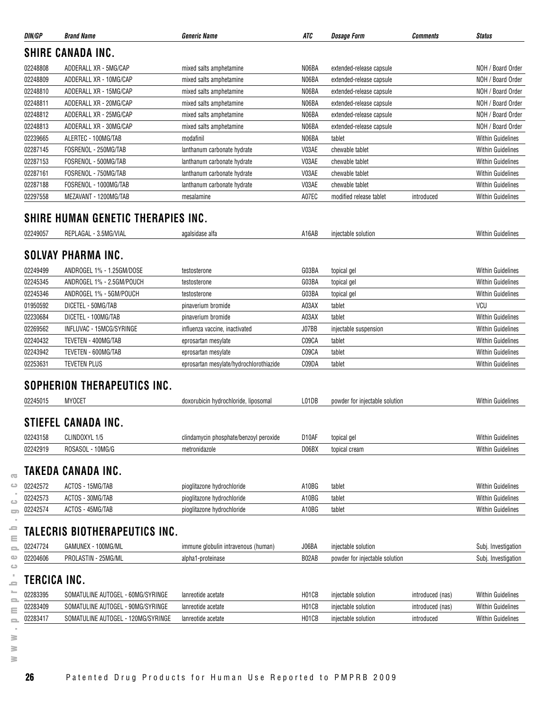| DIN/GP       | <b>Brand Name</b>                         | <b>Generic Name</b>                     | ATC                | <b>Dosage Form</b>             | Comments         | <b>Status</b>            |
|--------------|-------------------------------------------|-----------------------------------------|--------------------|--------------------------------|------------------|--------------------------|
|              | <b>SHIRE CANADA INC.</b>                  |                                         |                    |                                |                  |                          |
| 02248808     | ADDERALL XR - 5MG/CAP                     | mixed salts amphetamine                 | N06BA              | extended-release capsule       |                  | NOH / Board Order        |
| 02248809     | ADDERALL XR - 10MG/CAP                    | mixed salts amphetamine                 | N06BA              | extended-release capsule       |                  | NOH / Board Order        |
| 02248810     | ADDERALL XR - 15MG/CAP                    | mixed salts amphetamine                 | N06BA              | extended-release capsule       |                  | NOH / Board Order        |
| 02248811     | ADDERALL XR - 20MG/CAP                    | mixed salts amphetamine                 | N06BA              | extended-release capsule       |                  | NOH / Board Order        |
| 02248812     | ADDERALL XR - 25MG/CAP                    | mixed salts amphetamine                 | N06BA              | extended-release capsule       |                  | NOH / Board Order        |
| 02248813     | ADDERALL XR - 30MG/CAP                    | mixed salts amphetamine                 | N06BA              | extended-release capsule       |                  | NOH / Board Order        |
| 02239665     | ALERTEC - 100MG/TAB                       | modafinil                               | N06BA              | tablet                         |                  | <b>Within Guidelines</b> |
| 02287145     | FOSRENOL - 250MG/TAB                      | lanthanum carbonate hydrate             | V03AE              | chewable tablet                |                  | <b>Within Guidelines</b> |
| 02287153     | FOSRENOL - 500MG/TAB                      | lanthanum carbonate hydrate             | V03AE              | chewable tablet                |                  | Within Guidelines        |
| 02287161     | FOSRENOL - 750MG/TAB                      | lanthanum carbonate hydrate             | V03AE              | chewable tablet                |                  | <b>Within Guidelines</b> |
| 02287188     | FOSRENOL - 1000MG/TAB                     | lanthanum carbonate hydrate             | V03AE              | chewable tablet                |                  | <b>Within Guidelines</b> |
| 02297558     | MEZAVANT - 1200MG/TAB                     | mesalamine                              | A07EC              | modified release tablet        | introduced       | <b>Within Guidelines</b> |
|              | <b>SHIRE HUMAN GENETIC THERAPIES INC.</b> |                                         |                    |                                |                  |                          |
| 02249057     | REPLAGAL - 3.5MG/VIAL                     | agalsidase alfa                         | A16AB              | injectable solution            |                  | <b>Within Guidelines</b> |
|              |                                           |                                         |                    |                                |                  |                          |
|              | <b>SOLVAY PHARMA INC.</b>                 |                                         |                    |                                |                  |                          |
| 02249499     | ANDROGEL 1% - 1.25GM/DOSE                 | testosterone                            | G03BA              | topical gel                    |                  | <b>Within Guidelines</b> |
| 02245345     | ANDROGEL 1% - 2.5GM/POUCH                 | testosterone                            | G03BA              | topical gel                    |                  | <b>Within Guidelines</b> |
| 02245346     | ANDROGEL 1% - 5GM/POUCH                   | testosterone                            | G03BA              | topical gel                    |                  | <b>Within Guidelines</b> |
| 01950592     | DICETEL - 50MG/TAB                        | pinaverium bromide                      | A03AX              | tablet                         |                  | VCU                      |
| 02230684     | DICETEL - 100MG/TAB                       | pinaverium bromide                      | A03AX              | tablet                         |                  | <b>Within Guidelines</b> |
| 02269562     | INFLUVAC - 15MCG/SYRINGE                  | influenza vaccine, inactivated          | J07BB              | injectable suspension          |                  | <b>Within Guidelines</b> |
| 02240432     | TEVETEN - 400MG/TAB                       | eprosartan mesylate                     | C09CA              | tablet                         |                  | <b>Within Guidelines</b> |
| 02243942     | TEVETEN - 600MG/TAB                       | eprosartan mesylate                     | C09CA              | tablet                         |                  | <b>Within Guidelines</b> |
| 02253631     | <b>TEVETEN PLUS</b>                       | eprosartan mesylate/hydrochlorothiazide | C09DA              | tablet                         |                  | Within Guidelines        |
|              | SOPHERION THERAPEUTICS INC.               |                                         |                    |                                |                  |                          |
|              |                                           |                                         |                    |                                |                  |                          |
| 02245015     | <b>MYOCET</b>                             | doxorubicin hydrochloride, liposomal    | L01DB              | powder for injectable solution |                  | <b>Within Guidelines</b> |
|              | <b>STIEFEL CANADA INC.</b>                |                                         |                    |                                |                  |                          |
| 02243158     | CLINDOXYL 1/5                             | clindamycin phosphate/benzoyl peroxide  | D <sub>10</sub> AF | topical gel                    |                  | <b>Within Guidelines</b> |
| 02242919     | ROSASOL - 10MG/G                          | metronidazole                           | D06BX              | topical cream                  |                  | <b>Within Guidelines</b> |
|              |                                           |                                         |                    |                                |                  |                          |
|              | <b>TAKEDA CANADA INC.</b>                 |                                         |                    |                                |                  |                          |
| 02242572     | ACTOS - 15MG/TAB                          | pioglitazone hydrochloride              | A10BG              | tablet                         |                  | <b>Within Guidelines</b> |
| 02242573     | ACTOS - 30MG/TAB                          | pioglitazone hydrochloride              | A10BG              | tablet                         |                  | Within Guidelines        |
| 02242574     | ACTOS - 45MG/TAB                          | pioglitazone hydrochloride              | A10BG              | tablet                         |                  | Within Guidelines        |
|              | TALECRIS BIOTHERAPEUTICS INC.             |                                         |                    |                                |                  |                          |
| 02247724     | GAMUNEX - 100MG/ML                        | immune globulin intravenous (human)     | J06BA              | injectable solution            |                  | Subj. Investigation      |
| 02204606     | PROLASTIN - 25MG/ML                       | alpha1-proteinase                       | B02AB              | powder for injectable solution |                  | Subj. Investigation      |
| TERCICA INC. |                                           |                                         |                    |                                |                  |                          |
| 02283395     | SOMATULINE AUTOGEL - 60MG/SYRINGE         | lanreotide acetate                      | H01CB              | injectable solution            | introduced (nas) | <b>Within Guidelines</b> |
| 02283409     | SOMATULINE AUTOGEL - 90MG/SYRINGE         | lanreotide acetate                      | H01CB              | injectable solution            | introduced (nas) | <b>Within Guidelines</b> |
| 02283417     | SOMATULINE AUTOGEL - 120MG/SYRINGE        | lanreotide acetate                      | H01CB              | injectable solution            | introduced       | <b>Within Guidelines</b> |
|              |                                           |                                         |                    |                                |                  |                          |

**www.pmprb-cepmb.gc.ca**

 $\overline{\infty}$  $\circ$  $\sim$  $\hfill\square$  $\qquad \qquad \qquad \qquad \Box$  $\sim$  $\equiv$  $\equiv$  $\equiv$  $\circ$  $\circ$  $\mathcal{A}$  $\equiv$  $\sim$  $\equiv$  $\equiv$  $\equiv$  $\sim$  $\geq$  $\geq$  $\geq$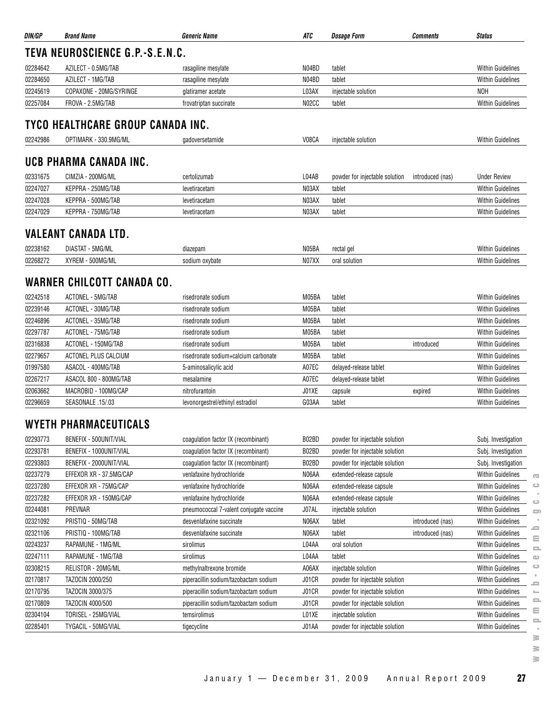| DIN/GP   | <b>Brand Name</b>                 | <b>Generic Name</b>                     | ATC   | <b>Dosage Form</b>             | <b>Comments</b>  | <b>Status</b>                                                                                |
|----------|-----------------------------------|-----------------------------------------|-------|--------------------------------|------------------|----------------------------------------------------------------------------------------------|
|          | TEVA NEUROSCIENCE G.P.-S.E.N.C.   |                                         |       |                                |                  |                                                                                              |
| 02284642 | AZILECT - 0.5MG/TAB               | rasagiline mesylate                     | N04BD | tablet                         |                  | <b>Within Guidelines</b>                                                                     |
| 02284650 | AZILECT - 1MG/TAB                 | rasagiline mesylate                     | N04BD | tablet                         |                  | <b>Within Guidelines</b>                                                                     |
| 02245619 | COPAXONE - 20MG/SYRINGE           | glatiramer acetate                      | L03AX | injectable solution            |                  | <b>NOH</b>                                                                                   |
| 02257084 | FROVA - 2.5MG/TAB                 | frovatriptan succinate                  | N02CC | tablet                         |                  | <b>Within Guidelines</b>                                                                     |
|          | TYCO HEALTHCARE GROUP CANADA INC. |                                         |       |                                |                  |                                                                                              |
| 02242986 | OPTIMARK - 330.9MG/ML             | gadoversetamide                         | V08CA | injectable solution            |                  | <b>Within Guidelines</b>                                                                     |
|          | UCB PHARMA CANADA INC.            |                                         |       |                                |                  |                                                                                              |
| 02331675 | CIMZIA - 200MG/ML                 | certolizumab                            | L04AB | powder for injectable solution | introduced (nas) | <b>Under Review</b>                                                                          |
|          |                                   |                                         | N03AX |                                |                  |                                                                                              |
| 02247027 | KEPPRA - 250MG/TAB                | levetiracetam                           |       | tablet                         |                  | <b>Within Guidelines</b>                                                                     |
| 02247028 | KEPPRA - 500MG/TAB                | levetiracetam                           | N03AX | tablet                         |                  | <b>Within Guidelines</b>                                                                     |
| 02247029 | KEPPRA - 750MG/TAB                | levetiracetam                           | N03AX | tablet                         |                  | <b>Within Guidelines</b>                                                                     |
|          | <b>VALEANT CANADA LTD.</b>        |                                         |       |                                |                  |                                                                                              |
| 02238162 | DIASTAT - 5MG/ML                  | diazepam                                | N05BA | rectal gel                     |                  | Within Guidelines                                                                            |
| 02268272 | XYREM - 500MG/ML                  | sodium oxybate                          | NO7XX | oral solution                  |                  | <b>Within Guidelines</b>                                                                     |
|          | WARNER CHILCOTT CANADA CO.        |                                         |       |                                |                  |                                                                                              |
| 02242518 | ACTONEL - 5MG/TAB                 | risedronate sodium                      | M05BA | tablet                         |                  | Within Guidelines                                                                            |
| 02239146 | ACTONEL - 30MG/TAB                | risedronate sodium                      | M05BA | tablet                         |                  | <b>Within Guidelines</b>                                                                     |
| 02246896 | ACTONEL - 35MG/TAB                | risedronate sodium                      | M05BA | tablet                         |                  | <b>Within Guidelines</b>                                                                     |
| 02297787 | ACTONEL - 75MG/TAB                | risedronate sodium                      | M05BA | tablet                         |                  | <b>Within Guidelines</b>                                                                     |
| 02316838 | ACTONEL - 150MG/TAB               | risedronate sodium                      | M05BA | tablet                         | introduced       | <b>Within Guidelines</b>                                                                     |
| 02279657 | ACTONEL PLUS CALCIUM              | risedronate sodium+calcium carbonate    | M05BA | tablet                         |                  | <b>Within Guidelines</b>                                                                     |
| 01997580 | ASACOL - 400MG/TAB                | 5-aminosalicylic acid                   | A07EC | delayed-release tablet         |                  | <b>Within Guidelines</b>                                                                     |
| 02267217 | ASACOL 800 - 800MG/TAB            | mesalamine                              | A07EC | delayed-release tablet         |                  | <b>Within Guidelines</b>                                                                     |
| 02063662 | MACROBID - 100MG/CAP              | nitrofurantoin                          | J01XE | capsule                        | expired          | Within Guidelines                                                                            |
| 02296659 | SEASONALE .15/.03                 | levonorgestrel/ethinyl estradiol        | G03AA | tablet                         |                  | Within Guidelines                                                                            |
|          | <b>WYETH PHARMACEUTICALS</b>      |                                         |       |                                |                  |                                                                                              |
| 02293773 | BENEFIX - 500UNIT/VIAL            | coagulation factor IX (recombinant)     | B02BD | powder for injectable solution |                  | Subj. Investigation                                                                          |
| 02293781 | BENEFIX - 1000UNIT/VIAL           | coagulation factor IX (recombinant)     | B02BD | powder for injectable solution |                  | Subj. Investigation                                                                          |
| 02293803 | BENEFIX - 2000UNIT/VIAL           | coagulation factor IX (recombinant)     | B02BD | powder for injectable solution |                  | Subj. Investigation                                                                          |
| 02237279 | EFFEXOR XR - 37.5MG/CAP           | venlafaxine hydrochloride               | N06AA | extended-release capsule       |                  | Within Guidelines                                                                            |
| 02237280 | EFFEXOR XR - 75MG/CAP             | venlafaxine hydrochloride               | N06AA | extended-release capsule       |                  | $\overline{\mathbf{C}}$<br>Within Guidelines<br>$\circ$                                      |
| 02237282 | EFFEXOR XR - 150MG/CAP            | venlafaxine hydrochloride               | N06AA | extended-release capsule       |                  | Within Guidelines<br>$\circ$                                                                 |
| 02244081 | PREVNAR                           | pneumococcal 7-valent conjugate vaccine | J07AL | injectable solution            |                  | Within Guidelines<br>$\sum$                                                                  |
| 02321092 | PRISTIQ - 50MG/TAB                | desvenlafaxine succinate                | N06AX | tablet                         | introduced (nas) | Within Guidelines                                                                            |
| 02321106 | PRISTIQ - 100MG/TAB               | desvenlafaxine succinate                | N06AX | tablet                         | introduced (nas) | ᆖ<br>Within Guidelines                                                                       |
| 02243237 | RAPAMUNE - 1MG/ML                 | sirolimus                               | L04AA | oral solution                  |                  | Ξ<br>Within Guidelines                                                                       |
| 02247111 | RAPAMUNE - 1MG/TAB                | sirolimus                               | L04AA | tablet                         |                  | Within Guidelines<br>$\qquad \qquad \qquad \qquad \qquad \qquad \qquad \qquad \qquad \qquad$ |
| 02308215 | RELISTOR - 20MG/ML                | methylnaltrexone bromide                | A06AX | injectable solution            |                  | $\circ$<br>Within Guidelines                                                                 |
| 02170817 | TAZOCIN 2000/250                  | piperacillin sodium/tazobactam sodium   | J01CR | powder for injectable solution |                  | Within Guidelines                                                                            |
| 02170795 | TAZOCIN 3000/375                  | piperacillin sodium/tazobactam sodium   | J01CR | powder for injectable solution |                  | -<br>Within Guidelines                                                                       |
| 02170809 | TAZOCIN 4000/500                  | piperacillin sodium/tazobactam sodium   | J01CR | powder for injectable solution |                  | $\mathcal{L}_{\mathcal{C}}$<br>$\mathbf{=}$<br>Within Guidelines                             |
| 02304104 | TORISEL - 25MG/VIAL               | temsirolimus                            | L01XE | injectable solution            |                  | ≣<br><b>Within Guidelines</b>                                                                |
| 02285401 | TYGACIL - 50MG/VIAL               | tigecycline                             | J01AA | powder for injectable solution |                  | $\equiv$<br>Within Guidelines                                                                |
|          |                                   |                                         |       |                                |                  | ≧                                                                                            |

**www.pmprb-cepmb.gc.ca** $\sim$  $\equiv$  $\equiv$  $\equiv$  $\sim$  $\geq$  $\geq$ 

 $\geq$ 

January 1 — December 31, 2009 Annual Report 2009 **27**